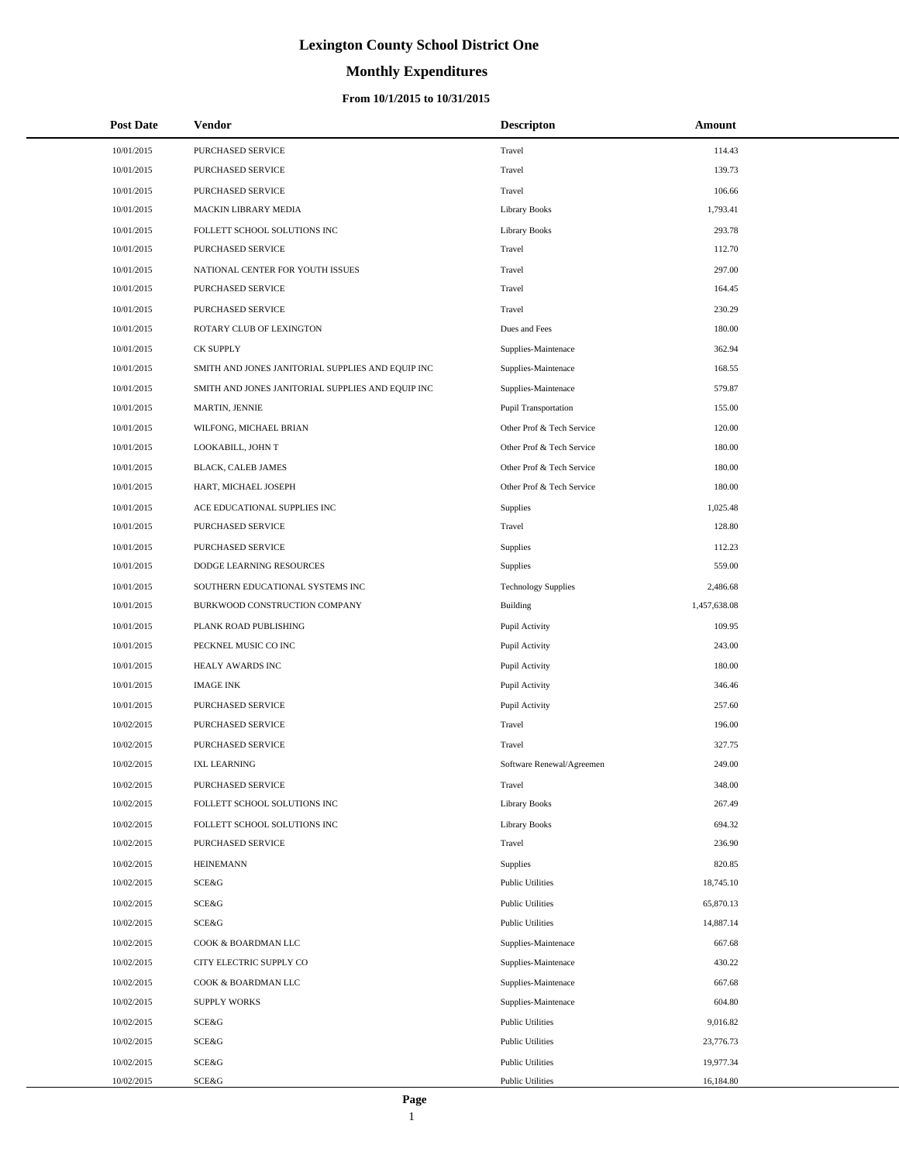# **Monthly Expenditures**

### **From 10/1/2015 to 10/31/2015**

| <b>Post Date</b> | Vendor                                            | <b>Descripton</b>           | Amount       |
|------------------|---------------------------------------------------|-----------------------------|--------------|
| 10/01/2015       | PURCHASED SERVICE                                 | Travel                      | 114.43       |
| 10/01/2015       | PURCHASED SERVICE                                 | Travel                      | 139.73       |
| 10/01/2015       | <b>PURCHASED SERVICE</b>                          | Travel                      | 106.66       |
| 10/01/2015       | MACKIN LIBRARY MEDIA                              | <b>Library Books</b>        | 1,793.41     |
| 10/01/2015       | FOLLETT SCHOOL SOLUTIONS INC                      | <b>Library Books</b>        | 293.78       |
| 10/01/2015       | PURCHASED SERVICE                                 | Travel                      | 112.70       |
| 10/01/2015       | NATIONAL CENTER FOR YOUTH ISSUES                  | Travel                      | 297.00       |
| 10/01/2015       | PURCHASED SERVICE                                 | Travel                      | 164.45       |
| 10/01/2015       | PURCHASED SERVICE                                 | Travel                      | 230.29       |
| 10/01/2015       | ROTARY CLUB OF LEXINGTON                          | Dues and Fees               | 180.00       |
| 10/01/2015       | <b>CK SUPPLY</b>                                  | Supplies-Maintenace         | 362.94       |
| 10/01/2015       | SMITH AND JONES JANITORIAL SUPPLIES AND EQUIP INC | Supplies-Maintenace         | 168.55       |
| 10/01/2015       | SMITH AND JONES JANITORIAL SUPPLIES AND EQUIP INC | Supplies-Maintenace         | 579.87       |
| 10/01/2015       | MARTIN, JENNIE                                    | <b>Pupil Transportation</b> | 155.00       |
| 10/01/2015       | WILFONG, MICHAEL BRIAN                            | Other Prof & Tech Service   | 120.00       |
| 10/01/2015       | LOOKABILL, JOHN T                                 | Other Prof & Tech Service   | 180.00       |
| 10/01/2015       | <b>BLACK, CALEB JAMES</b>                         | Other Prof & Tech Service   | 180.00       |
| 10/01/2015       | HART, MICHAEL JOSEPH                              | Other Prof & Tech Service   | 180.00       |
| 10/01/2015       | ACE EDUCATIONAL SUPPLIES INC                      | Supplies                    | 1,025.48     |
| 10/01/2015       | PURCHASED SERVICE                                 | Travel                      | 128.80       |
| 10/01/2015       | PURCHASED SERVICE                                 | Supplies                    | 112.23       |
| 10/01/2015       | DODGE LEARNING RESOURCES                          | Supplies                    | 559.00       |
| 10/01/2015       | SOUTHERN EDUCATIONAL SYSTEMS INC                  | <b>Technology Supplies</b>  | 2,486.68     |
| 10/01/2015       | BURKWOOD CONSTRUCTION COMPANY                     | Building                    | 1,457,638.08 |
| 10/01/2015       | PLANK ROAD PUBLISHING                             | Pupil Activity              | 109.95       |
| 10/01/2015       | PECKNEL MUSIC CO INC                              | Pupil Activity              | 243.00       |
| 10/01/2015       | HEALY AWARDS INC                                  | Pupil Activity              | 180.00       |
| 10/01/2015       | <b>IMAGE INK</b>                                  | Pupil Activity              | 346.46       |
| 10/01/2015       | PURCHASED SERVICE                                 | Pupil Activity              | 257.60       |
| 10/02/2015       | PURCHASED SERVICE                                 | Travel                      | 196.00       |
| 10/02/2015       | PURCHASED SERVICE                                 | Travel                      | 327.75       |
| 10/02/2015       | <b>IXL LEARNING</b>                               | Software Renewal/Agreemen   | 249.00       |
| 10/02/2015       | PURCHASED SERVICE                                 | Travel                      | 348.00       |
| 10/02/2015       | FOLLETT SCHOOL SOLUTIONS INC                      | <b>Library Books</b>        | 267.49       |
| 10/02/2015       | FOLLETT SCHOOL SOLUTIONS INC                      | <b>Library Books</b>        | 694.32       |
| 10/02/2015       | <b>PURCHASED SERVICE</b>                          | Travel                      | 236.90       |
| 10/02/2015       | <b>HEINEMANN</b>                                  | Supplies                    | 820.85       |
| 10/02/2015       | SCE&G                                             | <b>Public Utilities</b>     | 18,745.10    |
| 10/02/2015       | SCE&G                                             | <b>Public Utilities</b>     | 65,870.13    |
| 10/02/2015       | SCE&G                                             | <b>Public Utilities</b>     | 14,887.14    |
| 10/02/2015       | COOK & BOARDMAN LLC                               | Supplies-Maintenace         | 667.68       |
| 10/02/2015       | CITY ELECTRIC SUPPLY CO                           | Supplies-Maintenace         | 430.22       |
| 10/02/2015       | COOK & BOARDMAN LLC                               | Supplies-Maintenace         | 667.68       |
| 10/02/2015       | <b>SUPPLY WORKS</b>                               | Supplies-Maintenace         | 604.80       |
| 10/02/2015       | SCE&G                                             | <b>Public Utilities</b>     | 9,016.82     |
| 10/02/2015       | SCE&G                                             | <b>Public Utilities</b>     | 23,776.73    |
| 10/02/2015       | SCE&G                                             | <b>Public Utilities</b>     | 19,977.34    |
| 10/02/2015       | SCE&G                                             | <b>Public Utilities</b>     | 16,184.80    |

÷.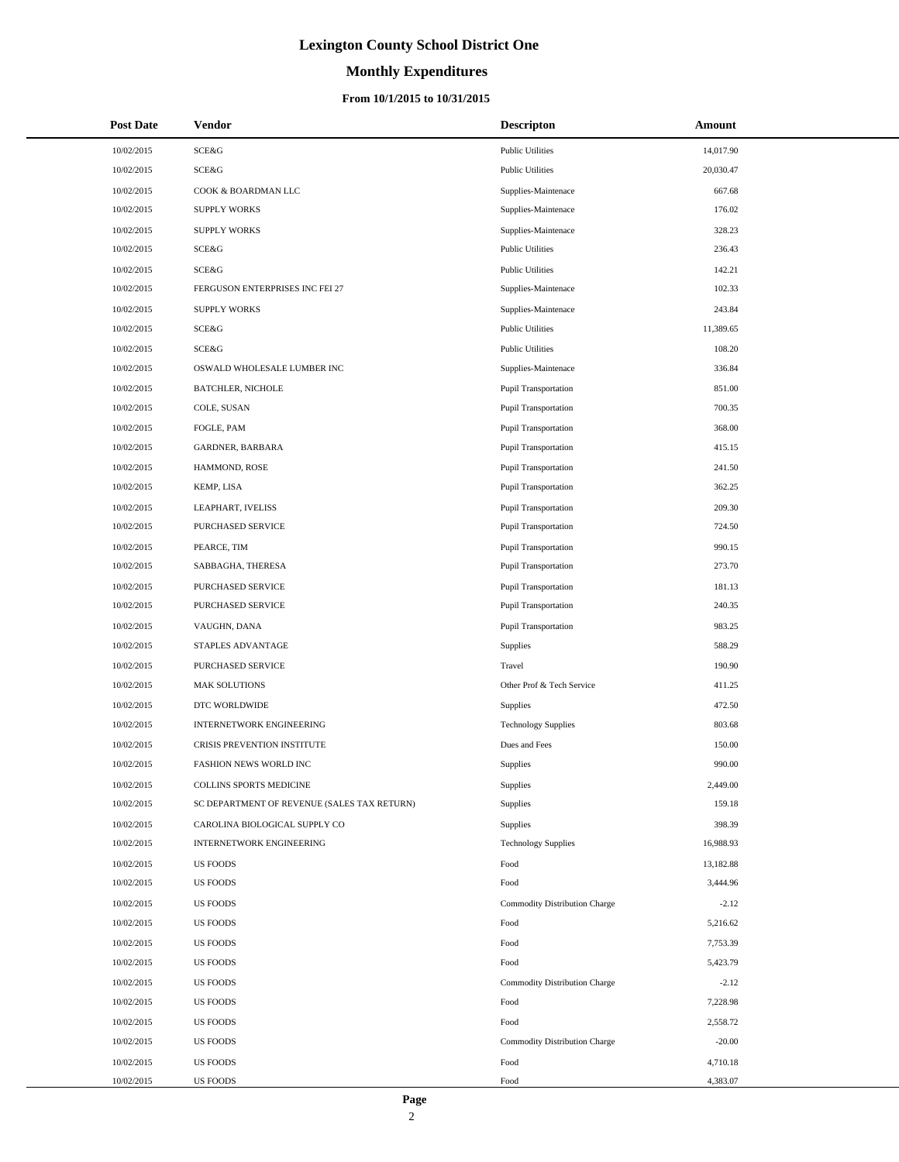# **Monthly Expenditures**

### **From 10/1/2015 to 10/31/2015**

| <b>Post Date</b> | <b>Vendor</b>                               | <b>Descripton</b>             | Amount    |
|------------------|---------------------------------------------|-------------------------------|-----------|
| 10/02/2015       | SCE&G                                       | <b>Public Utilities</b>       | 14,017.90 |
| 10/02/2015       | SCE&G                                       | <b>Public Utilities</b>       | 20,030.47 |
| 10/02/2015       | COOK & BOARDMAN LLC                         | Supplies-Maintenace           | 667.68    |
| 10/02/2015       | <b>SUPPLY WORKS</b>                         | Supplies-Maintenace           | 176.02    |
| 10/02/2015       | <b>SUPPLY WORKS</b>                         | Supplies-Maintenace           | 328.23    |
| 10/02/2015       | SCE&G                                       | <b>Public Utilities</b>       | 236.43    |
| 10/02/2015       | SCE&G                                       | <b>Public Utilities</b>       | 142.21    |
| 10/02/2015       | FERGUSON ENTERPRISES INC FEI 27             | Supplies-Maintenace           | 102.33    |
| 10/02/2015       | <b>SUPPLY WORKS</b>                         | Supplies-Maintenace           | 243.84    |
| 10/02/2015       | SCE&G                                       | <b>Public Utilities</b>       | 11,389.65 |
| 10/02/2015       | SCE&G                                       | <b>Public Utilities</b>       | 108.20    |
| 10/02/2015       | OSWALD WHOLESALE LUMBER INC                 | Supplies-Maintenace           | 336.84    |
| 10/02/2015       | <b>BATCHLER, NICHOLE</b>                    | Pupil Transportation          | 851.00    |
| 10/02/2015       | COLE, SUSAN                                 | Pupil Transportation          | 700.35    |
| 10/02/2015       | FOGLE, PAM                                  | Pupil Transportation          | 368.00    |
| 10/02/2015       | GARDNER, BARBARA                            | <b>Pupil Transportation</b>   | 415.15    |
| 10/02/2015       | HAMMOND, ROSE                               | Pupil Transportation          | 241.50    |
| 10/02/2015       | KEMP, LISA                                  | Pupil Transportation          | 362.25    |
| 10/02/2015       | LEAPHART, IVELISS                           | Pupil Transportation          | 209.30    |
| 10/02/2015       | PURCHASED SERVICE                           | <b>Pupil Transportation</b>   | 724.50    |
| 10/02/2015       | PEARCE, TIM                                 | Pupil Transportation          | 990.15    |
| 10/02/2015       | SABBAGHA, THERESA                           | Pupil Transportation          | 273.70    |
| 10/02/2015       | PURCHASED SERVICE                           | Pupil Transportation          | 181.13    |
| 10/02/2015       | PURCHASED SERVICE                           | Pupil Transportation          | 240.35    |
| 10/02/2015       | VAUGHN, DANA                                | Pupil Transportation          | 983.25    |
| 10/02/2015       | STAPLES ADVANTAGE                           | Supplies                      | 588.29    |
| 10/02/2015       | PURCHASED SERVICE                           | Travel                        | 190.90    |
| 10/02/2015       | <b>MAK SOLUTIONS</b>                        | Other Prof & Tech Service     | 411.25    |
| 10/02/2015       | DTC WORLDWIDE                               | Supplies                      | 472.50    |
| 10/02/2015       | <b>INTERNETWORK ENGINEERING</b>             | <b>Technology Supplies</b>    | 803.68    |
| 10/02/2015       | <b>CRISIS PREVENTION INSTITUTE</b>          | Dues and Fees                 | 150.00    |
| 10/02/2015       | FASHION NEWS WORLD INC                      | Supplies                      | 990.00    |
| 10/02/2015       | COLLINS SPORTS MEDICINE                     | Supplies                      | 2,449.00  |
| 10/02/2015       | SC DEPARTMENT OF REVENUE (SALES TAX RETURN) | Supplies                      | 159.18    |
| 10/02/2015       | CAROLINA BIOLOGICAL SUPPLY CO               | Supplies                      | 398.39    |
| 10/02/2015       | <b>INTERNETWORK ENGINEERING</b>             | <b>Technology Supplies</b>    | 16,988.93 |
| 10/02/2015       | <b>US FOODS</b>                             | Food                          | 13,182.88 |
| 10/02/2015       | <b>US FOODS</b>                             | Food                          | 3,444.96  |
| 10/02/2015       | <b>US FOODS</b>                             | Commodity Distribution Charge | $-2.12$   |
| 10/02/2015       | <b>US FOODS</b>                             | Food                          | 5,216.62  |
| 10/02/2015       | <b>US FOODS</b>                             | Food                          | 7,753.39  |
| 10/02/2015       | <b>US FOODS</b>                             | Food                          | 5,423.79  |
| 10/02/2015       | <b>US FOODS</b>                             | Commodity Distribution Charge | $-2.12$   |
| 10/02/2015       | <b>US FOODS</b>                             | Food                          | 7,228.98  |
| 10/02/2015       | <b>US FOODS</b>                             | Food                          | 2,558.72  |
| 10/02/2015       | <b>US FOODS</b>                             | Commodity Distribution Charge | $-20.00$  |
| 10/02/2015       | <b>US FOODS</b>                             | Food                          | 4,710.18  |
| 10/02/2015       | <b>US FOODS</b>                             | Food                          | 4,383.07  |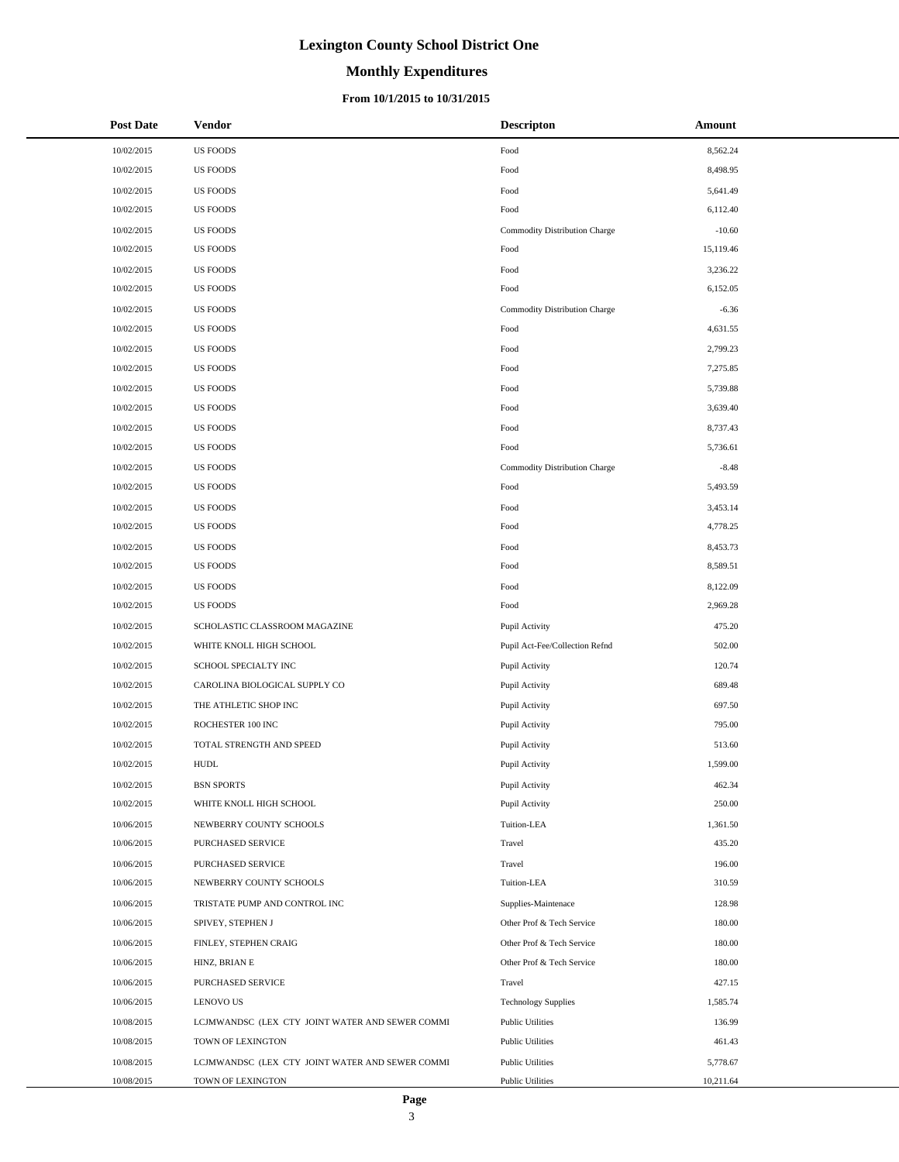### **Monthly Expenditures**

### **From 10/1/2015 to 10/31/2015**

| <b>Post Date</b> | Vendor                                          | <b>Descripton</b>              | Amount    |
|------------------|-------------------------------------------------|--------------------------------|-----------|
| 10/02/2015       | <b>US FOODS</b>                                 | Food                           | 8,562.24  |
| 10/02/2015       | <b>US FOODS</b>                                 | Food                           | 8,498.95  |
| 10/02/2015       | <b>US FOODS</b>                                 | Food                           | 5,641.49  |
| 10/02/2015       | <b>US FOODS</b>                                 | Food                           | 6,112.40  |
| 10/02/2015       | <b>US FOODS</b>                                 | Commodity Distribution Charge  | $-10.60$  |
| 10/02/2015       | <b>US FOODS</b>                                 | Food                           | 15,119.46 |
| 10/02/2015       | <b>US FOODS</b>                                 | Food                           | 3,236.22  |
| 10/02/2015       | <b>US FOODS</b>                                 | Food                           | 6,152.05  |
| 10/02/2015       | <b>US FOODS</b>                                 | Commodity Distribution Charge  | $-6.36$   |
| 10/02/2015       | <b>US FOODS</b>                                 | Food                           | 4,631.55  |
| 10/02/2015       | <b>US FOODS</b>                                 | Food                           | 2,799.23  |
| 10/02/2015       | <b>US FOODS</b>                                 | Food                           | 7,275.85  |
| 10/02/2015       | <b>US FOODS</b>                                 | Food                           | 5,739.88  |
| 10/02/2015       | <b>US FOODS</b>                                 | Food                           | 3,639.40  |
| 10/02/2015       | <b>US FOODS</b>                                 | Food                           | 8,737.43  |
| 10/02/2015       | <b>US FOODS</b>                                 | Food                           | 5,736.61  |
| 10/02/2015       | <b>US FOODS</b>                                 | Commodity Distribution Charge  | $-8.48$   |
| 10/02/2015       | <b>US FOODS</b>                                 | Food                           | 5,493.59  |
| 10/02/2015       | <b>US FOODS</b>                                 | Food                           | 3,453.14  |
| 10/02/2015       | <b>US FOODS</b>                                 | Food                           | 4,778.25  |
| 10/02/2015       | <b>US FOODS</b>                                 | Food                           | 8,453.73  |
| 10/02/2015       | <b>US FOODS</b>                                 | Food                           | 8,589.51  |
| 10/02/2015       | <b>US FOODS</b>                                 | Food                           | 8,122.09  |
| 10/02/2015       | <b>US FOODS</b>                                 | Food                           | 2,969.28  |
| 10/02/2015       | SCHOLASTIC CLASSROOM MAGAZINE                   | Pupil Activity                 | 475.20    |
| 10/02/2015       | WHITE KNOLL HIGH SCHOOL                         | Pupil Act-Fee/Collection Refnd | 502.00    |
| 10/02/2015       | SCHOOL SPECIALTY INC                            | Pupil Activity                 | 120.74    |
| 10/02/2015       | CAROLINA BIOLOGICAL SUPPLY CO                   | Pupil Activity                 | 689.48    |
| 10/02/2015       | THE ATHLETIC SHOP INC                           | Pupil Activity                 | 697.50    |
| 10/02/2015       | ROCHESTER 100 INC                               | Pupil Activity                 | 795.00    |
| 10/02/2015       | TOTAL STRENGTH AND SPEED                        | Pupil Activity                 | 513.60    |
| 10/02/2015       | <b>HUDL</b>                                     | Pupil Activity                 | 1,599.00  |
| 10/02/2015       | <b>BSN SPORTS</b>                               | Pupil Activity                 | 462.34    |
| 10/02/2015       | WHITE KNOLL HIGH SCHOOL                         | Pupil Activity                 | 250.00    |
| 10/06/2015       | NEWBERRY COUNTY SCHOOLS                         | Tuition-LEA                    | 1,361.50  |
| 10/06/2015       | PURCHASED SERVICE                               | Travel                         | 435.20    |
| 10/06/2015       | PURCHASED SERVICE                               | Travel                         | 196.00    |
| 10/06/2015       | NEWBERRY COUNTY SCHOOLS                         | Tuition-LEA                    | 310.59    |
| 10/06/2015       | TRISTATE PUMP AND CONTROL INC                   | Supplies-Maintenace            | 128.98    |
| 10/06/2015       | SPIVEY, STEPHEN J                               | Other Prof & Tech Service      | 180.00    |
| 10/06/2015       | FINLEY, STEPHEN CRAIG                           | Other Prof & Tech Service      | 180.00    |
| 10/06/2015       | HINZ, BRIAN E                                   | Other Prof & Tech Service      | 180.00    |
| 10/06/2015       | PURCHASED SERVICE                               | Travel                         | 427.15    |
| 10/06/2015       | <b>LENOVO US</b>                                | <b>Technology Supplies</b>     | 1,585.74  |
| 10/08/2015       | LCJMWANDSC (LEX CTY JOINT WATER AND SEWER COMMI | <b>Public Utilities</b>        | 136.99    |
| 10/08/2015       | TOWN OF LEXINGTON                               | <b>Public Utilities</b>        | 461.43    |
| 10/08/2015       | LCJMWANDSC (LEX CTY JOINT WATER AND SEWER COMMI | <b>Public Utilities</b>        | 5,778.67  |
| 10/08/2015       | TOWN OF LEXINGTON                               | <b>Public Utilities</b>        | 10,211.64 |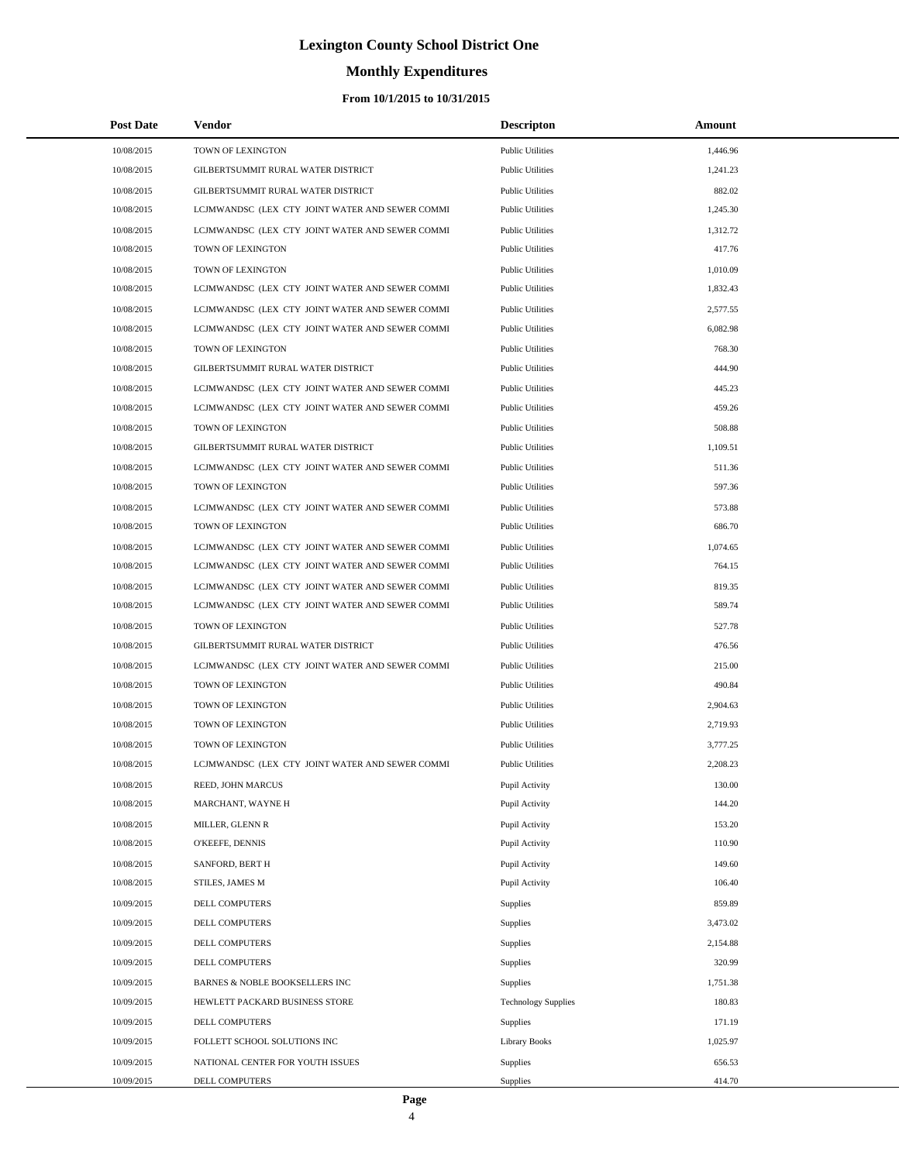# **Monthly Expenditures**

### **From 10/1/2015 to 10/31/2015**

| <b>Post Date</b> | Vendor                                          | <b>Descripton</b>          | Amount   |  |
|------------------|-------------------------------------------------|----------------------------|----------|--|
| 10/08/2015       | TOWN OF LEXINGTON                               | <b>Public Utilities</b>    | 1,446.96 |  |
| 10/08/2015       | GILBERTSUMMIT RURAL WATER DISTRICT              | <b>Public Utilities</b>    | 1,241.23 |  |
| 10/08/2015       | GILBERTSUMMIT RURAL WATER DISTRICT              | <b>Public Utilities</b>    | 882.02   |  |
| 10/08/2015       | LCJMWANDSC (LEX CTY JOINT WATER AND SEWER COMMI | <b>Public Utilities</b>    | 1,245.30 |  |
| 10/08/2015       | LCJMWANDSC (LEX CTY JOINT WATER AND SEWER COMMI | <b>Public Utilities</b>    | 1,312.72 |  |
| 10/08/2015       | TOWN OF LEXINGTON                               | <b>Public Utilities</b>    | 417.76   |  |
| 10/08/2015       | TOWN OF LEXINGTON                               | <b>Public Utilities</b>    | 1,010.09 |  |
| 10/08/2015       | LCJMWANDSC (LEX CTY JOINT WATER AND SEWER COMMI | <b>Public Utilities</b>    | 1,832.43 |  |
| 10/08/2015       | LCJMWANDSC (LEX CTY JOINT WATER AND SEWER COMMI | <b>Public Utilities</b>    | 2,577.55 |  |
| 10/08/2015       | LCJMWANDSC (LEX CTY JOINT WATER AND SEWER COMMI | <b>Public Utilities</b>    | 6,082.98 |  |
| 10/08/2015       | TOWN OF LEXINGTON                               | <b>Public Utilities</b>    | 768.30   |  |
| 10/08/2015       | GILBERTSUMMIT RURAL WATER DISTRICT              | <b>Public Utilities</b>    | 444.90   |  |
| 10/08/2015       | LCJMWANDSC (LEX CTY JOINT WATER AND SEWER COMMI | <b>Public Utilities</b>    | 445.23   |  |
| 10/08/2015       | LCJMWANDSC (LEX CTY JOINT WATER AND SEWER COMMI | <b>Public Utilities</b>    | 459.26   |  |
| 10/08/2015       | TOWN OF LEXINGTON                               | <b>Public Utilities</b>    | 508.88   |  |
| 10/08/2015       | GILBERTSUMMIT RURAL WATER DISTRICT              | <b>Public Utilities</b>    | 1,109.51 |  |
| 10/08/2015       | LCJMWANDSC (LEX CTY JOINT WATER AND SEWER COMMI | <b>Public Utilities</b>    | 511.36   |  |
| 10/08/2015       | TOWN OF LEXINGTON                               | <b>Public Utilities</b>    | 597.36   |  |
| 10/08/2015       | LCJMWANDSC (LEX CTY JOINT WATER AND SEWER COMMI | <b>Public Utilities</b>    | 573.88   |  |
| 10/08/2015       | TOWN OF LEXINGTON                               | <b>Public Utilities</b>    | 686.70   |  |
| 10/08/2015       | LCJMWANDSC (LEX CTY JOINT WATER AND SEWER COMMI | <b>Public Utilities</b>    | 1,074.65 |  |
| 10/08/2015       | LCJMWANDSC (LEX CTY JOINT WATER AND SEWER COMMI | <b>Public Utilities</b>    | 764.15   |  |
| 10/08/2015       | LCJMWANDSC (LEX CTY JOINT WATER AND SEWER COMMI | <b>Public Utilities</b>    | 819.35   |  |
| 10/08/2015       | LCJMWANDSC (LEX CTY JOINT WATER AND SEWER COMMI | <b>Public Utilities</b>    | 589.74   |  |
| 10/08/2015       | TOWN OF LEXINGTON                               | <b>Public Utilities</b>    | 527.78   |  |
| 10/08/2015       | GILBERTSUMMIT RURAL WATER DISTRICT              | <b>Public Utilities</b>    | 476.56   |  |
| 10/08/2015       | LCJMWANDSC (LEX CTY JOINT WATER AND SEWER COMMI | <b>Public Utilities</b>    | 215.00   |  |
| 10/08/2015       | TOWN OF LEXINGTON                               | <b>Public Utilities</b>    | 490.84   |  |
| 10/08/2015       | TOWN OF LEXINGTON                               | <b>Public Utilities</b>    | 2,904.63 |  |
| 10/08/2015       | TOWN OF LEXINGTON                               | <b>Public Utilities</b>    | 2,719.93 |  |
| 10/08/2015       | TOWN OF LEXINGTON                               | <b>Public Utilities</b>    | 3,777.25 |  |
| 10/08/2015       | LCJMWANDSC (LEX CTY JOINT WATER AND SEWER COMMI | <b>Public Utilities</b>    | 2,208.23 |  |
| 10/08/2015       | REED, JOHN MARCUS                               | Pupil Activity             | 130.00   |  |
| 10/08/2015       | MARCHANT, WAYNE H                               | Pupil Activity             | 144.20   |  |
| 10/08/2015       | MILLER, GLENN R                                 | Pupil Activity             | 153.20   |  |
| 10/08/2015       | O'KEEFE, DENNIS                                 | Pupil Activity             | 110.90   |  |
| 10/08/2015       | SANFORD, BERT H                                 | Pupil Activity             | 149.60   |  |
| 10/08/2015       | STILES, JAMES M                                 | Pupil Activity             | 106.40   |  |
| 10/09/2015       | <b>DELL COMPUTERS</b>                           | Supplies                   | 859.89   |  |
| 10/09/2015       | DELL COMPUTERS                                  | Supplies                   | 3,473.02 |  |
| 10/09/2015       | <b>DELL COMPUTERS</b>                           | Supplies                   | 2,154.88 |  |
| 10/09/2015       | DELL COMPUTERS                                  | Supplies                   | 320.99   |  |
| 10/09/2015       | BARNES & NOBLE BOOKSELLERS INC                  | Supplies                   | 1,751.38 |  |
| 10/09/2015       | HEWLETT PACKARD BUSINESS STORE                  | <b>Technology Supplies</b> | 180.83   |  |
| 10/09/2015       | DELL COMPUTERS                                  | Supplies                   | 171.19   |  |
| 10/09/2015       | FOLLETT SCHOOL SOLUTIONS INC                    | <b>Library Books</b>       | 1,025.97 |  |
| 10/09/2015       | NATIONAL CENTER FOR YOUTH ISSUES                | Supplies                   | 656.53   |  |
| 10/09/2015       | DELL COMPUTERS                                  | Supplies                   | 414.70   |  |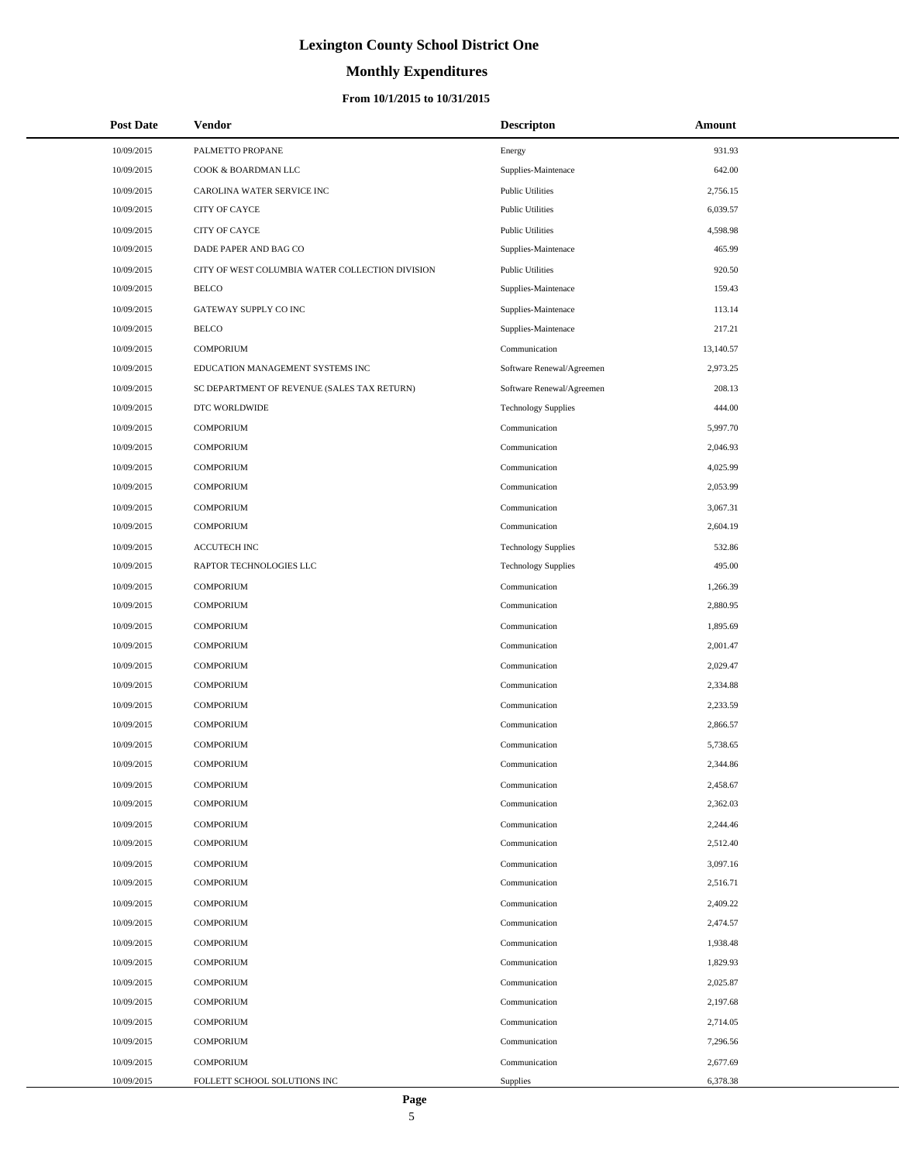# **Monthly Expenditures**

### **From 10/1/2015 to 10/31/2015**

| <b>Post Date</b> | Vendor                                          | <b>Descripton</b>          | Amount    |
|------------------|-------------------------------------------------|----------------------------|-----------|
| 10/09/2015       | PALMETTO PROPANE                                | Energy                     | 931.93    |
| 10/09/2015       | COOK & BOARDMAN LLC                             | Supplies-Maintenace        | 642.00    |
| 10/09/2015       | CAROLINA WATER SERVICE INC                      | <b>Public Utilities</b>    | 2,756.15  |
| 10/09/2015       | <b>CITY OF CAYCE</b>                            | <b>Public Utilities</b>    | 6,039.57  |
| 10/09/2015       | <b>CITY OF CAYCE</b>                            | <b>Public Utilities</b>    | 4,598.98  |
| 10/09/2015       | DADE PAPER AND BAG CO                           | Supplies-Maintenace        | 465.99    |
| 10/09/2015       | CITY OF WEST COLUMBIA WATER COLLECTION DIVISION | <b>Public Utilities</b>    | 920.50    |
| 10/09/2015       | <b>BELCO</b>                                    | Supplies-Maintenace        | 159.43    |
| 10/09/2015       | GATEWAY SUPPLY CO INC                           | Supplies-Maintenace        | 113.14    |
| 10/09/2015       | <b>BELCO</b>                                    | Supplies-Maintenace        | 217.21    |
| 10/09/2015       | <b>COMPORIUM</b>                                | Communication              | 13,140.57 |
| 10/09/2015       | EDUCATION MANAGEMENT SYSTEMS INC                | Software Renewal/Agreemen  | 2,973.25  |
| 10/09/2015       | SC DEPARTMENT OF REVENUE (SALES TAX RETURN)     | Software Renewal/Agreemen  | 208.13    |
| 10/09/2015       | DTC WORLDWIDE                                   | <b>Technology Supplies</b> | 444.00    |
| 10/09/2015       | <b>COMPORIUM</b>                                | Communication              | 5,997.70  |
| 10/09/2015       | <b>COMPORIUM</b>                                | Communication              | 2,046.93  |
| 10/09/2015       | <b>COMPORIUM</b>                                | Communication              | 4,025.99  |
| 10/09/2015       | <b>COMPORIUM</b>                                | Communication              | 2,053.99  |
| 10/09/2015       | <b>COMPORIUM</b>                                | Communication              | 3,067.31  |
| 10/09/2015       | <b>COMPORIUM</b>                                | Communication              | 2,604.19  |
| 10/09/2015       | <b>ACCUTECH INC</b>                             | <b>Technology Supplies</b> | 532.86    |
| 10/09/2015       | RAPTOR TECHNOLOGIES LLC                         | <b>Technology Supplies</b> | 495.00    |
| 10/09/2015       | <b>COMPORIUM</b>                                | Communication              | 1,266.39  |
| 10/09/2015       | <b>COMPORIUM</b>                                | Communication              | 2,880.95  |
| 10/09/2015       | <b>COMPORIUM</b>                                | Communication              | 1,895.69  |
| 10/09/2015       | <b>COMPORIUM</b>                                | Communication              | 2,001.47  |
| 10/09/2015       | <b>COMPORIUM</b>                                | Communication              | 2,029.47  |
| 10/09/2015       | <b>COMPORIUM</b>                                | Communication              | 2,334.88  |
| 10/09/2015       | <b>COMPORIUM</b>                                | Communication              | 2,233.59  |
| 10/09/2015       | <b>COMPORIUM</b>                                | Communication              | 2,866.57  |
| 10/09/2015       | <b>COMPORIUM</b>                                | Communication              | 5,738.65  |
| 10/09/2015       | <b>COMPORIUM</b>                                | Communication              | 2,344.86  |
| 10/09/2015       | <b>COMPORIUM</b>                                | Communication              | 2,458.67  |
| 10/09/2015       | <b>COMPORIUM</b>                                | Communication              | 2,362.03  |
| 10/09/2015       | <b>COMPORIUM</b>                                | Communication              | 2,244.46  |
| 10/09/2015       | <b>COMPORIUM</b>                                | Communication              | 2,512.40  |
| 10/09/2015       | <b>COMPORIUM</b>                                | Communication              | 3,097.16  |
| 10/09/2015       | <b>COMPORIUM</b>                                | Communication              | 2,516.71  |
| 10/09/2015       | <b>COMPORIUM</b>                                | Communication              | 2,409.22  |
| 10/09/2015       | <b>COMPORIUM</b>                                | Communication              | 2,474.57  |
| 10/09/2015       | <b>COMPORIUM</b>                                | Communication              | 1,938.48  |
| 10/09/2015       | <b>COMPORIUM</b>                                | Communication              | 1,829.93  |
| 10/09/2015       | <b>COMPORIUM</b>                                | Communication              | 2,025.87  |
| 10/09/2015       | <b>COMPORIUM</b>                                | Communication              | 2,197.68  |
| 10/09/2015       | <b>COMPORIUM</b>                                | Communication              | 2,714.05  |
| 10/09/2015       | <b>COMPORIUM</b>                                | Communication              | 7,296.56  |
| 10/09/2015       | <b>COMPORIUM</b>                                | Communication              | 2,677.69  |
| 10/09/2015       | FOLLETT SCHOOL SOLUTIONS INC                    | Supplies                   | 6,378.38  |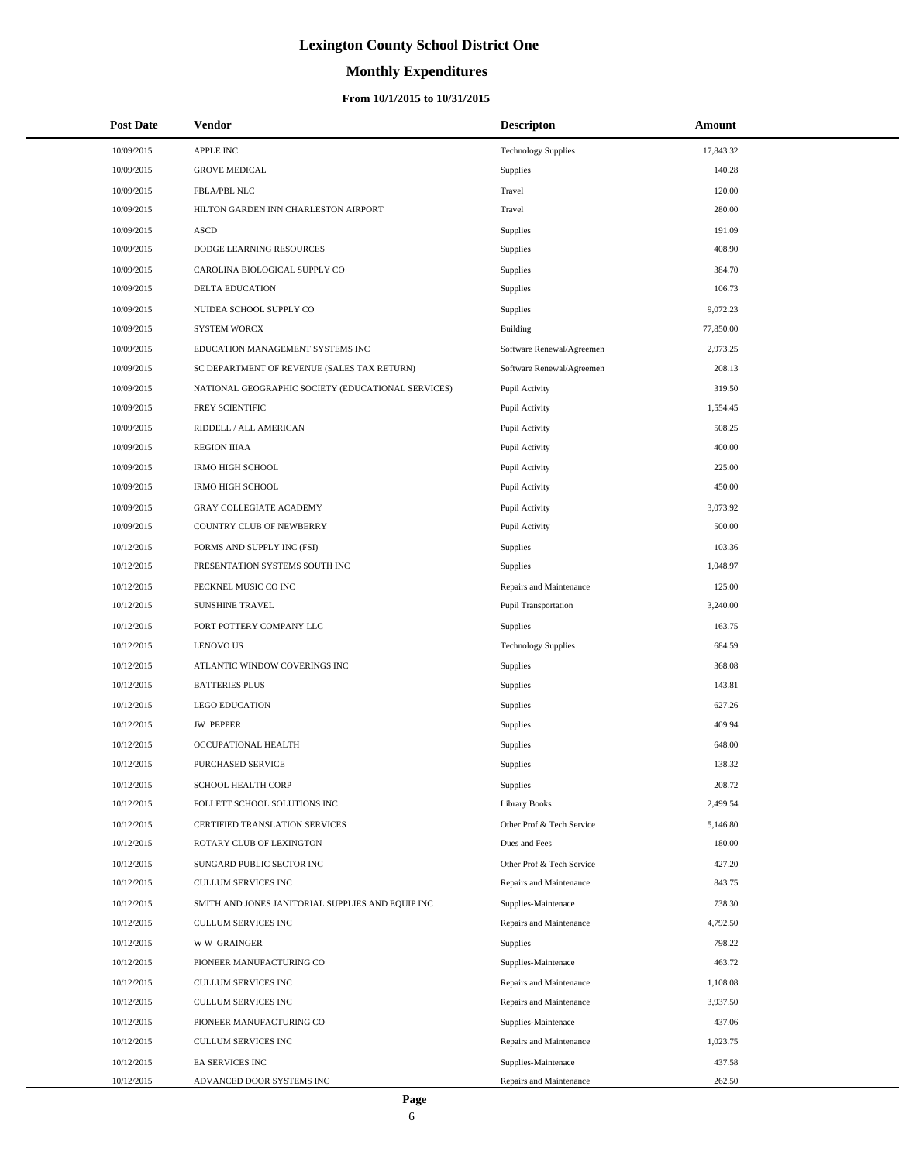# **Monthly Expenditures**

| <b>Post Date</b> | Vendor                                             | <b>Descripton</b>           | Amount    |
|------------------|----------------------------------------------------|-----------------------------|-----------|
| 10/09/2015       | <b>APPLE INC</b>                                   | <b>Technology Supplies</b>  | 17,843.32 |
| 10/09/2015       | <b>GROVE MEDICAL</b>                               | <b>Supplies</b>             | 140.28    |
| 10/09/2015       | FBLA/PBL NLC                                       | Travel                      | 120.00    |
| 10/09/2015       | HILTON GARDEN INN CHARLESTON AIRPORT               | Travel                      | 280.00    |
| 10/09/2015       | <b>ASCD</b>                                        | <b>Supplies</b>             | 191.09    |
| 10/09/2015       | DODGE LEARNING RESOURCES                           | Supplies                    | 408.90    |
| 10/09/2015       | CAROLINA BIOLOGICAL SUPPLY CO                      | Supplies                    | 384.70    |
| 10/09/2015       | <b>DELTA EDUCATION</b>                             | Supplies                    | 106.73    |
| 10/09/2015       | NUIDEA SCHOOL SUPPLY CO                            | Supplies                    | 9,072.23  |
| 10/09/2015       | <b>SYSTEM WORCX</b>                                | Building                    | 77,850.00 |
| 10/09/2015       | EDUCATION MANAGEMENT SYSTEMS INC                   | Software Renewal/Agreemen   | 2,973.25  |
| 10/09/2015       | SC DEPARTMENT OF REVENUE (SALES TAX RETURN)        | Software Renewal/Agreemen   | 208.13    |
| 10/09/2015       | NATIONAL GEOGRAPHIC SOCIETY (EDUCATIONAL SERVICES) | Pupil Activity              | 319.50    |
| 10/09/2015       | FREY SCIENTIFIC                                    | Pupil Activity              | 1,554.45  |
| 10/09/2015       | RIDDELL / ALL AMERICAN                             | Pupil Activity              | 508.25    |
| 10/09/2015       | <b>REGION IIIAA</b>                                | Pupil Activity              | 400.00    |
| 10/09/2015       | <b>IRMO HIGH SCHOOL</b>                            | Pupil Activity              | 225.00    |
| 10/09/2015       | <b>IRMO HIGH SCHOOL</b>                            | Pupil Activity              | 450.00    |
| 10/09/2015       | <b>GRAY COLLEGIATE ACADEMY</b>                     | Pupil Activity              | 3,073.92  |
| 10/09/2015       | COUNTRY CLUB OF NEWBERRY                           | Pupil Activity              | 500.00    |
| 10/12/2015       | FORMS AND SUPPLY INC (FSI)                         | Supplies                    | 103.36    |
| 10/12/2015       | PRESENTATION SYSTEMS SOUTH INC                     | <b>Supplies</b>             | 1,048.97  |
| 10/12/2015       | PECKNEL MUSIC CO INC                               | Repairs and Maintenance     | 125.00    |
| 10/12/2015       | <b>SUNSHINE TRAVEL</b>                             | <b>Pupil Transportation</b> | 3,240.00  |
| 10/12/2015       | FORT POTTERY COMPANY LLC                           | <b>Supplies</b>             | 163.75    |
| 10/12/2015       | <b>LENOVO US</b>                                   | <b>Technology Supplies</b>  | 684.59    |
| 10/12/2015       | ATLANTIC WINDOW COVERINGS INC                      | Supplies                    | 368.08    |
| 10/12/2015       | <b>BATTERIES PLUS</b>                              | <b>Supplies</b>             | 143.81    |
| 10/12/2015       | <b>LEGO EDUCATION</b>                              | Supplies                    | 627.26    |
| 10/12/2015       | <b>JW PEPPER</b>                                   | Supplies                    | 409.94    |
| 10/12/2015       | OCCUPATIONAL HEALTH                                | Supplies                    | 648.00    |
| 10/12/2015       | PURCHASED SERVICE                                  | Supplies                    | 138.32    |
| 10/12/2015       | SCHOOL HEALTH CORP                                 | Supplies                    | 208.72    |
| 10/12/2015       | FOLLETT SCHOOL SOLUTIONS INC                       | Library Books               | 2,499.54  |
| 10/12/2015       | CERTIFIED TRANSLATION SERVICES                     | Other Prof & Tech Service   | 5,146.80  |
| 10/12/2015       | ROTARY CLUB OF LEXINGTON                           | Dues and Fees               | 180.00    |
| 10/12/2015       | SUNGARD PUBLIC SECTOR INC                          | Other Prof & Tech Service   | 427.20    |
| 10/12/2015       | CULLUM SERVICES INC                                | Repairs and Maintenance     | 843.75    |
| 10/12/2015       | SMITH AND JONES JANITORIAL SUPPLIES AND EQUIP INC  | Supplies-Maintenace         | 738.30    |
| 10/12/2015       | CULLUM SERVICES INC                                | Repairs and Maintenance     | 4,792.50  |
| 10/12/2015       | <b>WW GRAINGER</b>                                 | Supplies                    | 798.22    |
| 10/12/2015       | PIONEER MANUFACTURING CO                           | Supplies-Maintenace         | 463.72    |
| 10/12/2015       | CULLUM SERVICES INC                                | Repairs and Maintenance     | 1,108.08  |
| 10/12/2015       | CULLUM SERVICES INC                                | Repairs and Maintenance     | 3,937.50  |
| 10/12/2015       | PIONEER MANUFACTURING CO                           | Supplies-Maintenace         | 437.06    |
| 10/12/2015       | CULLUM SERVICES INC                                | Repairs and Maintenance     | 1,023.75  |
| 10/12/2015       | EA SERVICES INC                                    | Supplies-Maintenace         | 437.58    |
| 10/12/2015       | ADVANCED DOOR SYSTEMS INC                          | Repairs and Maintenance     | 262.50    |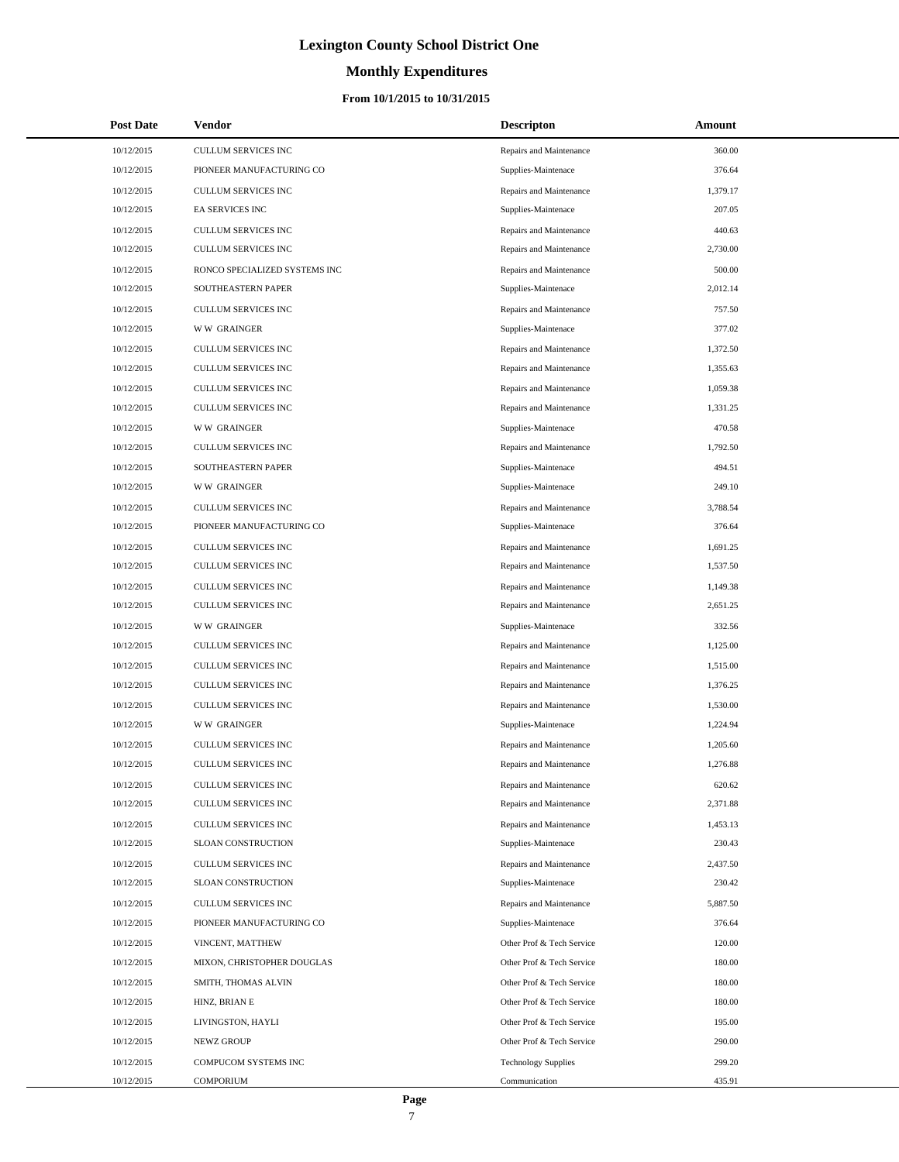# **Monthly Expenditures**

### **From 10/1/2015 to 10/31/2015**

| <b>Post Date</b> | Vendor                        | <b>Descripton</b>          | Amount   |
|------------------|-------------------------------|----------------------------|----------|
| 10/12/2015       | CULLUM SERVICES INC           | Repairs and Maintenance    | 360.00   |
| 10/12/2015       | PIONEER MANUFACTURING CO      | Supplies-Maintenace        | 376.64   |
| 10/12/2015       | CULLUM SERVICES INC           | Repairs and Maintenance    | 1,379.17 |
| 10/12/2015       | <b>EA SERVICES INC</b>        | Supplies-Maintenace        | 207.05   |
| 10/12/2015       | CULLUM SERVICES INC           | Repairs and Maintenance    | 440.63   |
| 10/12/2015       | CULLUM SERVICES INC           | Repairs and Maintenance    | 2,730.00 |
| 10/12/2015       | RONCO SPECIALIZED SYSTEMS INC | Repairs and Maintenance    | 500.00   |
| 10/12/2015       | SOUTHEASTERN PAPER            | Supplies-Maintenace        | 2,012.14 |
| 10/12/2015       | CULLUM SERVICES INC           | Repairs and Maintenance    | 757.50   |
| 10/12/2015       | <b>WW GRAINGER</b>            | Supplies-Maintenace        | 377.02   |
| 10/12/2015       | CULLUM SERVICES INC           | Repairs and Maintenance    | 1,372.50 |
| 10/12/2015       | CULLUM SERVICES INC           | Repairs and Maintenance    | 1,355.63 |
| 10/12/2015       | CULLUM SERVICES INC           | Repairs and Maintenance    | 1,059.38 |
| 10/12/2015       | CULLUM SERVICES INC           | Repairs and Maintenance    | 1,331.25 |
| 10/12/2015       | <b>WW GRAINGER</b>            | Supplies-Maintenace        | 470.58   |
| 10/12/2015       | CULLUM SERVICES INC           | Repairs and Maintenance    | 1,792.50 |
| 10/12/2015       | SOUTHEASTERN PAPER            | Supplies-Maintenace        | 494.51   |
| 10/12/2015       | <b>WW GRAINGER</b>            | Supplies-Maintenace        | 249.10   |
| 10/12/2015       | CULLUM SERVICES INC           | Repairs and Maintenance    | 3,788.54 |
| 10/12/2015       | PIONEER MANUFACTURING CO      | Supplies-Maintenace        | 376.64   |
| 10/12/2015       | CULLUM SERVICES INC           | Repairs and Maintenance    | 1,691.25 |
| 10/12/2015       | CULLUM SERVICES INC           | Repairs and Maintenance    | 1,537.50 |
| 10/12/2015       | CULLUM SERVICES INC           | Repairs and Maintenance    | 1,149.38 |
| 10/12/2015       | CULLUM SERVICES INC           | Repairs and Maintenance    | 2,651.25 |
| 10/12/2015       | <b>WW GRAINGER</b>            | Supplies-Maintenace        | 332.56   |
| 10/12/2015       | CULLUM SERVICES INC           | Repairs and Maintenance    | 1,125.00 |
| 10/12/2015       | CULLUM SERVICES INC           | Repairs and Maintenance    | 1,515.00 |
| 10/12/2015       | CULLUM SERVICES INC           | Repairs and Maintenance    | 1,376.25 |
| 10/12/2015       | CULLUM SERVICES INC           | Repairs and Maintenance    | 1,530.00 |
| 10/12/2015       | <b>WW GRAINGER</b>            | Supplies-Maintenace        | 1,224.94 |
| 10/12/2015       | CULLUM SERVICES INC           | Repairs and Maintenance    | 1,205.60 |
| 10/12/2015       | CULLUM SERVICES INC           | Repairs and Maintenance    | 1,276.88 |
| 10/12/2015       | CULLUM SERVICES INC           | Repairs and Maintenance    | 620.62   |
| 10/12/2015       | CULLUM SERVICES INC           | Repairs and Maintenance    | 2,371.88 |
| 10/12/2015       | CULLUM SERVICES INC           | Repairs and Maintenance    | 1,453.13 |
| 10/12/2015       | SLOAN CONSTRUCTION            | Supplies-Maintenace        | 230.43   |
| 10/12/2015       | CULLUM SERVICES INC           | Repairs and Maintenance    | 2,437.50 |
| 10/12/2015       | SLOAN CONSTRUCTION            | Supplies-Maintenace        | 230.42   |
| 10/12/2015       | <b>CULLUM SERVICES INC</b>    | Repairs and Maintenance    | 5,887.50 |
| 10/12/2015       | PIONEER MANUFACTURING CO      | Supplies-Maintenace        | 376.64   |
| 10/12/2015       | VINCENT, MATTHEW              | Other Prof & Tech Service  | 120.00   |
| 10/12/2015       | MIXON, CHRISTOPHER DOUGLAS    | Other Prof & Tech Service  | 180.00   |
| 10/12/2015       | SMITH, THOMAS ALVIN           | Other Prof & Tech Service  | 180.00   |
| 10/12/2015       | HINZ, BRIAN E                 | Other Prof & Tech Service  | 180.00   |
| 10/12/2015       | LIVINGSTON, HAYLI             | Other Prof & Tech Service  | 195.00   |
| 10/12/2015       | NEWZ GROUP                    | Other Prof & Tech Service  | 290.00   |
| 10/12/2015       | COMPUCOM SYSTEMS INC          | <b>Technology Supplies</b> | 299.20   |
| 10/12/2015       | <b>COMPORIUM</b>              | Communication              | 435.91   |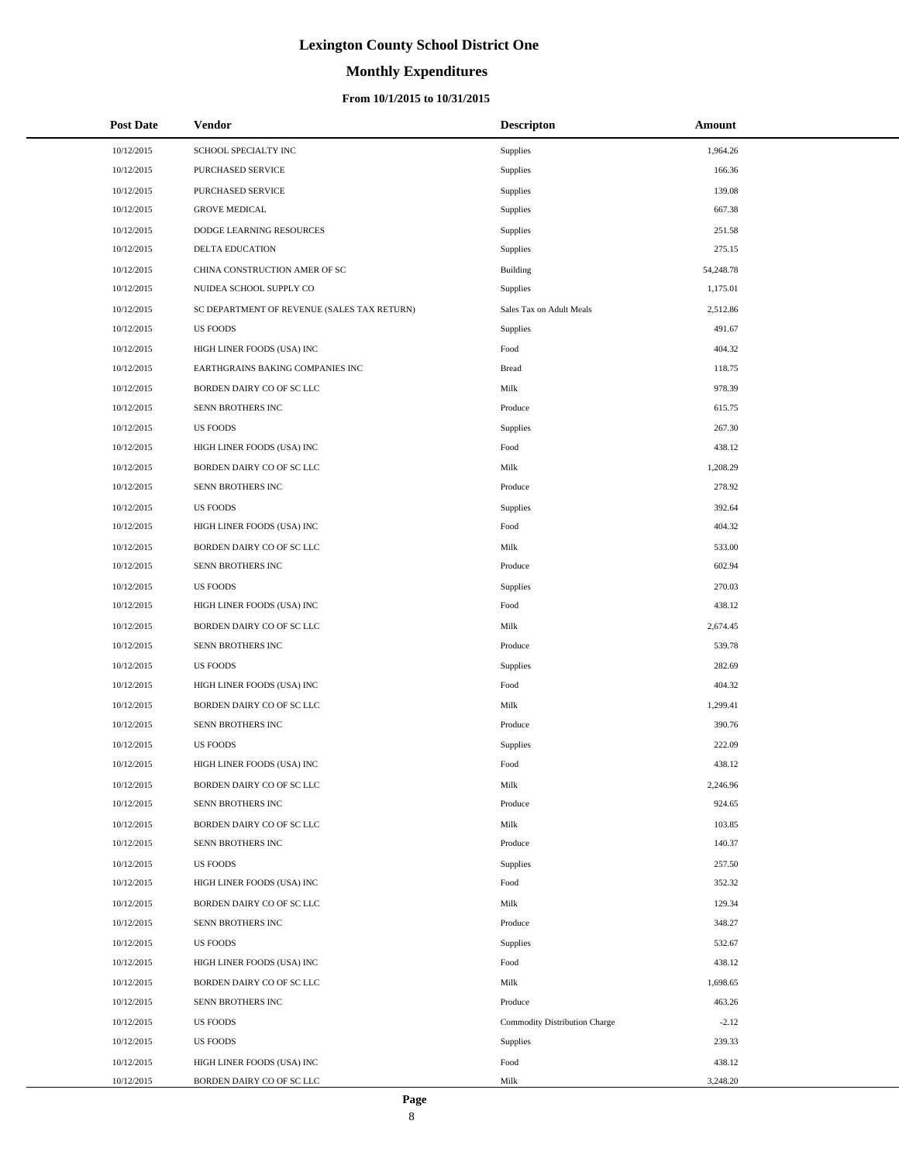# **Monthly Expenditures**

### **From 10/1/2015 to 10/31/2015**

| <b>Post Date</b> | Vendor                                      | <b>Descripton</b>             | Amount    |
|------------------|---------------------------------------------|-------------------------------|-----------|
| 10/12/2015       | SCHOOL SPECIALTY INC                        | Supplies                      | 1,964.26  |
| 10/12/2015       | PURCHASED SERVICE                           | Supplies                      | 166.36    |
| 10/12/2015       | PURCHASED SERVICE                           | Supplies                      | 139.08    |
| 10/12/2015       | <b>GROVE MEDICAL</b>                        | Supplies                      | 667.38    |
| 10/12/2015       | DODGE LEARNING RESOURCES                    | Supplies                      | 251.58    |
| 10/12/2015       | DELTA EDUCATION                             | Supplies                      | 275.15    |
| 10/12/2015       | CHINA CONSTRUCTION AMER OF SC               | Building                      | 54,248.78 |
| 10/12/2015       | NUIDEA SCHOOL SUPPLY CO                     | Supplies                      | 1,175.01  |
| 10/12/2015       | SC DEPARTMENT OF REVENUE (SALES TAX RETURN) | Sales Tax on Adult Meals      | 2,512.86  |
| 10/12/2015       | <b>US FOODS</b>                             | Supplies                      | 491.67    |
| 10/12/2015       | HIGH LINER FOODS (USA) INC                  | Food                          | 404.32    |
| 10/12/2015       | EARTHGRAINS BAKING COMPANIES INC            | <b>Bread</b>                  | 118.75    |
| 10/12/2015       | BORDEN DAIRY CO OF SC LLC                   | Milk                          | 978.39    |
| 10/12/2015       | SENN BROTHERS INC                           | Produce                       | 615.75    |
| 10/12/2015       | <b>US FOODS</b>                             | Supplies                      | 267.30    |
| 10/12/2015       | HIGH LINER FOODS (USA) INC                  | Food                          | 438.12    |
| 10/12/2015       | BORDEN DAIRY CO OF SC LLC                   | Milk                          | 1,208.29  |
| 10/12/2015       | SENN BROTHERS INC                           | Produce                       | 278.92    |
| 10/12/2015       | <b>US FOODS</b>                             | Supplies                      | 392.64    |
| 10/12/2015       | HIGH LINER FOODS (USA) INC                  | Food                          | 404.32    |
| 10/12/2015       | BORDEN DAIRY CO OF SC LLC                   | Milk                          | 533.00    |
| 10/12/2015       | SENN BROTHERS INC                           | Produce                       | 602.94    |
| 10/12/2015       | <b>US FOODS</b>                             | Supplies                      | 270.03    |
| 10/12/2015       | HIGH LINER FOODS (USA) INC                  | Food                          | 438.12    |
| 10/12/2015       | BORDEN DAIRY CO OF SC LLC                   | Milk                          | 2,674.45  |
| 10/12/2015       | SENN BROTHERS INC                           | Produce                       | 539.78    |
| 10/12/2015       | <b>US FOODS</b>                             | Supplies                      | 282.69    |
| 10/12/2015       | HIGH LINER FOODS (USA) INC                  | Food                          | 404.32    |
| 10/12/2015       | BORDEN DAIRY CO OF SC LLC                   | Milk                          | 1,299.41  |
| 10/12/2015       | SENN BROTHERS INC                           | Produce                       | 390.76    |
| 10/12/2015       | <b>US FOODS</b>                             | Supplies                      | 222.09    |
| 10/12/2015       | HIGH LINER FOODS (USA) INC                  | Food                          | 438.12    |
| 10/12/2015       | BORDEN DAIRY CO OF SC LLC                   | Milk                          | 2,246.96  |
| 10/12/2015       | SENN BROTHERS INC                           | Produce                       | 924.65    |
| 10/12/2015       | BORDEN DAIRY CO OF SC LLC                   | Milk                          | 103.85    |
| 10/12/2015       | SENN BROTHERS INC                           | Produce                       | 140.37    |
| 10/12/2015       | <b>US FOODS</b>                             | Supplies                      | 257.50    |
| 10/12/2015       | HIGH LINER FOODS (USA) INC                  | Food                          | 352.32    |
| 10/12/2015       | BORDEN DAIRY CO OF SC LLC                   | Milk                          | 129.34    |
| 10/12/2015       | SENN BROTHERS INC                           | Produce                       | 348.27    |
| 10/12/2015       | <b>US FOODS</b>                             | Supplies                      | 532.67    |
| 10/12/2015       | HIGH LINER FOODS (USA) INC                  | Food                          | 438.12    |
| 10/12/2015       | BORDEN DAIRY CO OF SC LLC                   | Milk                          | 1,698.65  |
| 10/12/2015       | SENN BROTHERS INC                           | Produce                       | 463.26    |
| 10/12/2015       | <b>US FOODS</b>                             | Commodity Distribution Charge | $-2.12$   |
| 10/12/2015       | <b>US FOODS</b>                             | Supplies                      | 239.33    |
| 10/12/2015       | HIGH LINER FOODS (USA) INC                  | Food                          | 438.12    |
| 10/12/2015       | BORDEN DAIRY CO OF SC LLC                   | Milk                          | 3,248.20  |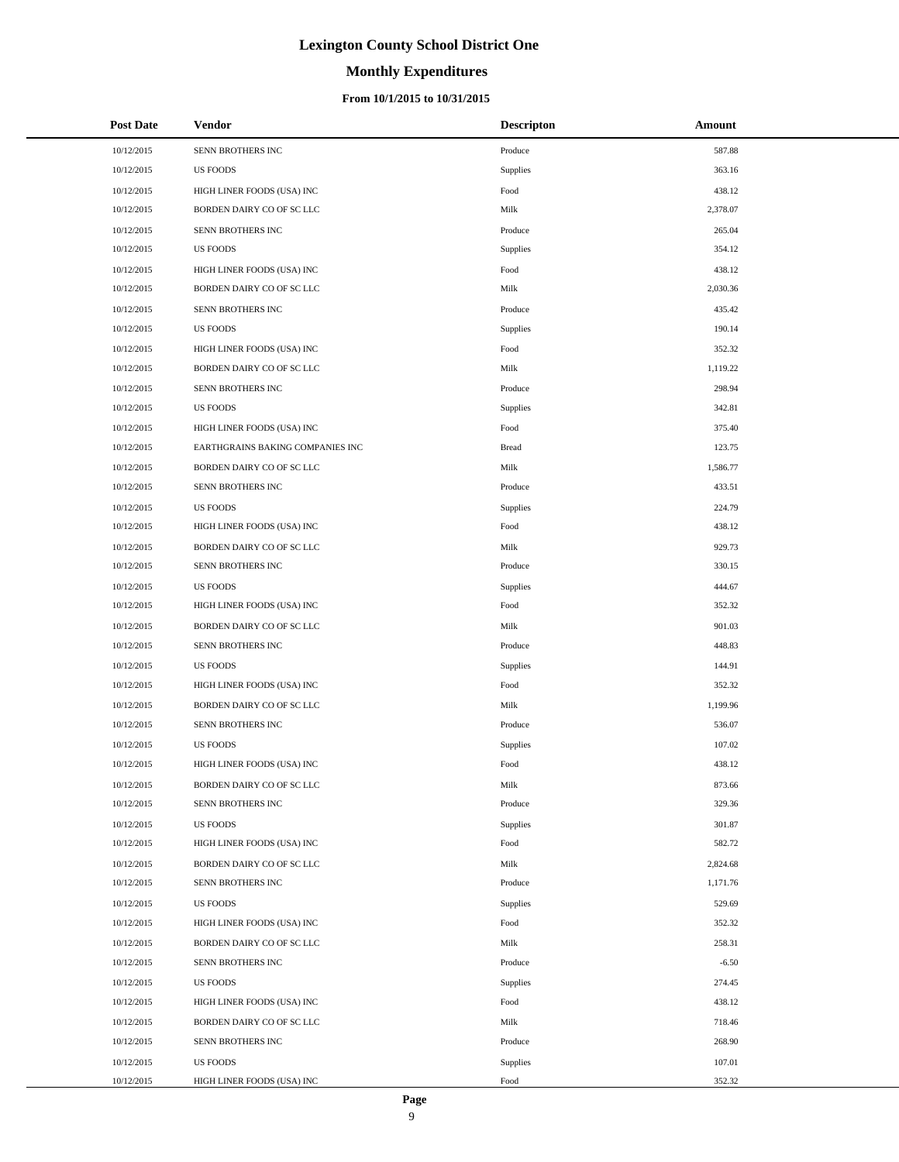### **Monthly Expenditures**

### **From 10/1/2015 to 10/31/2015**

| <b>Post Date</b> | Vendor                           | <b>Descripton</b> | Amount   |
|------------------|----------------------------------|-------------------|----------|
| 10/12/2015       | SENN BROTHERS INC                | Produce           | 587.88   |
| 10/12/2015       | <b>US FOODS</b>                  | Supplies          | 363.16   |
| 10/12/2015       | HIGH LINER FOODS (USA) INC       | Food              | 438.12   |
| 10/12/2015       | BORDEN DAIRY CO OF SC LLC        | Milk              | 2,378.07 |
| 10/12/2015       | SENN BROTHERS INC                | Produce           | 265.04   |
| 10/12/2015       | <b>US FOODS</b>                  | Supplies          | 354.12   |
| 10/12/2015       | HIGH LINER FOODS (USA) INC       | Food              | 438.12   |
| 10/12/2015       | BORDEN DAIRY CO OF SC LLC        | Milk              | 2,030.36 |
| 10/12/2015       | SENN BROTHERS INC                | Produce           | 435.42   |
| 10/12/2015       | <b>US FOODS</b>                  | Supplies          | 190.14   |
| 10/12/2015       | HIGH LINER FOODS (USA) INC       | Food              | 352.32   |
| 10/12/2015       | BORDEN DAIRY CO OF SC LLC        | Milk              | 1,119.22 |
| 10/12/2015       | SENN BROTHERS INC                | Produce           | 298.94   |
| 10/12/2015       | <b>US FOODS</b>                  | Supplies          | 342.81   |
| 10/12/2015       | HIGH LINER FOODS (USA) INC       | Food              | 375.40   |
| 10/12/2015       | EARTHGRAINS BAKING COMPANIES INC | <b>Bread</b>      | 123.75   |
| 10/12/2015       | BORDEN DAIRY CO OF SC LLC        | Milk              | 1,586.77 |
| 10/12/2015       | SENN BROTHERS INC                | Produce           | 433.51   |
| 10/12/2015       | <b>US FOODS</b>                  | Supplies          | 224.79   |
| 10/12/2015       | HIGH LINER FOODS (USA) INC       | Food              | 438.12   |
| 10/12/2015       | BORDEN DAIRY CO OF SC LLC        | Milk              | 929.73   |
| 10/12/2015       | SENN BROTHERS INC                | Produce           | 330.15   |
| 10/12/2015       | <b>US FOODS</b>                  | Supplies          | 444.67   |
| 10/12/2015       | HIGH LINER FOODS (USA) INC       | Food              | 352.32   |
| 10/12/2015       | BORDEN DAIRY CO OF SC LLC        | Milk              | 901.03   |
| 10/12/2015       | SENN BROTHERS INC                | Produce           | 448.83   |
| 10/12/2015       | <b>US FOODS</b>                  | Supplies          | 144.91   |
| 10/12/2015       | HIGH LINER FOODS (USA) INC       | Food              | 352.32   |
| 10/12/2015       | BORDEN DAIRY CO OF SC LLC        | Milk              | 1,199.96 |
| 10/12/2015       | SENN BROTHERS INC                | Produce           | 536.07   |
| 10/12/2015       | <b>US FOODS</b>                  | Supplies          | 107.02   |
| 10/12/2015       | HIGH LINER FOODS (USA) INC       | Food              | 438.12   |
| 10/12/2015       | BORDEN DAIRY CO OF SC LLC        | Milk              | 873.66   |
| 10/12/2015       | SENN BROTHERS INC                | Produce           | 329.36   |
| 10/12/2015       | <b>US FOODS</b>                  | Supplies          | 301.87   |
| 10/12/2015       | HIGH LINER FOODS (USA) INC       | Food              | 582.72   |
| 10/12/2015       | BORDEN DAIRY CO OF SC LLC        | Milk              | 2,824.68 |
| 10/12/2015       | SENN BROTHERS INC                | Produce           | 1,171.76 |
| 10/12/2015       | <b>US FOODS</b>                  | Supplies          | 529.69   |
| 10/12/2015       | HIGH LINER FOODS (USA) INC       | Food              | 352.32   |
| 10/12/2015       | BORDEN DAIRY CO OF SC LLC        | Milk              | 258.31   |
| 10/12/2015       | SENN BROTHERS INC                | Produce           | $-6.50$  |
| 10/12/2015       | <b>US FOODS</b>                  | Supplies          | 274.45   |
| 10/12/2015       | HIGH LINER FOODS (USA) INC       | Food              | 438.12   |
| 10/12/2015       | BORDEN DAIRY CO OF SC LLC        | Milk              | 718.46   |
| 10/12/2015       | SENN BROTHERS INC                | Produce           | 268.90   |
| 10/12/2015       | <b>US FOODS</b>                  | Supplies          | 107.01   |
| 10/12/2015       | HIGH LINER FOODS (USA) INC       | Food              | 352.32   |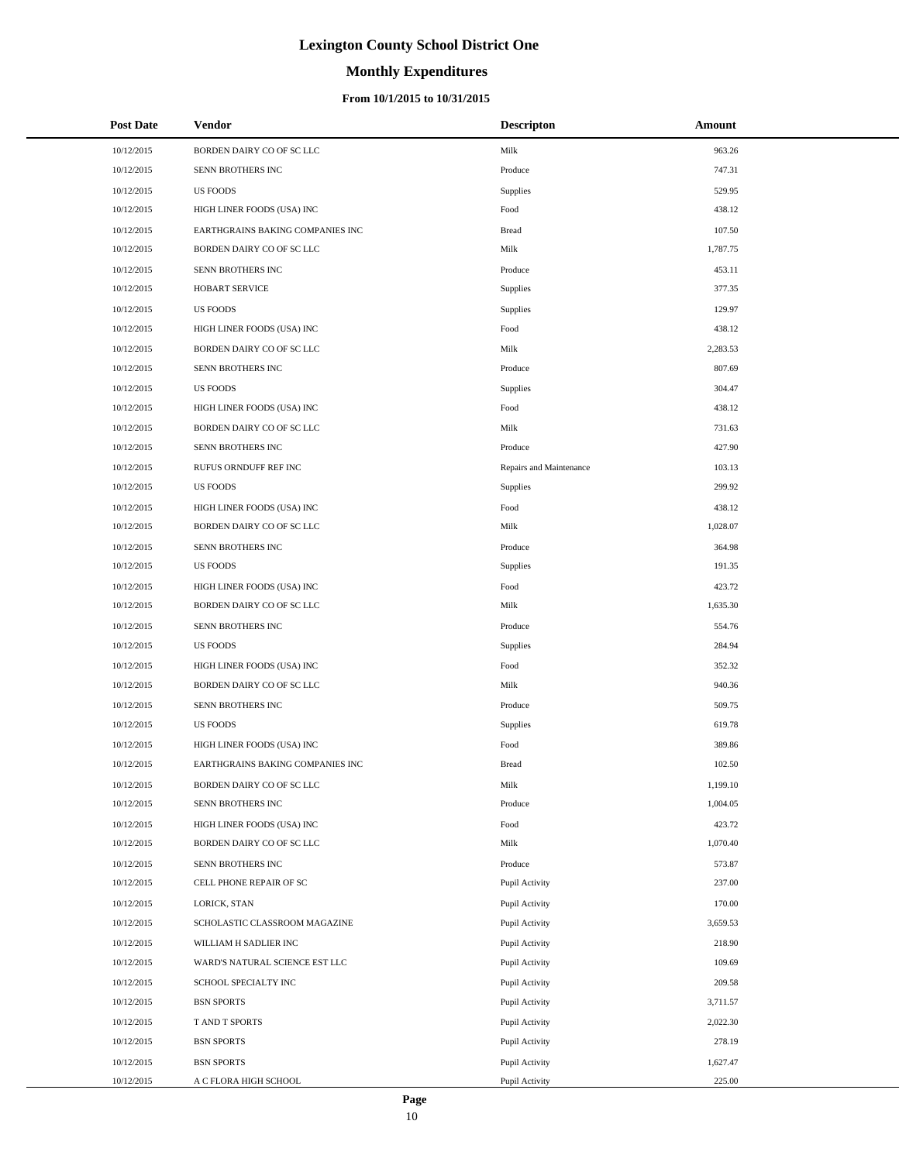# **Monthly Expenditures**

### **From 10/1/2015 to 10/31/2015**

| <b>Post Date</b> | <b>Vendor</b>                    | <b>Descripton</b>       | Amount   |
|------------------|----------------------------------|-------------------------|----------|
| 10/12/2015       | BORDEN DAIRY CO OF SC LLC        | Milk                    | 963.26   |
| 10/12/2015       | SENN BROTHERS INC                | Produce                 | 747.31   |
| 10/12/2015       | <b>US FOODS</b>                  | <b>Supplies</b>         | 529.95   |
| 10/12/2015       | HIGH LINER FOODS (USA) INC       | Food                    | 438.12   |
| 10/12/2015       | EARTHGRAINS BAKING COMPANIES INC | <b>Bread</b>            | 107.50   |
| 10/12/2015       | BORDEN DAIRY CO OF SC LLC        | Milk                    | 1,787.75 |
| 10/12/2015       | SENN BROTHERS INC                | Produce                 | 453.11   |
| 10/12/2015       | <b>HOBART SERVICE</b>            | Supplies                | 377.35   |
| 10/12/2015       | <b>US FOODS</b>                  | <b>Supplies</b>         | 129.97   |
| 10/12/2015       | HIGH LINER FOODS (USA) INC       | Food                    | 438.12   |
| 10/12/2015       | BORDEN DAIRY CO OF SC LLC        | Milk                    | 2,283.53 |
| 10/12/2015       | SENN BROTHERS INC                | Produce                 | 807.69   |
| 10/12/2015       | <b>US FOODS</b>                  | <b>Supplies</b>         | 304.47   |
| 10/12/2015       | HIGH LINER FOODS (USA) INC       | Food                    | 438.12   |
| 10/12/2015       | BORDEN DAIRY CO OF SC LLC        | Milk                    | 731.63   |
| 10/12/2015       | SENN BROTHERS INC                | Produce                 | 427.90   |
| 10/12/2015       | RUFUS ORNDUFF REF INC            | Repairs and Maintenance | 103.13   |
| 10/12/2015       | <b>US FOODS</b>                  | <b>Supplies</b>         | 299.92   |
| 10/12/2015       | HIGH LINER FOODS (USA) INC       | Food                    | 438.12   |
| 10/12/2015       | BORDEN DAIRY CO OF SC LLC        | Milk                    | 1,028.07 |
| 10/12/2015       | SENN BROTHERS INC                | Produce                 | 364.98   |
| 10/12/2015       | <b>US FOODS</b>                  | <b>Supplies</b>         | 191.35   |
| 10/12/2015       | HIGH LINER FOODS (USA) INC       | Food                    | 423.72   |
| 10/12/2015       | BORDEN DAIRY CO OF SC LLC        | Milk                    | 1,635.30 |
| 10/12/2015       | SENN BROTHERS INC                | Produce                 | 554.76   |
| 10/12/2015       | <b>US FOODS</b>                  | <b>Supplies</b>         | 284.94   |
| 10/12/2015       | HIGH LINER FOODS (USA) INC       | Food                    | 352.32   |
| 10/12/2015       | BORDEN DAIRY CO OF SC LLC        | Milk                    | 940.36   |
| 10/12/2015       | SENN BROTHERS INC                | Produce                 | 509.75   |
| 10/12/2015       | <b>US FOODS</b>                  | <b>Supplies</b>         | 619.78   |
| 10/12/2015       | HIGH LINER FOODS (USA) INC       | Food                    | 389.86   |
| 10/12/2015       | EARTHGRAINS BAKING COMPANIES INC | <b>Bread</b>            | 102.50   |
| 10/12/2015       | BORDEN DAIRY CO OF SC LLC        | Milk                    | 1,199.10 |
| 10/12/2015       | SENN BROTHERS INC                | Produce                 | 1,004.05 |
| 10/12/2015       | HIGH LINER FOODS (USA) INC       | Food                    | 423.72   |
| 10/12/2015       | BORDEN DAIRY CO OF SC LLC        | Milk                    | 1,070.40 |
| 10/12/2015       | SENN BROTHERS INC                | Produce                 | 573.87   |
| 10/12/2015       | CELL PHONE REPAIR OF SC          | Pupil Activity          | 237.00   |
| 10/12/2015       | LORICK, STAN                     | Pupil Activity          | 170.00   |
| 10/12/2015       | SCHOLASTIC CLASSROOM MAGAZINE    | Pupil Activity          | 3,659.53 |
| 10/12/2015       | WILLIAM H SADLIER INC            | Pupil Activity          | 218.90   |
| 10/12/2015       | WARD'S NATURAL SCIENCE EST LLC   | Pupil Activity          | 109.69   |
| 10/12/2015       | SCHOOL SPECIALTY INC             | Pupil Activity          | 209.58   |
| 10/12/2015       | <b>BSN SPORTS</b>                | Pupil Activity          | 3,711.57 |
| 10/12/2015       | T AND T SPORTS                   | Pupil Activity          | 2,022.30 |
| 10/12/2015       | <b>BSN SPORTS</b>                | Pupil Activity          | 278.19   |
| 10/12/2015       | <b>BSN SPORTS</b>                | Pupil Activity          | 1,627.47 |
| 10/12/2015       | A C FLORA HIGH SCHOOL            | Pupil Activity          | 225.00   |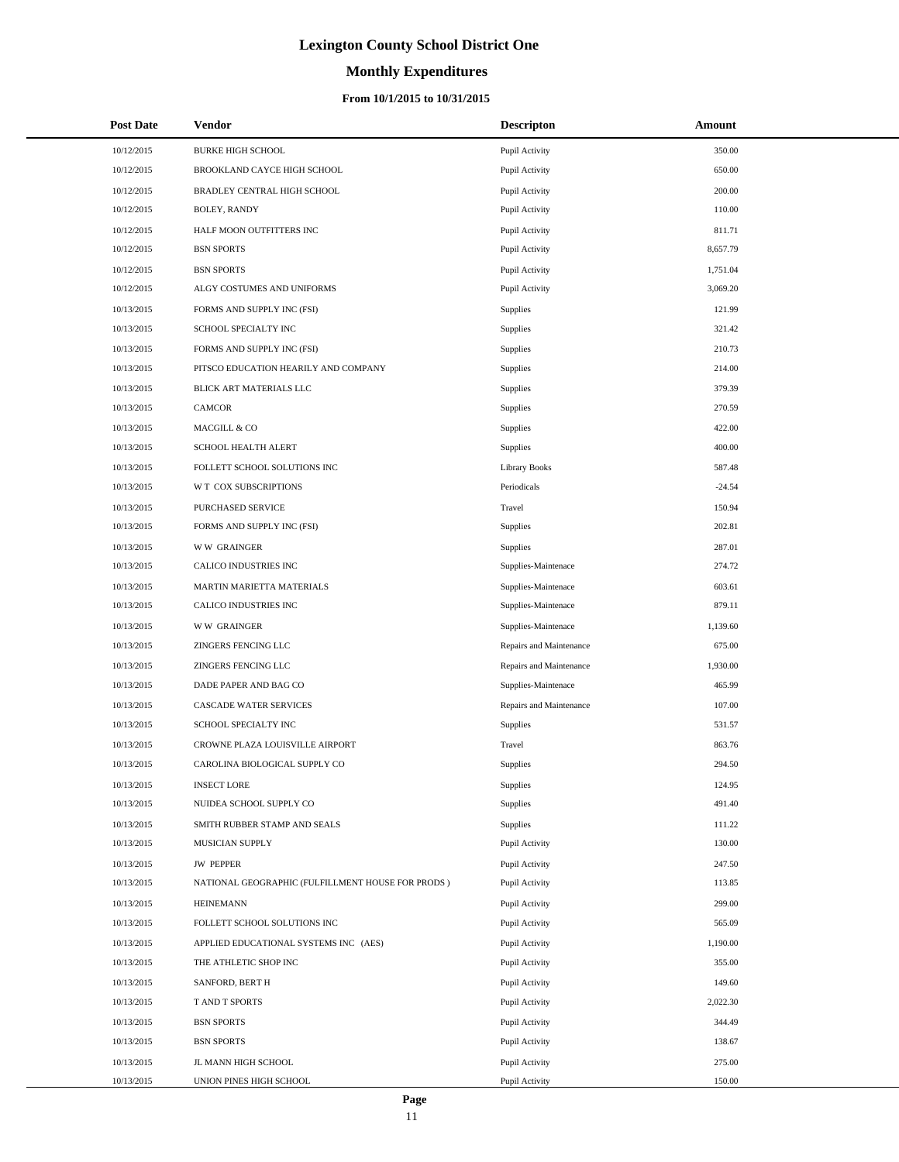# **Monthly Expenditures**

| <b>Post Date</b> | <b>Vendor</b>                                      | <b>Descripton</b>       | Amount   |
|------------------|----------------------------------------------------|-------------------------|----------|
| 10/12/2015       | <b>BURKE HIGH SCHOOL</b>                           | Pupil Activity          | 350.00   |
| 10/12/2015       | BROOKLAND CAYCE HIGH SCHOOL                        | Pupil Activity          | 650.00   |
| 10/12/2015       | BRADLEY CENTRAL HIGH SCHOOL                        | Pupil Activity          | 200.00   |
| 10/12/2015       | BOLEY, RANDY                                       | Pupil Activity          | 110.00   |
| 10/12/2015       | HALF MOON OUTFITTERS INC                           | Pupil Activity          | 811.71   |
| 10/12/2015       | <b>BSN SPORTS</b>                                  | Pupil Activity          | 8,657.79 |
| 10/12/2015       | <b>BSN SPORTS</b>                                  | Pupil Activity          | 1,751.04 |
| 10/12/2015       | ALGY COSTUMES AND UNIFORMS                         | Pupil Activity          | 3,069.20 |
| 10/13/2015       | FORMS AND SUPPLY INC (FSI)                         | Supplies                | 121.99   |
| 10/13/2015       | SCHOOL SPECIALTY INC                               | Supplies                | 321.42   |
| 10/13/2015       | FORMS AND SUPPLY INC (FSI)                         | Supplies                | 210.73   |
| 10/13/2015       | PITSCO EDUCATION HEARILY AND COMPANY               | Supplies                | 214.00   |
| 10/13/2015       | BLICK ART MATERIALS LLC                            | Supplies                | 379.39   |
| 10/13/2015       | <b>CAMCOR</b>                                      | Supplies                | 270.59   |
| 10/13/2015       | MACGILL & CO                                       | Supplies                | 422.00   |
| 10/13/2015       | SCHOOL HEALTH ALERT                                | Supplies                | 400.00   |
| 10/13/2015       | FOLLETT SCHOOL SOLUTIONS INC                       | <b>Library Books</b>    | 587.48   |
| 10/13/2015       | W T COX SUBSCRIPTIONS                              | Periodicals             | $-24.54$ |
| 10/13/2015       | PURCHASED SERVICE                                  | Travel                  | 150.94   |
| 10/13/2015       | FORMS AND SUPPLY INC (FSI)                         | Supplies                | 202.81   |
| 10/13/2015       | <b>WW GRAINGER</b>                                 | Supplies                | 287.01   |
| 10/13/2015       | CALICO INDUSTRIES INC                              | Supplies-Maintenace     | 274.72   |
| 10/13/2015       | MARTIN MARIETTA MATERIALS                          | Supplies-Maintenace     | 603.61   |
| 10/13/2015       | CALICO INDUSTRIES INC                              | Supplies-Maintenace     | 879.11   |
| 10/13/2015       | <b>WW GRAINGER</b>                                 | Supplies-Maintenace     | 1,139.60 |
| 10/13/2015       | ZINGERS FENCING LLC                                | Repairs and Maintenance | 675.00   |
| 10/13/2015       | ZINGERS FENCING LLC                                | Repairs and Maintenance | 1,930.00 |
| 10/13/2015       | DADE PAPER AND BAG CO                              | Supplies-Maintenace     | 465.99   |
| 10/13/2015       | CASCADE WATER SERVICES                             | Repairs and Maintenance | 107.00   |
| 10/13/2015       | SCHOOL SPECIALTY INC                               | Supplies                | 531.57   |
| 10/13/2015       | CROWNE PLAZA LOUISVILLE AIRPORT                    | Travel                  | 863.76   |
| 10/13/2015       | CAROLINA BIOLOGICAL SUPPLY CO                      | Supplies                | 294.50   |
| 10/13/2015       | <b>INSECT LORE</b>                                 | Supplies                | 124.95   |
| 10/13/2015       | NUIDEA SCHOOL SUPPLY CO                            | Supplies                | 491.40   |
| 10/13/2015       | SMITH RUBBER STAMP AND SEALS                       | Supplies                | 111.22   |
| 10/13/2015       | MUSICIAN SUPPLY                                    | Pupil Activity          | 130.00   |
| 10/13/2015       | <b>JW PEPPER</b>                                   | Pupil Activity          | 247.50   |
| 10/13/2015       | NATIONAL GEOGRAPHIC (FULFILLMENT HOUSE FOR PRODS ) | Pupil Activity          | 113.85   |
| 10/13/2015       | <b>HEINEMANN</b>                                   | Pupil Activity          | 299.00   |
| 10/13/2015       | FOLLETT SCHOOL SOLUTIONS INC                       | Pupil Activity          | 565.09   |
| 10/13/2015       | APPLIED EDUCATIONAL SYSTEMS INC (AES)              | Pupil Activity          | 1,190.00 |
| 10/13/2015       | THE ATHLETIC SHOP INC                              | Pupil Activity          | 355.00   |
| 10/13/2015       | SANFORD, BERT H                                    | Pupil Activity          | 149.60   |
| 10/13/2015       | T AND T SPORTS                                     | Pupil Activity          | 2,022.30 |
| 10/13/2015       | <b>BSN SPORTS</b>                                  | Pupil Activity          | 344.49   |
| 10/13/2015       | <b>BSN SPORTS</b>                                  | Pupil Activity          | 138.67   |
| 10/13/2015       | JL MANN HIGH SCHOOL                                | Pupil Activity          | 275.00   |
| 10/13/2015       | UNION PINES HIGH SCHOOL                            | Pupil Activity          | 150.00   |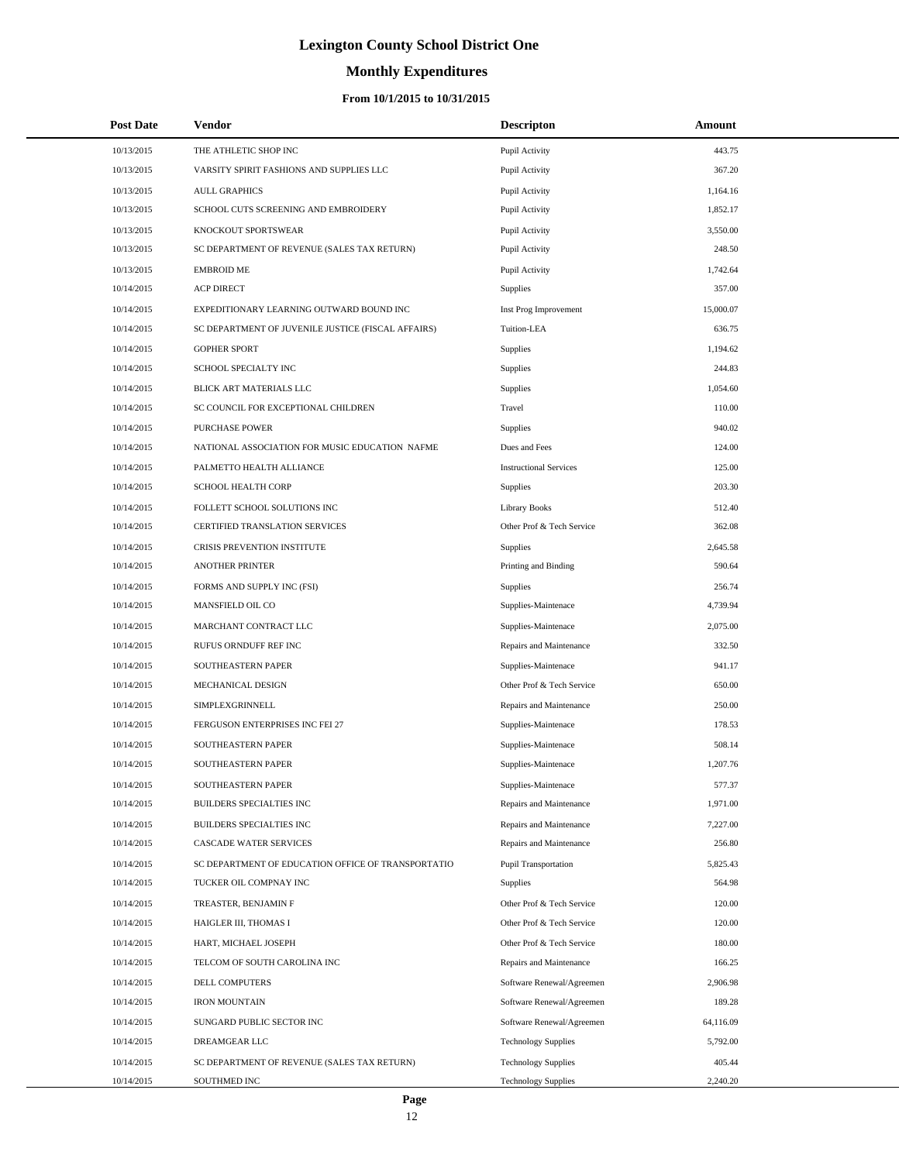# **Monthly Expenditures**

### **From 10/1/2015 to 10/31/2015**

| <b>Post Date</b> | Vendor                                             | <b>Descripton</b>             | Amount    |
|------------------|----------------------------------------------------|-------------------------------|-----------|
| 10/13/2015       | THE ATHLETIC SHOP INC                              | Pupil Activity                | 443.75    |
| 10/13/2015       | VARSITY SPIRIT FASHIONS AND SUPPLIES LLC           | Pupil Activity                | 367.20    |
| 10/13/2015       | <b>AULL GRAPHICS</b>                               | Pupil Activity                | 1,164.16  |
| 10/13/2015       | SCHOOL CUTS SCREENING AND EMBROIDERY               | Pupil Activity                | 1,852.17  |
| 10/13/2015       | KNOCKOUT SPORTSWEAR                                | Pupil Activity                | 3,550.00  |
| 10/13/2015       | SC DEPARTMENT OF REVENUE (SALES TAX RETURN)        | Pupil Activity                | 248.50    |
| 10/13/2015       | <b>EMBROID ME</b>                                  | Pupil Activity                | 1,742.64  |
| 10/14/2015       | <b>ACP DIRECT</b>                                  | Supplies                      | 357.00    |
| 10/14/2015       | EXPEDITIONARY LEARNING OUTWARD BOUND INC           | Inst Prog Improvement         | 15,000.07 |
| 10/14/2015       | SC DEPARTMENT OF JUVENILE JUSTICE (FISCAL AFFAIRS) | Tuition-LEA                   | 636.75    |
| 10/14/2015       | <b>GOPHER SPORT</b>                                | Supplies                      | 1,194.62  |
| 10/14/2015       | SCHOOL SPECIALTY INC                               | <b>Supplies</b>               | 244.83    |
| 10/14/2015       | BLICK ART MATERIALS LLC                            | Supplies                      | 1,054.60  |
| 10/14/2015       | SC COUNCIL FOR EXCEPTIONAL CHILDREN                | Travel                        | 110.00    |
| 10/14/2015       | <b>PURCHASE POWER</b>                              | <b>Supplies</b>               | 940.02    |
| 10/14/2015       | NATIONAL ASSOCIATION FOR MUSIC EDUCATION NAFME     | Dues and Fees                 | 124.00    |
| 10/14/2015       | PALMETTO HEALTH ALLIANCE                           | <b>Instructional Services</b> | 125.00    |
| 10/14/2015       | <b>SCHOOL HEALTH CORP</b>                          | Supplies                      | 203.30    |
| 10/14/2015       | FOLLETT SCHOOL SOLUTIONS INC                       | <b>Library Books</b>          | 512.40    |
| 10/14/2015       | CERTIFIED TRANSLATION SERVICES                     | Other Prof & Tech Service     | 362.08    |
| 10/14/2015       | <b>CRISIS PREVENTION INSTITUTE</b>                 | Supplies                      | 2,645.58  |
| 10/14/2015       | <b>ANOTHER PRINTER</b>                             | Printing and Binding          | 590.64    |
| 10/14/2015       | FORMS AND SUPPLY INC (FSI)                         | <b>Supplies</b>               | 256.74    |
| 10/14/2015       | MANSFIELD OIL CO                                   | Supplies-Maintenace           | 4,739.94  |
| 10/14/2015       | MARCHANT CONTRACT LLC                              | Supplies-Maintenace           | 2,075.00  |
| 10/14/2015       | RUFUS ORNDUFF REF INC                              | Repairs and Maintenance       | 332.50    |
| 10/14/2015       | SOUTHEASTERN PAPER                                 | Supplies-Maintenace           | 941.17    |
| 10/14/2015       | MECHANICAL DESIGN                                  | Other Prof & Tech Service     | 650.00    |
| 10/14/2015       | SIMPLEXGRINNELL                                    | Repairs and Maintenance       | 250.00    |
| 10/14/2015       | FERGUSON ENTERPRISES INC FEI 27                    | Supplies-Maintenace           | 178.53    |
| 10/14/2015       | SOUTHEASTERN PAPER                                 | Supplies-Maintenace           | 508.14    |
| 10/14/2015       | SOUTHEASTERN PAPER                                 | Supplies-Maintenace           | 1,207.76  |
| 10/14/2015       | SOUTHEASTERN PAPER                                 | Supplies-Maintenace           | 577.37    |
| 10/14/2015       | <b>BUILDERS SPECIALTIES INC</b>                    | Repairs and Maintenance       | 1,971.00  |
| 10/14/2015       | BUILDERS SPECIALTIES INC                           | Repairs and Maintenance       | 7,227.00  |
| 10/14/2015       | CASCADE WATER SERVICES                             | Repairs and Maintenance       | 256.80    |
| 10/14/2015       | SC DEPARTMENT OF EDUCATION OFFICE OF TRANSPORTATIO | <b>Pupil Transportation</b>   | 5,825.43  |
| 10/14/2015       | TUCKER OIL COMPNAY INC                             | Supplies                      | 564.98    |
| 10/14/2015       | TREASTER, BENJAMIN F                               | Other Prof & Tech Service     | 120.00    |
| 10/14/2015       | HAIGLER III, THOMAS I                              | Other Prof & Tech Service     | 120.00    |
| 10/14/2015       | HART, MICHAEL JOSEPH                               | Other Prof & Tech Service     | 180.00    |
| 10/14/2015       | TELCOM OF SOUTH CAROLINA INC                       | Repairs and Maintenance       | 166.25    |
| 10/14/2015       | DELL COMPUTERS                                     | Software Renewal/Agreemen     | 2,906.98  |
| 10/14/2015       | <b>IRON MOUNTAIN</b>                               | Software Renewal/Agreemen     | 189.28    |
| 10/14/2015       | SUNGARD PUBLIC SECTOR INC                          | Software Renewal/Agreemen     | 64,116.09 |
| 10/14/2015       | DREAMGEAR LLC                                      | <b>Technology Supplies</b>    | 5,792.00  |
| 10/14/2015       | SC DEPARTMENT OF REVENUE (SALES TAX RETURN)        | <b>Technology Supplies</b>    | 405.44    |
| 10/14/2015       | SOUTHMED INC                                       | <b>Technology Supplies</b>    | 2,240.20  |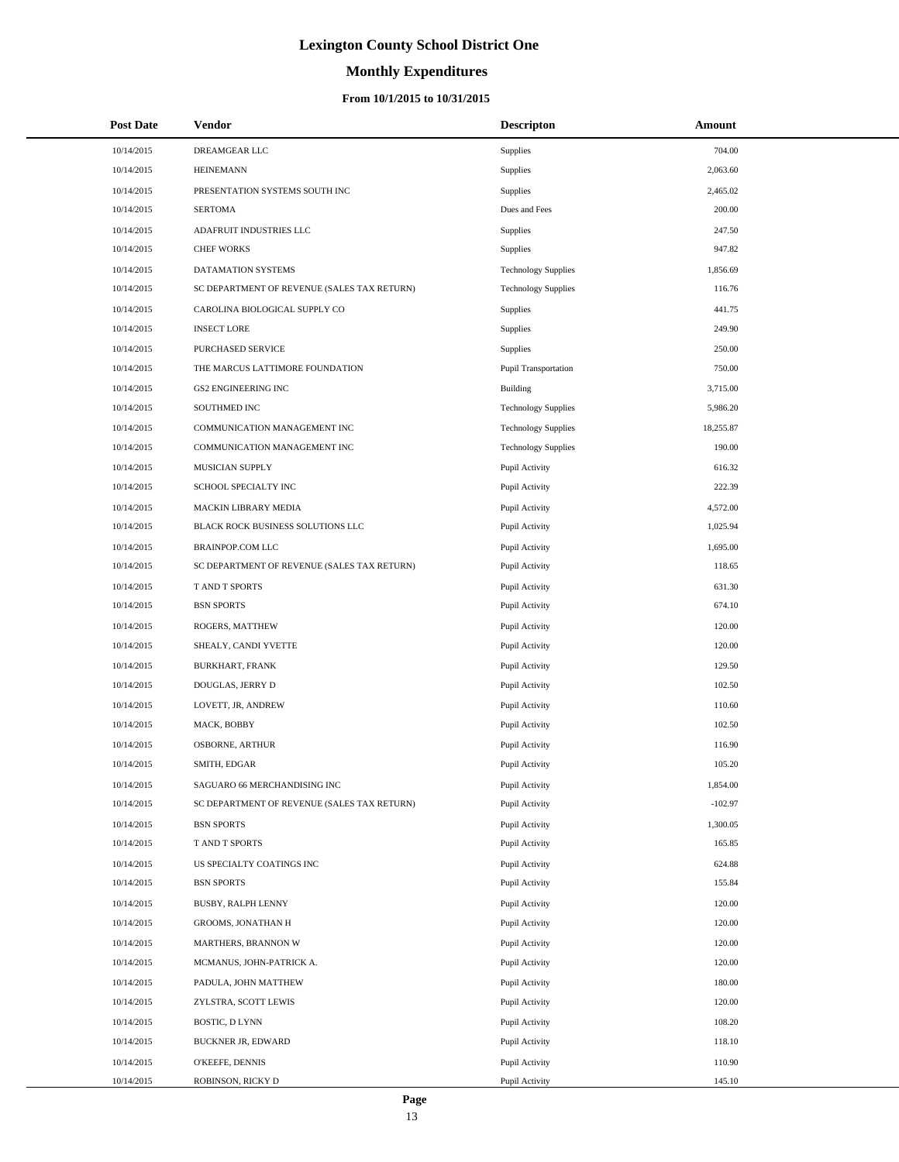# **Monthly Expenditures**

| <b>Post Date</b> | Vendor                                      | <b>Descripton</b>          | Amount    |
|------------------|---------------------------------------------|----------------------------|-----------|
| 10/14/2015       | DREAMGEAR LLC                               | Supplies                   | 704.00    |
| 10/14/2015       | <b>HEINEMANN</b>                            | Supplies                   | 2,063.60  |
| 10/14/2015       | PRESENTATION SYSTEMS SOUTH INC              | Supplies                   | 2,465.02  |
| 10/14/2015       | <b>SERTOMA</b>                              | Dues and Fees              | 200.00    |
| 10/14/2015       | ADAFRUIT INDUSTRIES LLC                     | Supplies                   | 247.50    |
| 10/14/2015       | <b>CHEF WORKS</b>                           | Supplies                   | 947.82    |
| 10/14/2015       | DATAMATION SYSTEMS                          | <b>Technology Supplies</b> | 1,856.69  |
| 10/14/2015       | SC DEPARTMENT OF REVENUE (SALES TAX RETURN) | <b>Technology Supplies</b> | 116.76    |
| 10/14/2015       | CAROLINA BIOLOGICAL SUPPLY CO               | <b>Supplies</b>            | 441.75    |
| 10/14/2015       | <b>INSECT LORE</b>                          | Supplies                   | 249.90    |
| 10/14/2015       | PURCHASED SERVICE                           | Supplies                   | 250.00    |
| 10/14/2015       | THE MARCUS LATTIMORE FOUNDATION             | Pupil Transportation       | 750.00    |
| 10/14/2015       | <b>GS2 ENGINEERING INC</b>                  | Building                   | 3,715.00  |
| 10/14/2015       | SOUTHMED INC                                | <b>Technology Supplies</b> | 5,986.20  |
| 10/14/2015       | COMMUNICATION MANAGEMENT INC                | <b>Technology Supplies</b> | 18,255.87 |
| 10/14/2015       | COMMUNICATION MANAGEMENT INC                | <b>Technology Supplies</b> | 190.00    |
| 10/14/2015       | MUSICIAN SUPPLY                             | Pupil Activity             | 616.32    |
| 10/14/2015       | SCHOOL SPECIALTY INC                        | Pupil Activity             | 222.39    |
| 10/14/2015       | MACKIN LIBRARY MEDIA                        | Pupil Activity             | 4,572.00  |
| 10/14/2015       | BLACK ROCK BUSINESS SOLUTIONS LLC           | Pupil Activity             | 1,025.94  |
| 10/14/2015       | <b>BRAINPOP.COM LLC</b>                     | Pupil Activity             | 1,695.00  |
| 10/14/2015       | SC DEPARTMENT OF REVENUE (SALES TAX RETURN) | Pupil Activity             | 118.65    |
| 10/14/2015       | T AND T SPORTS                              | Pupil Activity             | 631.30    |
| 10/14/2015       | <b>BSN SPORTS</b>                           | Pupil Activity             | 674.10    |
| 10/14/2015       | ROGERS, MATTHEW                             | Pupil Activity             | 120.00    |
| 10/14/2015       | SHEALY, CANDI YVETTE                        | Pupil Activity             | 120.00    |
| 10/14/2015       | <b>BURKHART, FRANK</b>                      | Pupil Activity             | 129.50    |
| 10/14/2015       | DOUGLAS, JERRY D                            | Pupil Activity             | 102.50    |
| 10/14/2015       | LOVETT, JR, ANDREW                          | Pupil Activity             | 110.60    |
| 10/14/2015       | MACK, BOBBY                                 | Pupil Activity             | 102.50    |
| 10/14/2015       | <b>OSBORNE, ARTHUR</b>                      | Pupil Activity             | 116.90    |
| 10/14/2015       | SMITH, EDGAR                                | Pupil Activity             | 105.20    |
| 10/14/2015       | SAGUARO 66 MERCHANDISING INC                | Pupil Activity             | 1,854.00  |
| 10/14/2015       | SC DEPARTMENT OF REVENUE (SALES TAX RETURN) | Pupil Activity             | $-102.97$ |
| 10/14/2015       | <b>BSN SPORTS</b>                           | Pupil Activity             | 1,300.05  |
| 10/14/2015       | T AND T SPORTS                              | Pupil Activity             | 165.85    |
| 10/14/2015       | US SPECIALTY COATINGS INC                   | Pupil Activity             | 624.88    |
| 10/14/2015       | <b>BSN SPORTS</b>                           | Pupil Activity             | 155.84    |
| 10/14/2015       | BUSBY, RALPH LENNY                          | Pupil Activity             | 120.00    |
| 10/14/2015       | GROOMS, JONATHAN H                          | Pupil Activity             | 120.00    |
| 10/14/2015       | MARTHERS, BRANNON W                         | Pupil Activity             | 120.00    |
| 10/14/2015       | MCMANUS, JOHN-PATRICK A.                    | Pupil Activity             | 120.00    |
| 10/14/2015       | PADULA, JOHN MATTHEW                        | Pupil Activity             | 180.00    |
| 10/14/2015       | ZYLSTRA, SCOTT LEWIS                        | Pupil Activity             | 120.00    |
| 10/14/2015       | BOSTIC, D LYNN                              | Pupil Activity             | 108.20    |
| 10/14/2015       | BUCKNER JR, EDWARD                          | Pupil Activity             | 118.10    |
| 10/14/2015       | O'KEEFE, DENNIS                             | Pupil Activity             | 110.90    |
| 10/14/2015       | ROBINSON, RICKY D                           | Pupil Activity             | 145.10    |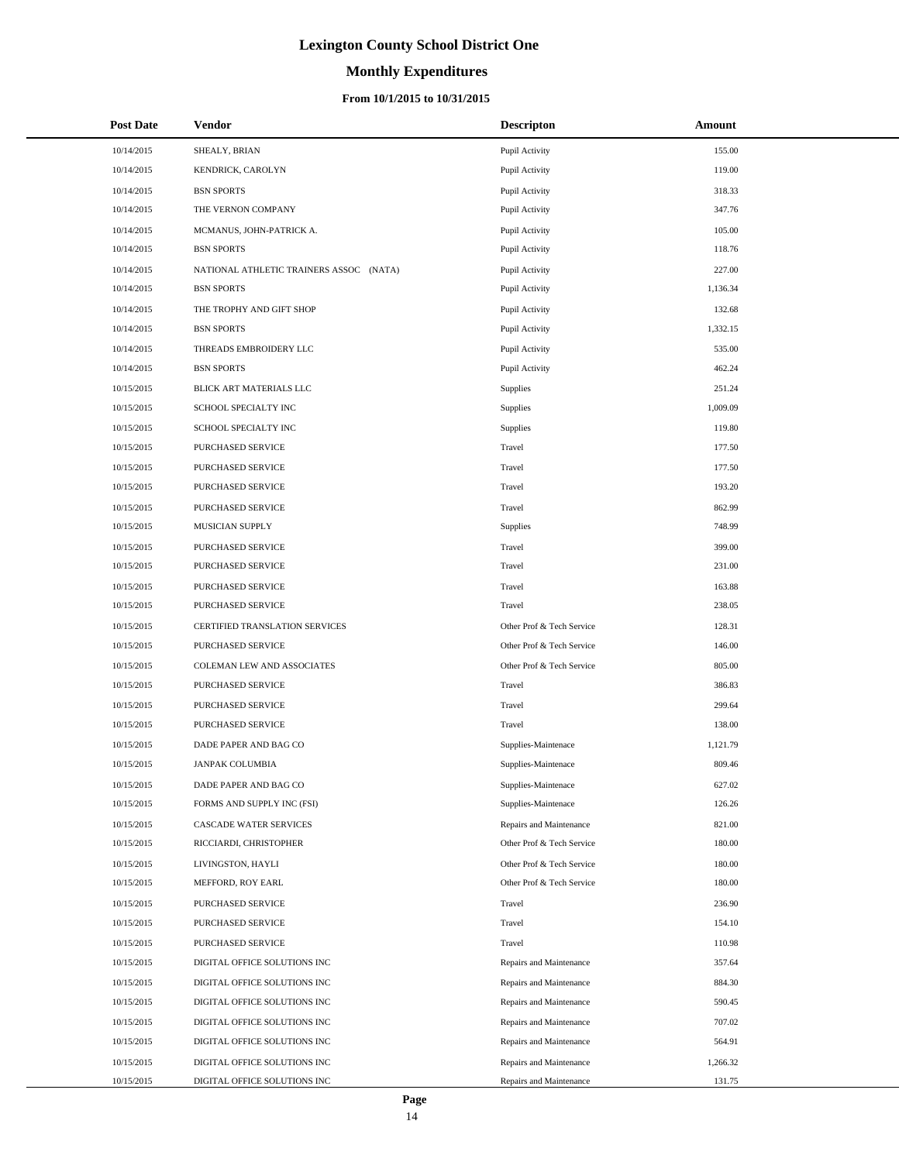# **Monthly Expenditures**

### **From 10/1/2015 to 10/31/2015**

| <b>Post Date</b> | <b>Vendor</b>                           | <b>Descripton</b>         | Amount   |
|------------------|-----------------------------------------|---------------------------|----------|
| 10/14/2015       | SHEALY, BRIAN                           | Pupil Activity            | 155.00   |
| 10/14/2015       | KENDRICK, CAROLYN                       | Pupil Activity            | 119.00   |
| 10/14/2015       | <b>BSN SPORTS</b>                       | Pupil Activity            | 318.33   |
| 10/14/2015       | THE VERNON COMPANY                      | Pupil Activity            | 347.76   |
| 10/14/2015       | MCMANUS, JOHN-PATRICK A.                | Pupil Activity            | 105.00   |
| 10/14/2015       | <b>BSN SPORTS</b>                       | Pupil Activity            | 118.76   |
| 10/14/2015       | NATIONAL ATHLETIC TRAINERS ASSOC (NATA) | Pupil Activity            | 227.00   |
| 10/14/2015       | <b>BSN SPORTS</b>                       | Pupil Activity            | 1,136.34 |
| 10/14/2015       | THE TROPHY AND GIFT SHOP                | Pupil Activity            | 132.68   |
| 10/14/2015       | <b>BSN SPORTS</b>                       | Pupil Activity            | 1,332.15 |
| 10/14/2015       | THREADS EMBROIDERY LLC                  | Pupil Activity            | 535.00   |
| 10/14/2015       | <b>BSN SPORTS</b>                       | Pupil Activity            | 462.24   |
| 10/15/2015       | BLICK ART MATERIALS LLC                 | Supplies                  | 251.24   |
| 10/15/2015       | SCHOOL SPECIALTY INC                    | Supplies                  | 1,009.09 |
| 10/15/2015       | SCHOOL SPECIALTY INC                    | Supplies                  | 119.80   |
| 10/15/2015       | PURCHASED SERVICE                       | Travel                    | 177.50   |
| 10/15/2015       | PURCHASED SERVICE                       | Travel                    | 177.50   |
| 10/15/2015       | PURCHASED SERVICE                       | Travel                    | 193.20   |
| 10/15/2015       | PURCHASED SERVICE                       | Travel                    | 862.99   |
| 10/15/2015       | MUSICIAN SUPPLY                         | Supplies                  | 748.99   |
| 10/15/2015       | PURCHASED SERVICE                       | Travel                    | 399.00   |
| 10/15/2015       | PURCHASED SERVICE                       | Travel                    | 231.00   |
| 10/15/2015       | PURCHASED SERVICE                       | Travel                    | 163.88   |
| 10/15/2015       | PURCHASED SERVICE                       | Travel                    | 238.05   |
| 10/15/2015       | CERTIFIED TRANSLATION SERVICES          | Other Prof & Tech Service | 128.31   |
| 10/15/2015       | PURCHASED SERVICE                       | Other Prof & Tech Service | 146.00   |
| 10/15/2015       | COLEMAN LEW AND ASSOCIATES              | Other Prof & Tech Service | 805.00   |
| 10/15/2015       | PURCHASED SERVICE                       | Travel                    | 386.83   |
| 10/15/2015       | PURCHASED SERVICE                       | Travel                    | 299.64   |
| 10/15/2015       | PURCHASED SERVICE                       | Travel                    | 138.00   |
| 10/15/2015       | DADE PAPER AND BAG CO                   | Supplies-Maintenace       | 1,121.79 |
| 10/15/2015       | JANPAK COLUMBIA                         | Supplies-Maintenace       | 809.46   |
| 10/15/2015       | DADE PAPER AND BAG CO                   | Supplies-Maintenace       | 627.02   |
| 10/15/2015       | FORMS AND SUPPLY INC (FSI)              | Supplies-Maintenace       | 126.26   |
| 10/15/2015       | CASCADE WATER SERVICES                  | Repairs and Maintenance   | 821.00   |
| 10/15/2015       | RICCIARDI, CHRISTOPHER                  | Other Prof & Tech Service | 180.00   |
| 10/15/2015       | LIVINGSTON, HAYLI                       | Other Prof & Tech Service | 180.00   |
| 10/15/2015       | MEFFORD, ROY EARL                       | Other Prof & Tech Service | 180.00   |
| 10/15/2015       | PURCHASED SERVICE                       | Travel                    | 236.90   |
| 10/15/2015       | PURCHASED SERVICE                       | Travel                    | 154.10   |
| 10/15/2015       | PURCHASED SERVICE                       | Travel                    | 110.98   |
| 10/15/2015       | DIGITAL OFFICE SOLUTIONS INC            | Repairs and Maintenance   | 357.64   |
| 10/15/2015       | DIGITAL OFFICE SOLUTIONS INC            | Repairs and Maintenance   | 884.30   |
| 10/15/2015       | DIGITAL OFFICE SOLUTIONS INC            | Repairs and Maintenance   | 590.45   |
| 10/15/2015       | DIGITAL OFFICE SOLUTIONS INC            | Repairs and Maintenance   | 707.02   |
| 10/15/2015       | DIGITAL OFFICE SOLUTIONS INC            | Repairs and Maintenance   | 564.91   |
| 10/15/2015       | DIGITAL OFFICE SOLUTIONS INC            | Repairs and Maintenance   | 1,266.32 |
| 10/15/2015       | DIGITAL OFFICE SOLUTIONS INC            | Repairs and Maintenance   | 131.75   |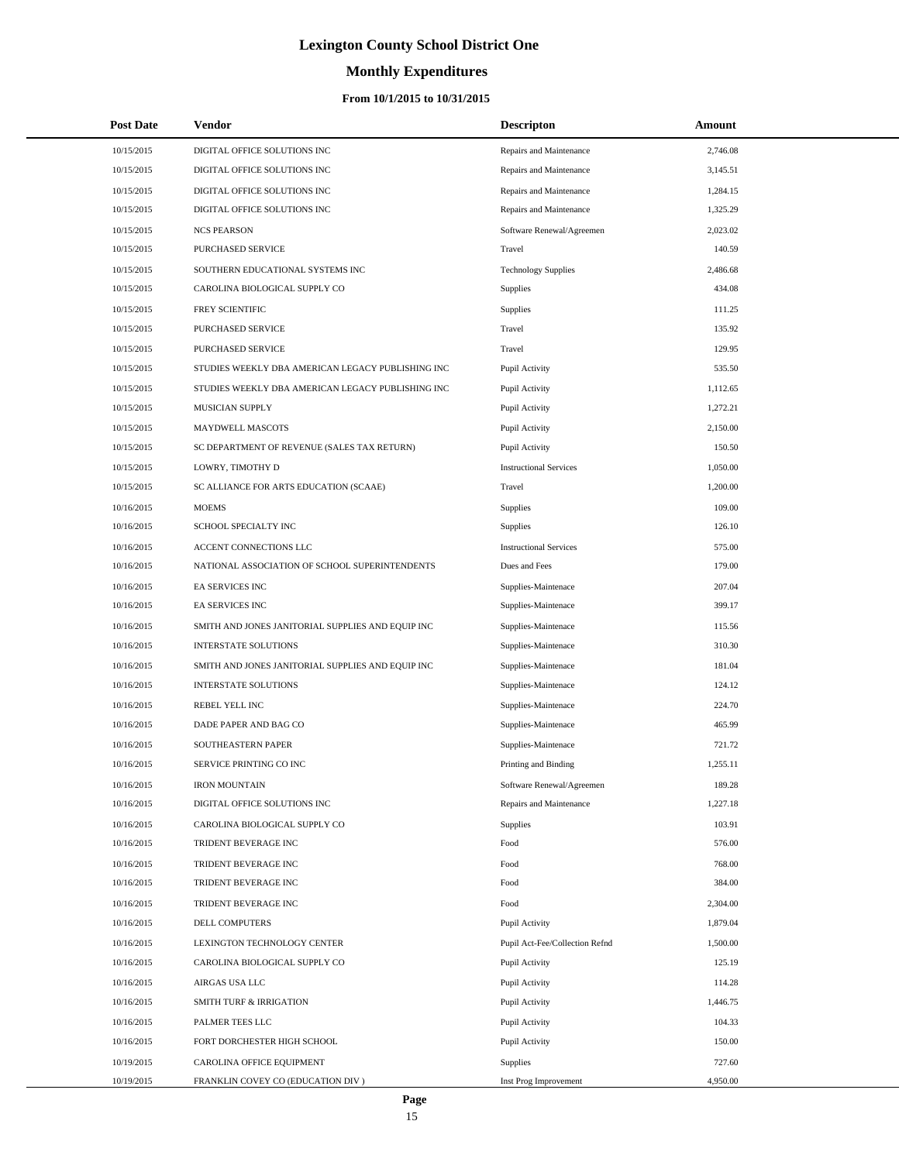# **Monthly Expenditures**

| <b>Post Date</b> | <b>Vendor</b>                                     | <b>Descripton</b>              | Amount   |
|------------------|---------------------------------------------------|--------------------------------|----------|
| 10/15/2015       | DIGITAL OFFICE SOLUTIONS INC                      | Repairs and Maintenance        | 2,746.08 |
| 10/15/2015       | DIGITAL OFFICE SOLUTIONS INC                      | Repairs and Maintenance        | 3,145.51 |
| 10/15/2015       | DIGITAL OFFICE SOLUTIONS INC                      | Repairs and Maintenance        | 1,284.15 |
| 10/15/2015       | DIGITAL OFFICE SOLUTIONS INC                      | Repairs and Maintenance        | 1,325.29 |
| 10/15/2015       | <b>NCS PEARSON</b>                                | Software Renewal/Agreemen      | 2,023.02 |
| 10/15/2015       | PURCHASED SERVICE                                 | Travel                         | 140.59   |
| 10/15/2015       | SOUTHERN EDUCATIONAL SYSTEMS INC                  | <b>Technology Supplies</b>     | 2,486.68 |
| 10/15/2015       | CAROLINA BIOLOGICAL SUPPLY CO                     | Supplies                       | 434.08   |
| 10/15/2015       | FREY SCIENTIFIC                                   | Supplies                       | 111.25   |
| 10/15/2015       | PURCHASED SERVICE                                 | Travel                         | 135.92   |
| 10/15/2015       | PURCHASED SERVICE                                 | Travel                         | 129.95   |
| 10/15/2015       | STUDIES WEEKLY DBA AMERICAN LEGACY PUBLISHING INC | Pupil Activity                 | 535.50   |
| 10/15/2015       | STUDIES WEEKLY DBA AMERICAN LEGACY PUBLISHING INC | Pupil Activity                 | 1,112.65 |
| 10/15/2015       | MUSICIAN SUPPLY                                   | Pupil Activity                 | 1,272.21 |
| 10/15/2015       | MAYDWELL MASCOTS                                  | Pupil Activity                 | 2,150.00 |
| 10/15/2015       | SC DEPARTMENT OF REVENUE (SALES TAX RETURN)       | Pupil Activity                 | 150.50   |
| 10/15/2015       | LOWRY, TIMOTHY D                                  | <b>Instructional Services</b>  | 1,050.00 |
| 10/15/2015       | SC ALLIANCE FOR ARTS EDUCATION (SCAAE)            | Travel                         | 1,200.00 |
| 10/16/2015       | <b>MOEMS</b>                                      | Supplies                       | 109.00   |
| 10/16/2015       | SCHOOL SPECIALTY INC                              | Supplies                       | 126.10   |
| 10/16/2015       | ACCENT CONNECTIONS LLC                            | <b>Instructional Services</b>  | 575.00   |
| 10/16/2015       | NATIONAL ASSOCIATION OF SCHOOL SUPERINTENDENTS    | Dues and Fees                  | 179.00   |
| 10/16/2015       | EA SERVICES INC                                   | Supplies-Maintenace            | 207.04   |
| 10/16/2015       | <b>EA SERVICES INC</b>                            | Supplies-Maintenace            | 399.17   |
| 10/16/2015       | SMITH AND JONES JANITORIAL SUPPLIES AND EQUIP INC | Supplies-Maintenace            | 115.56   |
| 10/16/2015       | <b>INTERSTATE SOLUTIONS</b>                       | Supplies-Maintenace            | 310.30   |
| 10/16/2015       | SMITH AND JONES JANITORIAL SUPPLIES AND EQUIP INC | Supplies-Maintenace            | 181.04   |
| 10/16/2015       | <b>INTERSTATE SOLUTIONS</b>                       | Supplies-Maintenace            | 124.12   |
| 10/16/2015       | REBEL YELL INC                                    | Supplies-Maintenace            | 224.70   |
| 10/16/2015       | DADE PAPER AND BAG CO                             | Supplies-Maintenace            | 465.99   |
| 10/16/2015       | SOUTHEASTERN PAPER                                | Supplies-Maintenace            | 721.72   |
| 10/16/2015       | SERVICE PRINTING CO INC                           | Printing and Binding           | 1,255.11 |
| 10/16/2015       | <b>IRON MOUNTAIN</b>                              | Software Renewal/Agreemen      | 189.28   |
| 10/16/2015       | DIGITAL OFFICE SOLUTIONS INC                      | Repairs and Maintenance        | 1,227.18 |
| 10/16/2015       | CAROLINA BIOLOGICAL SUPPLY CO                     | Supplies                       | 103.91   |
| 10/16/2015       | TRIDENT BEVERAGE INC                              | Food                           | 576.00   |
| 10/16/2015       | TRIDENT BEVERAGE INC                              | Food                           | 768.00   |
| 10/16/2015       | TRIDENT BEVERAGE INC                              | Food                           | 384.00   |
| 10/16/2015       | TRIDENT BEVERAGE INC                              | Food                           | 2,304.00 |
| 10/16/2015       | <b>DELL COMPUTERS</b>                             | Pupil Activity                 | 1,879.04 |
| 10/16/2015       | LEXINGTON TECHNOLOGY CENTER                       | Pupil Act-Fee/Collection Refnd | 1,500.00 |
| 10/16/2015       | CAROLINA BIOLOGICAL SUPPLY CO                     | Pupil Activity                 | 125.19   |
| 10/16/2015       | AIRGAS USA LLC                                    | Pupil Activity                 | 114.28   |
| 10/16/2015       | <b>SMITH TURF &amp; IRRIGATION</b>                | Pupil Activity                 | 1,446.75 |
| 10/16/2015       | PALMER TEES LLC                                   | Pupil Activity                 | 104.33   |
| 10/16/2015       | FORT DORCHESTER HIGH SCHOOL                       | Pupil Activity                 | 150.00   |
| 10/19/2015       | CAROLINA OFFICE EQUIPMENT                         | Supplies                       | 727.60   |
| 10/19/2015       | FRANKLIN COVEY CO (EDUCATION DIV)                 | Inst Prog Improvement          | 4,950.00 |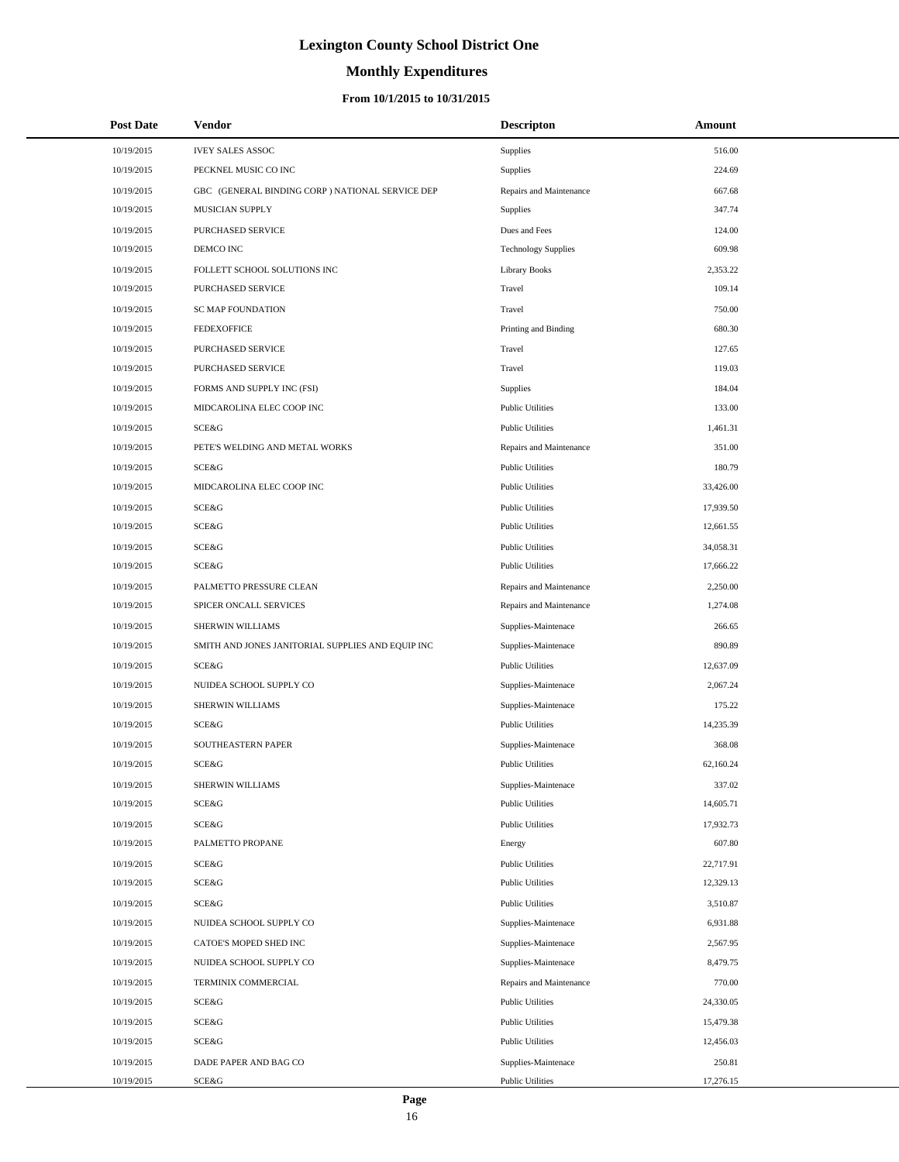# **Monthly Expenditures**

### **From 10/1/2015 to 10/31/2015**

| <b>Post Date</b> | Vendor                                            | <b>Descripton</b>          | Amount    |
|------------------|---------------------------------------------------|----------------------------|-----------|
| 10/19/2015       | <b>IVEY SALES ASSOC</b>                           | Supplies                   | 516.00    |
| 10/19/2015       | PECKNEL MUSIC CO INC                              | Supplies                   | 224.69    |
| 10/19/2015       | GBC (GENERAL BINDING CORP ) NATIONAL SERVICE DEP  | Repairs and Maintenance    | 667.68    |
| 10/19/2015       | MUSICIAN SUPPLY                                   | Supplies                   | 347.74    |
| 10/19/2015       | PURCHASED SERVICE                                 | Dues and Fees              | 124.00    |
| 10/19/2015       | DEMCO INC                                         | <b>Technology Supplies</b> | 609.98    |
| 10/19/2015       | FOLLETT SCHOOL SOLUTIONS INC                      | <b>Library Books</b>       | 2,353.22  |
| 10/19/2015       | PURCHASED SERVICE                                 | Travel                     | 109.14    |
| 10/19/2015       | <b>SC MAP FOUNDATION</b>                          | Travel                     | 750.00    |
| 10/19/2015       | <b>FEDEXOFFICE</b>                                | Printing and Binding       | 680.30    |
| 10/19/2015       | PURCHASED SERVICE                                 | Travel                     | 127.65    |
| 10/19/2015       | PURCHASED SERVICE                                 | Travel                     | 119.03    |
| 10/19/2015       | FORMS AND SUPPLY INC (FSI)                        | Supplies                   | 184.04    |
| 10/19/2015       | MIDCAROLINA ELEC COOP INC                         | <b>Public Utilities</b>    | 133.00    |
| 10/19/2015       | SCE&G                                             | <b>Public Utilities</b>    | 1,461.31  |
| 10/19/2015       | PETE'S WELDING AND METAL WORKS                    | Repairs and Maintenance    | 351.00    |
| 10/19/2015       | SCE&G                                             | <b>Public Utilities</b>    | 180.79    |
| 10/19/2015       | MIDCAROLINA ELEC COOP INC                         | <b>Public Utilities</b>    | 33,426.00 |
| 10/19/2015       | SCE&G                                             | <b>Public Utilities</b>    | 17,939.50 |
| 10/19/2015       | SCE&G                                             | <b>Public Utilities</b>    | 12,661.55 |
| 10/19/2015       | SCE&G                                             | <b>Public Utilities</b>    | 34,058.31 |
| 10/19/2015       | SCE&G                                             | <b>Public Utilities</b>    | 17,666.22 |
| 10/19/2015       | PALMETTO PRESSURE CLEAN                           | Repairs and Maintenance    | 2,250.00  |
| 10/19/2015       | SPICER ONCALL SERVICES                            | Repairs and Maintenance    | 1,274.08  |
| 10/19/2015       | SHERWIN WILLIAMS                                  | Supplies-Maintenace        | 266.65    |
| 10/19/2015       | SMITH AND JONES JANITORIAL SUPPLIES AND EQUIP INC | Supplies-Maintenace        | 890.89    |
| 10/19/2015       | SCE&G                                             | <b>Public Utilities</b>    | 12,637.09 |
| 10/19/2015       | NUIDEA SCHOOL SUPPLY CO                           | Supplies-Maintenace        | 2,067.24  |
| 10/19/2015       | SHERWIN WILLIAMS                                  | Supplies-Maintenace        | 175.22    |
| 10/19/2015       | SCE&G                                             | <b>Public Utilities</b>    | 14,235.39 |
| 10/19/2015       | <b>SOUTHEASTERN PAPER</b>                         | Supplies-Maintenace        | 368.08    |
| 10/19/2015       | SCE&G                                             | <b>Public Utilities</b>    | 62,160.24 |
| 10/19/2015       | SHERWIN WILLIAMS                                  | Supplies-Maintenace        | 337.02    |
| 10/19/2015       | SCE&G                                             | <b>Public Utilities</b>    | 14,605.71 |
| 10/19/2015       | SCE&G                                             | <b>Public Utilities</b>    | 17,932.73 |
| 10/19/2015       | PALMETTO PROPANE                                  | Energy                     | 607.80    |
| 10/19/2015       | SCE&G                                             | <b>Public Utilities</b>    | 22,717.91 |
| 10/19/2015       | SCE&G                                             | <b>Public Utilities</b>    | 12,329.13 |
| 10/19/2015       | SCE&G                                             | <b>Public Utilities</b>    | 3,510.87  |
| 10/19/2015       | NUIDEA SCHOOL SUPPLY CO                           | Supplies-Maintenace        | 6,931.88  |
| 10/19/2015       | CATOE'S MOPED SHED INC                            | Supplies-Maintenace        | 2,567.95  |
| 10/19/2015       | NUIDEA SCHOOL SUPPLY CO                           | Supplies-Maintenace        | 8,479.75  |
| 10/19/2015       | TERMINIX COMMERCIAL                               | Repairs and Maintenance    | 770.00    |
| 10/19/2015       | SCE&G                                             | <b>Public Utilities</b>    | 24,330.05 |
| 10/19/2015       | SCE&G                                             | <b>Public Utilities</b>    | 15,479.38 |
| 10/19/2015       | SCE&G                                             | <b>Public Utilities</b>    | 12,456.03 |
| 10/19/2015       | DADE PAPER AND BAG CO                             | Supplies-Maintenace        | 250.81    |
| 10/19/2015       | SCE&G                                             | <b>Public Utilities</b>    | 17,276.15 |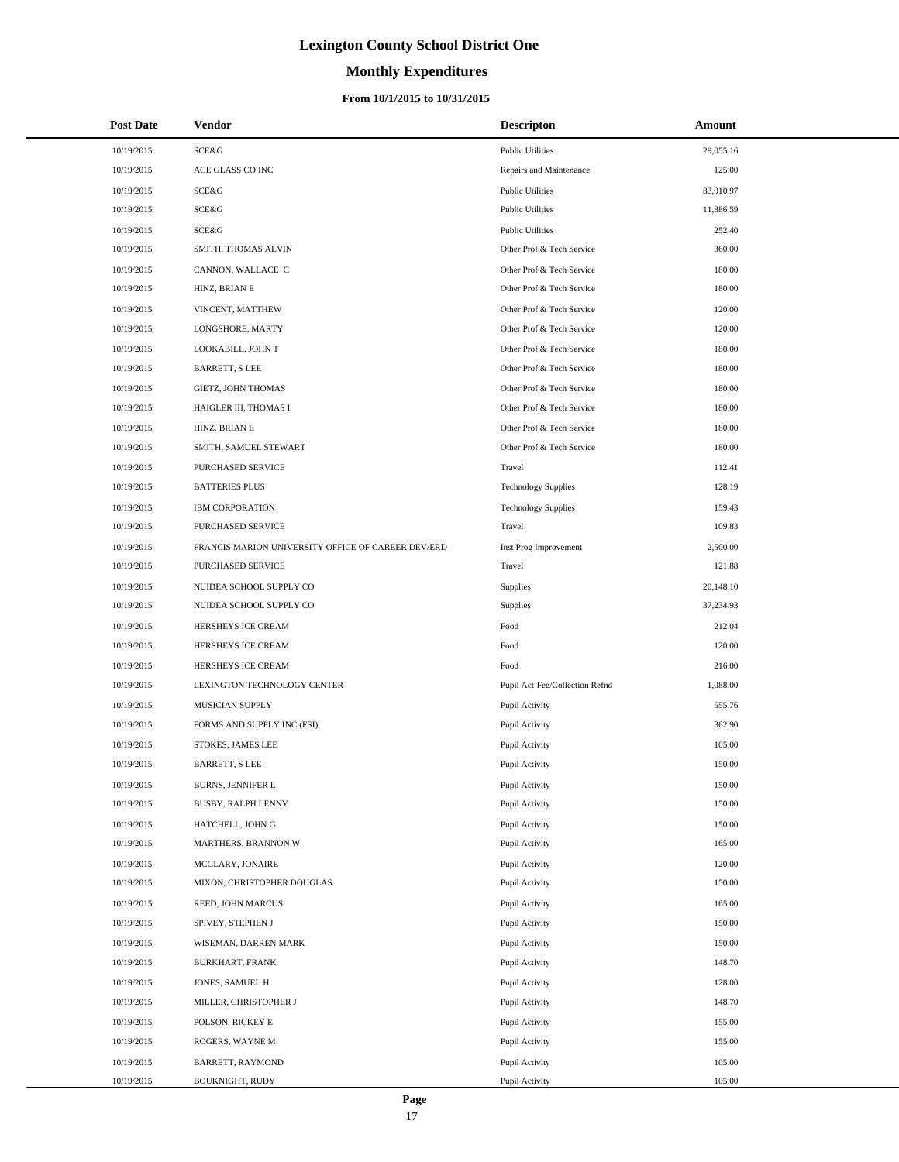# **Monthly Expenditures**

| <b>Post Date</b> | Vendor                                             | <b>Descripton</b>              | Amount    |
|------------------|----------------------------------------------------|--------------------------------|-----------|
| 10/19/2015       | <b>SCE&amp;G</b>                                   | <b>Public Utilities</b>        | 29,055.16 |
| 10/19/2015       | ACE GLASS CO INC                                   | Repairs and Maintenance        | 125.00    |
| 10/19/2015       | SCE&G                                              | <b>Public Utilities</b>        | 83,910.97 |
| 10/19/2015       | <b>SCE&amp;G</b>                                   | <b>Public Utilities</b>        | 11,886.59 |
| 10/19/2015       | SCE&G                                              | <b>Public Utilities</b>        | 252.40    |
| 10/19/2015       | SMITH, THOMAS ALVIN                                | Other Prof & Tech Service      | 360.00    |
| 10/19/2015       | CANNON, WALLACE C                                  | Other Prof & Tech Service      | 180.00    |
| 10/19/2015       | HINZ, BRIAN E                                      | Other Prof & Tech Service      | 180.00    |
| 10/19/2015       | VINCENT, MATTHEW                                   | Other Prof & Tech Service      | 120.00    |
| 10/19/2015       | LONGSHORE, MARTY                                   | Other Prof & Tech Service      | 120.00    |
| 10/19/2015       | LOOKABILL, JOHN T                                  | Other Prof & Tech Service      | 180.00    |
| 10/19/2015       | <b>BARRETT, S LEE</b>                              | Other Prof & Tech Service      | 180.00    |
| 10/19/2015       | GIETZ, JOHN THOMAS                                 | Other Prof & Tech Service      | 180.00    |
| 10/19/2015       | HAIGLER III, THOMAS I                              | Other Prof & Tech Service      | 180.00    |
| 10/19/2015       | HINZ, BRIAN E                                      | Other Prof & Tech Service      | 180.00    |
| 10/19/2015       | SMITH, SAMUEL STEWART                              | Other Prof & Tech Service      | 180.00    |
| 10/19/2015       | PURCHASED SERVICE                                  | Travel                         | 112.41    |
| 10/19/2015       | <b>BATTERIES PLUS</b>                              | <b>Technology Supplies</b>     | 128.19    |
| 10/19/2015       | <b>IBM CORPORATION</b>                             | <b>Technology Supplies</b>     | 159.43    |
| 10/19/2015       | PURCHASED SERVICE                                  | Travel                         | 109.83    |
| 10/19/2015       | FRANCIS MARION UNIVERSITY OFFICE OF CAREER DEV/ERD | Inst Prog Improvement          | 2,500.00  |
| 10/19/2015       | PURCHASED SERVICE                                  | Travel                         | 121.88    |
| 10/19/2015       | NUIDEA SCHOOL SUPPLY CO                            | Supplies                       | 20,148.10 |
| 10/19/2015       | NUIDEA SCHOOL SUPPLY CO                            | Supplies                       | 37,234.93 |
| 10/19/2015       | HERSHEYS ICE CREAM                                 | Food                           | 212.04    |
| 10/19/2015       | HERSHEYS ICE CREAM                                 | Food                           | 120.00    |
| 10/19/2015       | HERSHEYS ICE CREAM                                 | Food                           | 216.00    |
| 10/19/2015       | LEXINGTON TECHNOLOGY CENTER                        | Pupil Act-Fee/Collection Refnd | 1,088.00  |
| 10/19/2015       | MUSICIAN SUPPLY                                    | Pupil Activity                 | 555.76    |
| 10/19/2015       | FORMS AND SUPPLY INC (FSI)                         | Pupil Activity                 | 362.90    |
| 10/19/2015       | STOKES, JAMES LEE                                  | Pupil Activity                 | 105.00    |
| 10/19/2015       | <b>BARRETT, S LEE</b>                              | Pupil Activity                 | 150.00    |
| 10/19/2015       | BURNS, JENNIFER L                                  | Pupil Activity                 | 150.00    |
| 10/19/2015       | <b>BUSBY, RALPH LENNY</b>                          | Pupil Activity                 | 150.00    |
| 10/19/2015       | HATCHELL, JOHN G                                   | Pupil Activity                 | 150.00    |
| 10/19/2015       | MARTHERS, BRANNON W                                | Pupil Activity                 | 165.00    |
| 10/19/2015       | MCCLARY, JONAIRE                                   | Pupil Activity                 | 120.00    |
| 10/19/2015       | MIXON, CHRISTOPHER DOUGLAS                         | Pupil Activity                 | 150.00    |
| 10/19/2015       | REED, JOHN MARCUS                                  | Pupil Activity                 | 165.00    |
| 10/19/2015       | SPIVEY, STEPHEN J                                  | Pupil Activity                 | 150.00    |
| 10/19/2015       | WISEMAN, DARREN MARK                               | Pupil Activity                 | 150.00    |
| 10/19/2015       | BURKHART, FRANK                                    | Pupil Activity                 | 148.70    |
| 10/19/2015       | JONES, SAMUEL H                                    | Pupil Activity                 | 128.00    |
| 10/19/2015       | MILLER, CHRISTOPHER J                              | Pupil Activity                 | 148.70    |
| 10/19/2015       | POLSON, RICKEY E                                   | Pupil Activity                 | 155.00    |
| 10/19/2015       | ROGERS, WAYNE M                                    | Pupil Activity                 | 155.00    |
| 10/19/2015       | BARRETT, RAYMOND                                   | Pupil Activity                 | 105.00    |
| 10/19/2015       | BOUKNIGHT, RUDY                                    | Pupil Activity                 | 105.00    |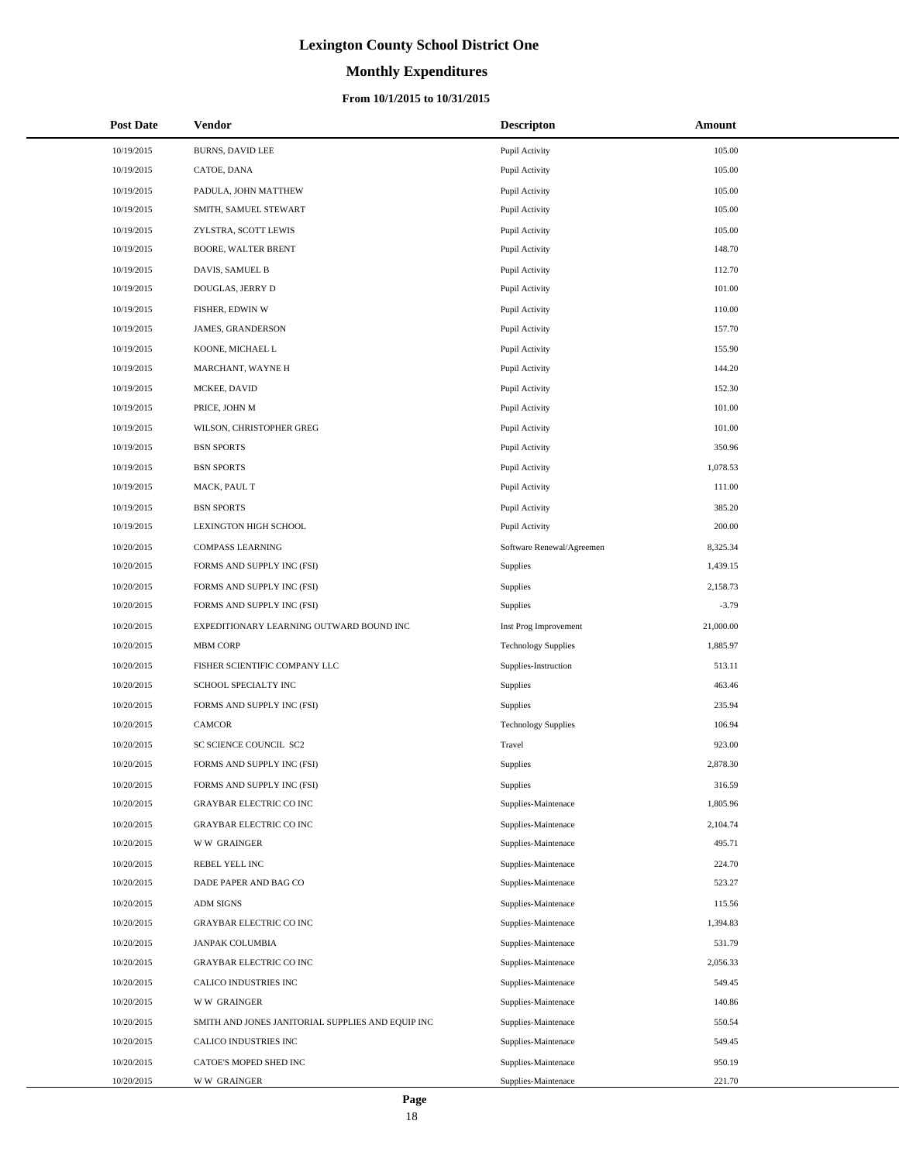# **Monthly Expenditures**

| <b>Post Date</b> | Vendor                                            | <b>Descripton</b>          | Amount    |
|------------------|---------------------------------------------------|----------------------------|-----------|
| 10/19/2015       | <b>BURNS, DAVID LEE</b>                           | Pupil Activity             | 105.00    |
| 10/19/2015       | CATOE, DANA                                       | Pupil Activity             | 105.00    |
| 10/19/2015       | PADULA, JOHN MATTHEW                              | Pupil Activity             | 105.00    |
| 10/19/2015       | SMITH, SAMUEL STEWART                             | Pupil Activity             | 105.00    |
| 10/19/2015       | ZYLSTRA, SCOTT LEWIS                              | Pupil Activity             | 105.00    |
| 10/19/2015       | BOORE, WALTER BRENT                               | Pupil Activity             | 148.70    |
| 10/19/2015       | DAVIS, SAMUEL B                                   | Pupil Activity             | 112.70    |
| 10/19/2015       | DOUGLAS, JERRY D                                  | Pupil Activity             | 101.00    |
| 10/19/2015       | FISHER, EDWIN W                                   | Pupil Activity             | 110.00    |
| 10/19/2015       | JAMES, GRANDERSON                                 | Pupil Activity             | 157.70    |
| 10/19/2015       | KOONE, MICHAEL L                                  | Pupil Activity             | 155.90    |
| 10/19/2015       | MARCHANT, WAYNE H                                 | Pupil Activity             | 144.20    |
| 10/19/2015       | MCKEE, DAVID                                      | Pupil Activity             | 152.30    |
| 10/19/2015       | PRICE, JOHN M                                     | Pupil Activity             | 101.00    |
| 10/19/2015       | WILSON, CHRISTOPHER GREG                          | Pupil Activity             | 101.00    |
| 10/19/2015       | <b>BSN SPORTS</b>                                 | Pupil Activity             | 350.96    |
| 10/19/2015       | <b>BSN SPORTS</b>                                 | Pupil Activity             | 1,078.53  |
| 10/19/2015       | MACK, PAUL T                                      | Pupil Activity             | 111.00    |
| 10/19/2015       | <b>BSN SPORTS</b>                                 | Pupil Activity             | 385.20    |
| 10/19/2015       | LEXINGTON HIGH SCHOOL                             | Pupil Activity             | 200.00    |
| 10/20/2015       | <b>COMPASS LEARNING</b>                           | Software Renewal/Agreemen  | 8,325.34  |
| 10/20/2015       | FORMS AND SUPPLY INC (FSI)                        | Supplies                   | 1,439.15  |
| 10/20/2015       | FORMS AND SUPPLY INC (FSI)                        | Supplies                   | 2,158.73  |
| 10/20/2015       | FORMS AND SUPPLY INC (FSI)                        | Supplies                   | $-3.79$   |
| 10/20/2015       | EXPEDITIONARY LEARNING OUTWARD BOUND INC          | Inst Prog Improvement      | 21,000.00 |
| 10/20/2015       | <b>MBM CORP</b>                                   | <b>Technology Supplies</b> | 1,885.97  |
| 10/20/2015       | FISHER SCIENTIFIC COMPANY LLC                     | Supplies-Instruction       | 513.11    |
| 10/20/2015       | SCHOOL SPECIALTY INC                              | Supplies                   | 463.46    |
| 10/20/2015       | FORMS AND SUPPLY INC (FSI)                        | Supplies                   | 235.94    |
| 10/20/2015       | CAMCOR                                            | <b>Technology Supplies</b> | 106.94    |
| 10/20/2015       | SC SCIENCE COUNCIL SC2                            | Travel                     | 923.00    |
| 10/20/2015       | FORMS AND SUPPLY INC (FSI)                        | Supplies                   | 2,878.30  |
| 10/20/2015       | FORMS AND SUPPLY INC (FSI)                        | Supplies                   | 316.59    |
| 10/20/2015       | <b>GRAYBAR ELECTRIC CO INC</b>                    | Supplies-Maintenace        | 1,805.96  |
| 10/20/2015       | <b>GRAYBAR ELECTRIC CO INC</b>                    | Supplies-Maintenace        | 2,104.74  |
| 10/20/2015       | <b>WW GRAINGER</b>                                | Supplies-Maintenace        | 495.71    |
| 10/20/2015       | REBEL YELL INC                                    | Supplies-Maintenace        | 224.70    |
| 10/20/2015       | DADE PAPER AND BAG CO                             | Supplies-Maintenace        | 523.27    |
| 10/20/2015       | <b>ADM SIGNS</b>                                  | Supplies-Maintenace        | 115.56    |
| 10/20/2015       | <b>GRAYBAR ELECTRIC CO INC</b>                    | Supplies-Maintenace        | 1,394.83  |
| 10/20/2015       | <b>JANPAK COLUMBIA</b>                            | Supplies-Maintenace        | 531.79    |
| 10/20/2015       | GRAYBAR ELECTRIC CO INC                           | Supplies-Maintenace        | 2,056.33  |
| 10/20/2015       | CALICO INDUSTRIES INC                             | Supplies-Maintenace        | 549.45    |
| 10/20/2015       | <b>WW GRAINGER</b>                                | Supplies-Maintenace        | 140.86    |
| 10/20/2015       | SMITH AND JONES JANITORIAL SUPPLIES AND EQUIP INC | Supplies-Maintenace        | 550.54    |
| 10/20/2015       | CALICO INDUSTRIES INC                             | Supplies-Maintenace        | 549.45    |
| 10/20/2015       | CATOE'S MOPED SHED INC                            | Supplies-Maintenace        | 950.19    |
| 10/20/2015       | <b>WW GRAINGER</b>                                | Supplies-Maintenace        | 221.70    |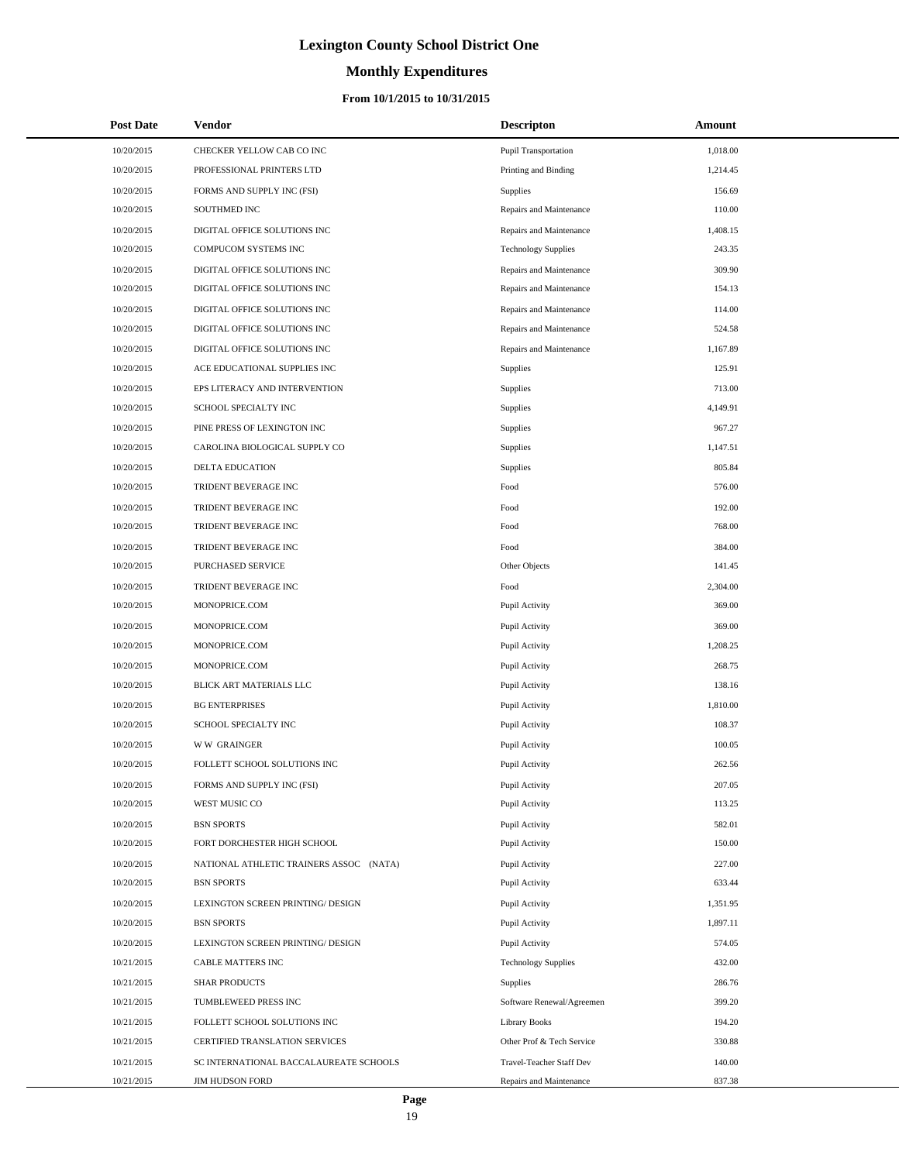# **Monthly Expenditures**

| <b>Post Date</b> | Vendor                                  | <b>Descripton</b>          | Amount   |
|------------------|-----------------------------------------|----------------------------|----------|
| 10/20/2015       | CHECKER YELLOW CAB CO INC               | Pupil Transportation       | 1,018.00 |
| 10/20/2015       | PROFESSIONAL PRINTERS LTD               | Printing and Binding       | 1,214.45 |
| 10/20/2015       | FORMS AND SUPPLY INC (FSI)              | Supplies                   | 156.69   |
| 10/20/2015       | SOUTHMED INC                            | Repairs and Maintenance    | 110.00   |
| 10/20/2015       | DIGITAL OFFICE SOLUTIONS INC            | Repairs and Maintenance    | 1,408.15 |
| 10/20/2015       | COMPUCOM SYSTEMS INC                    | <b>Technology Supplies</b> | 243.35   |
| 10/20/2015       | DIGITAL OFFICE SOLUTIONS INC            | Repairs and Maintenance    | 309.90   |
| 10/20/2015       | DIGITAL OFFICE SOLUTIONS INC            | Repairs and Maintenance    | 154.13   |
| 10/20/2015       | DIGITAL OFFICE SOLUTIONS INC            | Repairs and Maintenance    | 114.00   |
| 10/20/2015       | DIGITAL OFFICE SOLUTIONS INC            | Repairs and Maintenance    | 524.58   |
| 10/20/2015       | DIGITAL OFFICE SOLUTIONS INC            | Repairs and Maintenance    | 1,167.89 |
| 10/20/2015       | ACE EDUCATIONAL SUPPLIES INC            | Supplies                   | 125.91   |
| 10/20/2015       | EPS LITERACY AND INTERVENTION           | Supplies                   | 713.00   |
| 10/20/2015       | SCHOOL SPECIALTY INC                    | Supplies                   | 4,149.91 |
| 10/20/2015       | PINE PRESS OF LEXINGTON INC             | Supplies                   | 967.27   |
| 10/20/2015       | CAROLINA BIOLOGICAL SUPPLY CO           | Supplies                   | 1,147.51 |
| 10/20/2015       | <b>DELTA EDUCATION</b>                  | Supplies                   | 805.84   |
| 10/20/2015       | TRIDENT BEVERAGE INC                    | Food                       | 576.00   |
| 10/20/2015       | TRIDENT BEVERAGE INC                    | Food                       | 192.00   |
| 10/20/2015       | TRIDENT BEVERAGE INC                    | Food                       | 768.00   |
| 10/20/2015       | TRIDENT BEVERAGE INC                    | Food                       | 384.00   |
| 10/20/2015       | PURCHASED SERVICE                       | Other Objects              | 141.45   |
| 10/20/2015       | TRIDENT BEVERAGE INC                    | Food                       | 2,304.00 |
| 10/20/2015       | MONOPRICE.COM                           | Pupil Activity             | 369.00   |
| 10/20/2015       | MONOPRICE.COM                           | Pupil Activity             | 369.00   |
| 10/20/2015       | MONOPRICE.COM                           | Pupil Activity             | 1,208.25 |
| 10/20/2015       | MONOPRICE.COM                           | Pupil Activity             | 268.75   |
| 10/20/2015       | BLICK ART MATERIALS LLC                 | Pupil Activity             | 138.16   |
| 10/20/2015       | <b>BG ENTERPRISES</b>                   | Pupil Activity             | 1,810.00 |
| 10/20/2015       | SCHOOL SPECIALTY INC                    | Pupil Activity             | 108.37   |
| 10/20/2015       | <b>WW GRAINGER</b>                      | Pupil Activity             | 100.05   |
| 10/20/2015       | FOLLETT SCHOOL SOLUTIONS INC            | Pupil Activity             | 262.56   |
| 10/20/2015       | FORMS AND SUPPLY INC (FSI)              | Pupil Activity             | 207.05   |
| 10/20/2015       | WEST MUSIC CO                           | Pupil Activity             | 113.25   |
| 10/20/2015       | <b>BSN SPORTS</b>                       | Pupil Activity             | 582.01   |
| 10/20/2015       | FORT DORCHESTER HIGH SCHOOL             | Pupil Activity             | 150.00   |
| 10/20/2015       | NATIONAL ATHLETIC TRAINERS ASSOC (NATA) | Pupil Activity             | 227.00   |
| 10/20/2015       | <b>BSN SPORTS</b>                       | Pupil Activity             | 633.44   |
| 10/20/2015       | LEXINGTON SCREEN PRINTING/ DESIGN       | Pupil Activity             | 1,351.95 |
| 10/20/2015       | <b>BSN SPORTS</b>                       | Pupil Activity             | 1,897.11 |
| 10/20/2015       | LEXINGTON SCREEN PRINTING/ DESIGN       | Pupil Activity             | 574.05   |
| 10/21/2015       | <b>CABLE MATTERS INC</b>                | <b>Technology Supplies</b> | 432.00   |
| 10/21/2015       | <b>SHAR PRODUCTS</b>                    | Supplies                   | 286.76   |
| 10/21/2015       | TUMBLEWEED PRESS INC                    | Software Renewal/Agreemen  | 399.20   |
| 10/21/2015       | FOLLETT SCHOOL SOLUTIONS INC            | <b>Library Books</b>       | 194.20   |
| 10/21/2015       | CERTIFIED TRANSLATION SERVICES          | Other Prof & Tech Service  | 330.88   |
| 10/21/2015       | SC INTERNATIONAL BACCALAUREATE SCHOOLS  | Travel-Teacher Staff Dev   | 140.00   |
| 10/21/2015       | <b>JIM HUDSON FORD</b>                  | Repairs and Maintenance    | 837.38   |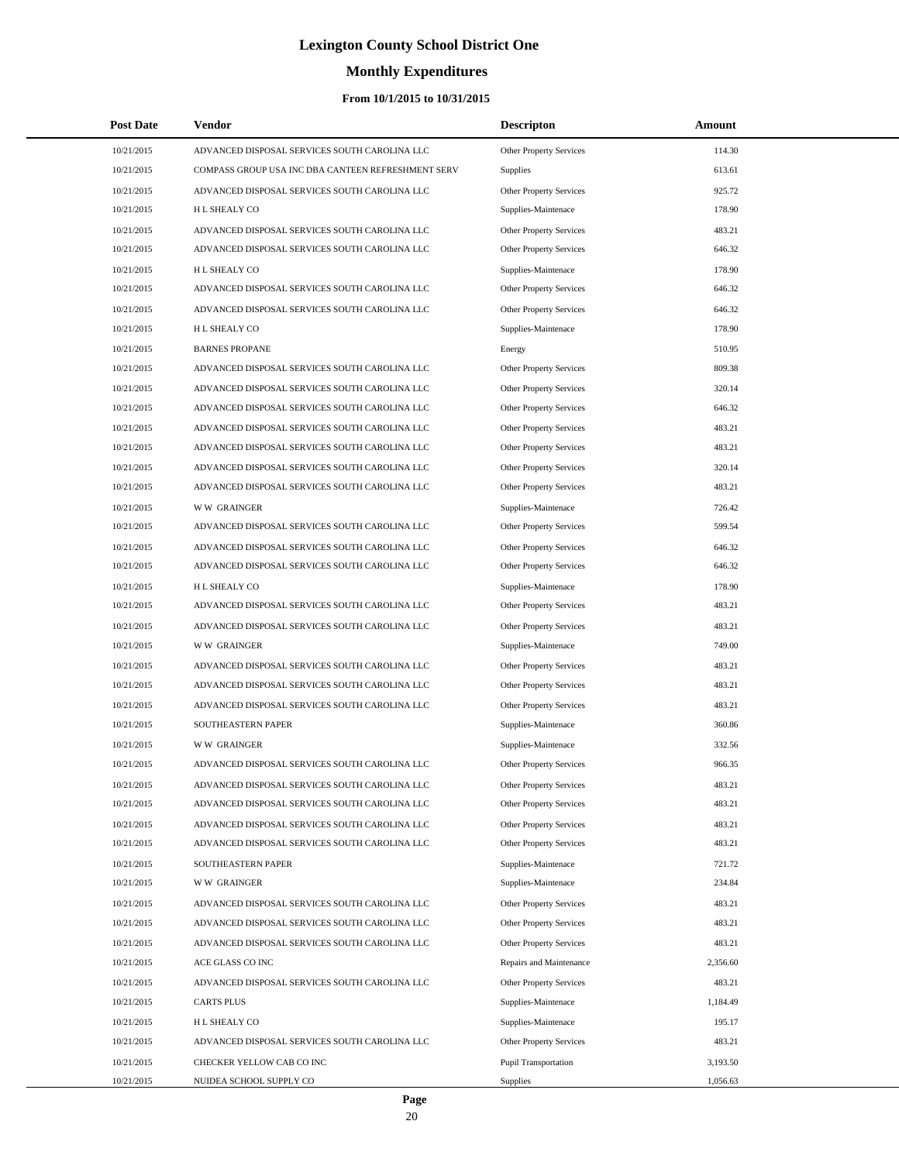# **Monthly Expenditures**

| <b>Post Date</b> | Vendor                                             | <b>Descripton</b>              | <b>Amount</b> |  |
|------------------|----------------------------------------------------|--------------------------------|---------------|--|
| 10/21/2015       | ADVANCED DISPOSAL SERVICES SOUTH CAROLINA LLC      | Other Property Services        | 114.30        |  |
| 10/21/2015       | COMPASS GROUP USA INC DBA CANTEEN REFRESHMENT SERV | <b>Supplies</b>                | 613.61        |  |
| 10/21/2015       | ADVANCED DISPOSAL SERVICES SOUTH CAROLINA LLC      | Other Property Services        | 925.72        |  |
| 10/21/2015       | H L SHEALY CO                                      | Supplies-Maintenace            | 178.90        |  |
| 10/21/2015       | ADVANCED DISPOSAL SERVICES SOUTH CAROLINA LLC      | <b>Other Property Services</b> | 483.21        |  |
| 10/21/2015       | ADVANCED DISPOSAL SERVICES SOUTH CAROLINA LLC      | Other Property Services        | 646.32        |  |
| 10/21/2015       | H L SHEALY CO                                      | Supplies-Maintenace            | 178.90        |  |
| 10/21/2015       | ADVANCED DISPOSAL SERVICES SOUTH CAROLINA LLC      | Other Property Services        | 646.32        |  |
| 10/21/2015       | ADVANCED DISPOSAL SERVICES SOUTH CAROLINA LLC      | Other Property Services        | 646.32        |  |
| 10/21/2015       | H L SHEALY CO                                      | Supplies-Maintenace            | 178.90        |  |
| 10/21/2015       | <b>BARNES PROPANE</b>                              | Energy                         | 510.95        |  |
| 10/21/2015       | ADVANCED DISPOSAL SERVICES SOUTH CAROLINA LLC      | Other Property Services        | 809.38        |  |
| 10/21/2015       | ADVANCED DISPOSAL SERVICES SOUTH CAROLINA LLC      | <b>Other Property Services</b> | 320.14        |  |
| 10/21/2015       | ADVANCED DISPOSAL SERVICES SOUTH CAROLINA LLC      | Other Property Services        | 646.32        |  |
| 10/21/2015       | ADVANCED DISPOSAL SERVICES SOUTH CAROLINA LLC      | Other Property Services        | 483.21        |  |
| 10/21/2015       | ADVANCED DISPOSAL SERVICES SOUTH CAROLINA LLC      | Other Property Services        | 483.21        |  |
| 10/21/2015       | ADVANCED DISPOSAL SERVICES SOUTH CAROLINA LLC      | <b>Other Property Services</b> | 320.14        |  |
| 10/21/2015       | ADVANCED DISPOSAL SERVICES SOUTH CAROLINA LLC      | <b>Other Property Services</b> | 483.21        |  |
| 10/21/2015       | <b>WW GRAINGER</b>                                 | Supplies-Maintenace            | 726.42        |  |
| 10/21/2015       | ADVANCED DISPOSAL SERVICES SOUTH CAROLINA LLC      | Other Property Services        | 599.54        |  |
| 10/21/2015       | ADVANCED DISPOSAL SERVICES SOUTH CAROLINA LLC      | <b>Other Property Services</b> | 646.32        |  |
| 10/21/2015       | ADVANCED DISPOSAL SERVICES SOUTH CAROLINA LLC      | Other Property Services        | 646.32        |  |
| 10/21/2015       | H L SHEALY CO                                      | Supplies-Maintenace            | 178.90        |  |
| 10/21/2015       | ADVANCED DISPOSAL SERVICES SOUTH CAROLINA LLC      | Other Property Services        | 483.21        |  |
| 10/21/2015       | ADVANCED DISPOSAL SERVICES SOUTH CAROLINA LLC      | <b>Other Property Services</b> | 483.21        |  |
| 10/21/2015       | <b>WW GRAINGER</b>                                 | Supplies-Maintenace            | 749.00        |  |
| 10/21/2015       | ADVANCED DISPOSAL SERVICES SOUTH CAROLINA LLC      | Other Property Services        | 483.21        |  |
| 10/21/2015       | ADVANCED DISPOSAL SERVICES SOUTH CAROLINA LLC      | Other Property Services        | 483.21        |  |
| 10/21/2015       | ADVANCED DISPOSAL SERVICES SOUTH CAROLINA LLC      | <b>Other Property Services</b> | 483.21        |  |
| 10/21/2015       | SOUTHEASTERN PAPER                                 | Supplies-Maintenace            | 360.86        |  |
| 10/21/2015       | <b>WW GRAINGER</b>                                 | Supplies-Maintenace            | 332.56        |  |
| 10/21/2015       | ADVANCED DISPOSAL SERVICES SOUTH CAROLINA LLC      | Other Property Services        | 966.35        |  |
| 10/21/2015       | ADVANCED DISPOSAL SERVICES SOUTH CAROLINA LLC      | <b>Other Property Services</b> | 483.21        |  |
| 10/21/2015       | ADVANCED DISPOSAL SERVICES SOUTH CAROLINA LLC      | Other Property Services        | 483.21        |  |
| 10/21/2015       | ADVANCED DISPOSAL SERVICES SOUTH CAROLINA LLC      | Other Property Services        | 483.21        |  |
| 10/21/2015       | ADVANCED DISPOSAL SERVICES SOUTH CAROLINA LLC      | Other Property Services        | 483.21        |  |
| 10/21/2015       | SOUTHEASTERN PAPER                                 | Supplies-Maintenace            | 721.72        |  |
| 10/21/2015       | <b>WW GRAINGER</b>                                 | Supplies-Maintenace            | 234.84        |  |
| 10/21/2015       | ADVANCED DISPOSAL SERVICES SOUTH CAROLINA LLC      | <b>Other Property Services</b> | 483.21        |  |
| 10/21/2015       | ADVANCED DISPOSAL SERVICES SOUTH CAROLINA LLC      | <b>Other Property Services</b> | 483.21        |  |
| 10/21/2015       | ADVANCED DISPOSAL SERVICES SOUTH CAROLINA LLC      | <b>Other Property Services</b> | 483.21        |  |
| 10/21/2015       | ACE GLASS CO INC                                   | Repairs and Maintenance        | 2,356.60      |  |
| 10/21/2015       | ADVANCED DISPOSAL SERVICES SOUTH CAROLINA LLC      | Other Property Services        | 483.21        |  |
| 10/21/2015       | <b>CARTS PLUS</b>                                  | Supplies-Maintenace            | 1,184.49      |  |
| 10/21/2015       | H L SHEALY CO                                      | Supplies-Maintenace            | 195.17        |  |
| 10/21/2015       | ADVANCED DISPOSAL SERVICES SOUTH CAROLINA LLC      | Other Property Services        | 483.21        |  |
| 10/21/2015       | CHECKER YELLOW CAB CO INC                          | Pupil Transportation           | 3,193.50      |  |
| 10/21/2015       | NUIDEA SCHOOL SUPPLY CO                            | Supplies                       | 1,056.63      |  |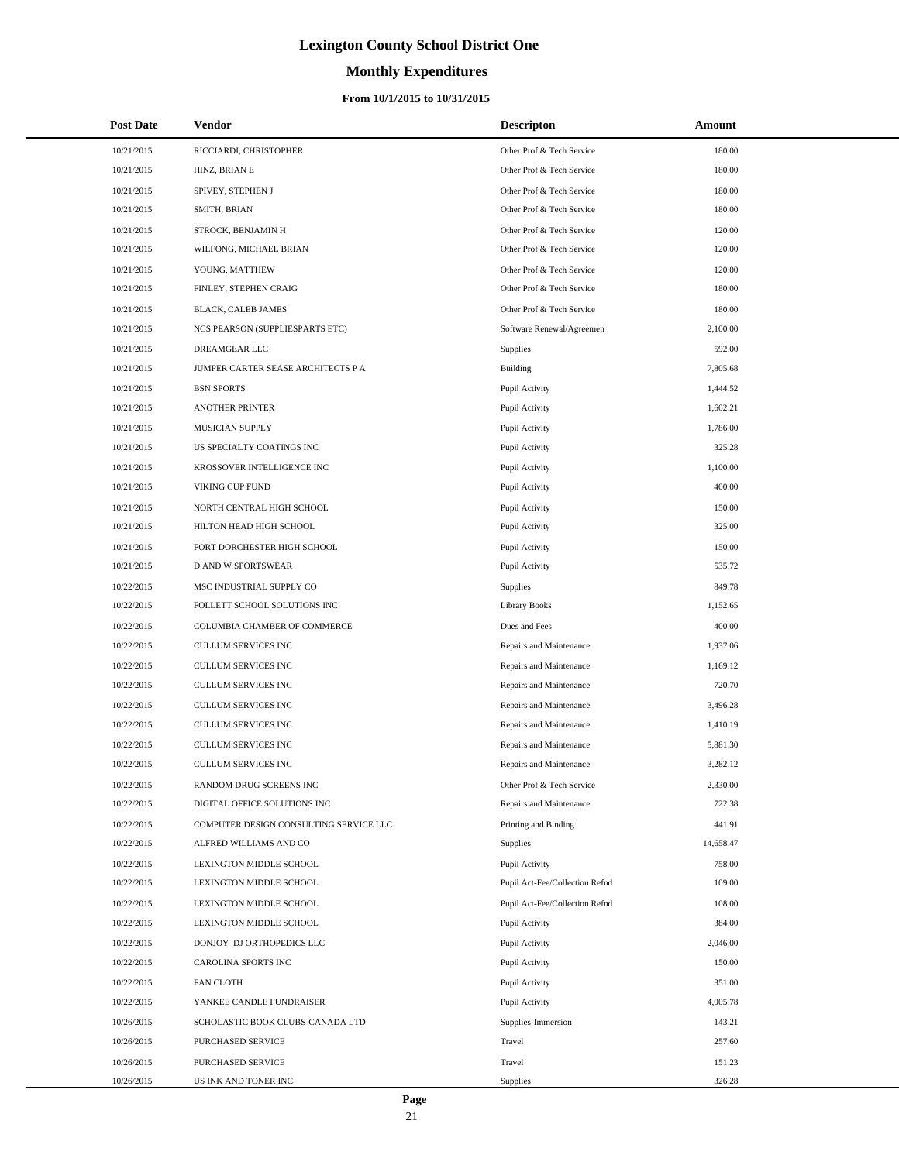# **Monthly Expenditures**

### **From 10/1/2015 to 10/31/2015**

| <b>Post Date</b> | Vendor                                 | <b>Descripton</b>              | Amount    |
|------------------|----------------------------------------|--------------------------------|-----------|
| 10/21/2015       | RICCIARDI, CHRISTOPHER                 | Other Prof & Tech Service      | 180.00    |
| 10/21/2015       | HINZ, BRIAN E                          | Other Prof & Tech Service      | 180.00    |
| 10/21/2015       | SPIVEY, STEPHEN J                      | Other Prof & Tech Service      | 180.00    |
| 10/21/2015       | SMITH, BRIAN                           | Other Prof & Tech Service      | 180.00    |
| 10/21/2015       | STROCK, BENJAMIN H                     | Other Prof & Tech Service      | 120.00    |
| 10/21/2015       | WILFONG, MICHAEL BRIAN                 | Other Prof & Tech Service      | 120.00    |
| 10/21/2015       | YOUNG, MATTHEW                         | Other Prof & Tech Service      | 120.00    |
| 10/21/2015       | FINLEY, STEPHEN CRAIG                  | Other Prof & Tech Service      | 180.00    |
| 10/21/2015       | BLACK, CALEB JAMES                     | Other Prof & Tech Service      | 180.00    |
| 10/21/2015       | NCS PEARSON (SUPPLIESPARTS ETC)        | Software Renewal/Agreemen      | 2,100.00  |
| 10/21/2015       | DREAMGEAR LLC                          | Supplies                       | 592.00    |
| 10/21/2015       | JUMPER CARTER SEASE ARCHITECTS P A     | Building                       | 7,805.68  |
| 10/21/2015       | <b>BSN SPORTS</b>                      | Pupil Activity                 | 1,444.52  |
| 10/21/2015       | <b>ANOTHER PRINTER</b>                 | Pupil Activity                 | 1,602.21  |
| 10/21/2015       | MUSICIAN SUPPLY                        | Pupil Activity                 | 1,786.00  |
| 10/21/2015       | US SPECIALTY COATINGS INC              | Pupil Activity                 | 325.28    |
| 10/21/2015       | KROSSOVER INTELLIGENCE INC             | Pupil Activity                 | 1,100.00  |
| 10/21/2015       | VIKING CUP FUND                        | Pupil Activity                 | 400.00    |
| 10/21/2015       | NORTH CENTRAL HIGH SCHOOL              | Pupil Activity                 | 150.00    |
| 10/21/2015       | HILTON HEAD HIGH SCHOOL                | Pupil Activity                 | 325.00    |
| 10/21/2015       | FORT DORCHESTER HIGH SCHOOL            | Pupil Activity                 | 150.00    |
| 10/21/2015       | D AND W SPORTSWEAR                     | Pupil Activity                 | 535.72    |
| 10/22/2015       | MSC INDUSTRIAL SUPPLY CO               | Supplies                       | 849.78    |
| 10/22/2015       | FOLLETT SCHOOL SOLUTIONS INC           | <b>Library Books</b>           | 1,152.65  |
| 10/22/2015       | COLUMBIA CHAMBER OF COMMERCE           | Dues and Fees                  | 400.00    |
| 10/22/2015       | CULLUM SERVICES INC                    | Repairs and Maintenance        | 1,937.06  |
| 10/22/2015       | CULLUM SERVICES INC                    | Repairs and Maintenance        | 1,169.12  |
| 10/22/2015       | CULLUM SERVICES INC                    | Repairs and Maintenance        | 720.70    |
| 10/22/2015       | CULLUM SERVICES INC                    | Repairs and Maintenance        | 3,496.28  |
| 10/22/2015       | CULLUM SERVICES INC                    | Repairs and Maintenance        | 1,410.19  |
| 10/22/2015       | CULLUM SERVICES INC                    | Repairs and Maintenance        | 5,881.30  |
| 10/22/2015       | <b>CULLUM SERVICES INC</b>             | Repairs and Maintenance        | 3,282.12  |
| 10/22/2015       | RANDOM DRUG SCREENS INC                | Other Prof & Tech Service      | 2,330.00  |
| 10/22/2015       | DIGITAL OFFICE SOLUTIONS INC           | Repairs and Maintenance        | 722.38    |
| 10/22/2015       | COMPUTER DESIGN CONSULTING SERVICE LLC | Printing and Binding           | 441.91    |
| 10/22/2015       | ALFRED WILLIAMS AND CO                 | <b>Supplies</b>                | 14,658.47 |
| 10/22/2015       | LEXINGTON MIDDLE SCHOOL                | Pupil Activity                 | 758.00    |
| 10/22/2015       | LEXINGTON MIDDLE SCHOOL                | Pupil Act-Fee/Collection Refnd | 109.00    |
| 10/22/2015       | LEXINGTON MIDDLE SCHOOL                | Pupil Act-Fee/Collection Refnd | 108.00    |
| 10/22/2015       | LEXINGTON MIDDLE SCHOOL                | Pupil Activity                 | 384.00    |
| 10/22/2015       | DONJOY DJ ORTHOPEDICS LLC              | Pupil Activity                 | 2,046.00  |
| 10/22/2015       | CAROLINA SPORTS INC                    | Pupil Activity                 | 150.00    |
| 10/22/2015       | FAN CLOTH                              | Pupil Activity                 | 351.00    |
| 10/22/2015       | YANKEE CANDLE FUNDRAISER               | Pupil Activity                 | 4,005.78  |
| 10/26/2015       | SCHOLASTIC BOOK CLUBS-CANADA LTD       | Supplies-Immersion             | 143.21    |
| 10/26/2015       | PURCHASED SERVICE                      | Travel                         | 257.60    |
| 10/26/2015       | PURCHASED SERVICE                      | Travel                         | 151.23    |
| 10/26/2015       | US INK AND TONER INC                   | Supplies                       | 326.28    |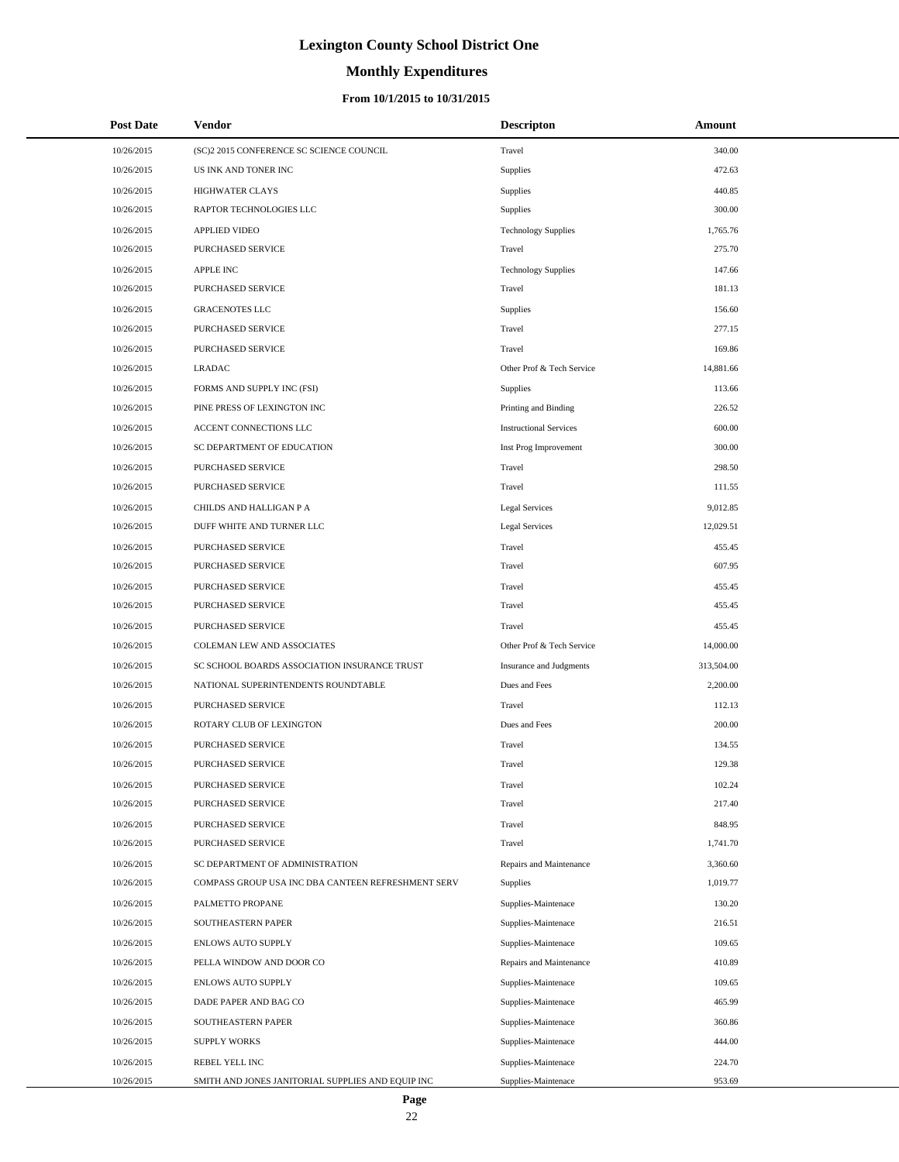# **Monthly Expenditures**

| <b>Post Date</b> | Vendor                                             | <b>Descripton</b>             | Amount     |  |
|------------------|----------------------------------------------------|-------------------------------|------------|--|
| 10/26/2015       | (SC)2 2015 CONFERENCE SC SCIENCE COUNCIL           | Travel                        | 340.00     |  |
| 10/26/2015       | US INK AND TONER INC                               | Supplies                      | 472.63     |  |
| 10/26/2015       | <b>HIGHWATER CLAYS</b>                             | <b>Supplies</b>               | 440.85     |  |
| 10/26/2015       | RAPTOR TECHNOLOGIES LLC                            | <b>Supplies</b>               | 300.00     |  |
| 10/26/2015       | <b>APPLIED VIDEO</b>                               | <b>Technology Supplies</b>    | 1,765.76   |  |
| 10/26/2015       | PURCHASED SERVICE                                  | Travel                        | 275.70     |  |
| 10/26/2015       | <b>APPLE INC</b>                                   | <b>Technology Supplies</b>    | 147.66     |  |
| 10/26/2015       | PURCHASED SERVICE                                  | Travel                        | 181.13     |  |
| 10/26/2015       | <b>GRACENOTES LLC</b>                              | Supplies                      | 156.60     |  |
| 10/26/2015       | PURCHASED SERVICE                                  | Travel                        | 277.15     |  |
| 10/26/2015       | PURCHASED SERVICE                                  | Travel                        | 169.86     |  |
| 10/26/2015       | <b>LRADAC</b>                                      | Other Prof & Tech Service     | 14,881.66  |  |
| 10/26/2015       | FORMS AND SUPPLY INC (FSI)                         | Supplies                      | 113.66     |  |
| 10/26/2015       | PINE PRESS OF LEXINGTON INC                        | Printing and Binding          | 226.52     |  |
| 10/26/2015       | ACCENT CONNECTIONS LLC                             | <b>Instructional Services</b> | 600.00     |  |
| 10/26/2015       | SC DEPARTMENT OF EDUCATION                         | Inst Prog Improvement         | 300.00     |  |
| 10/26/2015       | PURCHASED SERVICE                                  | Travel                        | 298.50     |  |
| 10/26/2015       | <b>PURCHASED SERVICE</b>                           | Travel                        | 111.55     |  |
| 10/26/2015       | CHILDS AND HALLIGAN P A                            | <b>Legal Services</b>         | 9,012.85   |  |
| 10/26/2015       | DUFF WHITE AND TURNER LLC                          | <b>Legal Services</b>         | 12,029.51  |  |
| 10/26/2015       | PURCHASED SERVICE                                  | Travel                        | 455.45     |  |
| 10/26/2015       | PURCHASED SERVICE                                  | Travel                        | 607.95     |  |
| 10/26/2015       | PURCHASED SERVICE                                  | Travel                        | 455.45     |  |
| 10/26/2015       | PURCHASED SERVICE                                  | Travel                        | 455.45     |  |
| 10/26/2015       | PURCHASED SERVICE                                  | Travel                        | 455.45     |  |
| 10/26/2015       | COLEMAN LEW AND ASSOCIATES                         | Other Prof & Tech Service     | 14,000.00  |  |
| 10/26/2015       | SC SCHOOL BOARDS ASSOCIATION INSURANCE TRUST       | Insurance and Judgments       | 313,504.00 |  |
| 10/26/2015       | NATIONAL SUPERINTENDENTS ROUNDTABLE                | Dues and Fees                 | 2,200.00   |  |
| 10/26/2015       | PURCHASED SERVICE                                  | Travel                        | 112.13     |  |
| 10/26/2015       | ROTARY CLUB OF LEXINGTON                           | Dues and Fees                 | 200.00     |  |
| 10/26/2015       | PURCHASED SERVICE                                  | Travel                        | 134.55     |  |
| 10/26/2015       | PURCHASED SERVICE                                  | Travel                        | 129.38     |  |
| 10/26/2015       | PURCHASED SERVICE                                  | Travel                        | 102.24     |  |
| 10/26/2015       | PURCHASED SERVICE                                  | Travel                        | 217.40     |  |
| 10/26/2015       | PURCHASED SERVICE                                  | Travel                        | 848.95     |  |
| 10/26/2015       | <b>PURCHASED SERVICE</b>                           | Travel                        | 1,741.70   |  |
| 10/26/2015       | SC DEPARTMENT OF ADMINISTRATION                    | Repairs and Maintenance       | 3,360.60   |  |
| 10/26/2015       | COMPASS GROUP USA INC DBA CANTEEN REFRESHMENT SERV | Supplies                      | 1,019.77   |  |
| 10/26/2015       | PALMETTO PROPANE                                   | Supplies-Maintenace           | 130.20     |  |
| 10/26/2015       | SOUTHEASTERN PAPER                                 | Supplies-Maintenace           | 216.51     |  |
| 10/26/2015       | ENLOWS AUTO SUPPLY                                 | Supplies-Maintenace           | 109.65     |  |
| 10/26/2015       | PELLA WINDOW AND DOOR CO                           | Repairs and Maintenance       | 410.89     |  |
| 10/26/2015       | <b>ENLOWS AUTO SUPPLY</b>                          | Supplies-Maintenace           | 109.65     |  |
| 10/26/2015       | DADE PAPER AND BAG CO                              | Supplies-Maintenace           | 465.99     |  |
| 10/26/2015       | SOUTHEASTERN PAPER                                 | Supplies-Maintenace           | 360.86     |  |
| 10/26/2015       | <b>SUPPLY WORKS</b>                                | Supplies-Maintenace           | 444.00     |  |
| 10/26/2015       | REBEL YELL INC                                     | Supplies-Maintenace           | 224.70     |  |
| 10/26/2015       | SMITH AND JONES JANITORIAL SUPPLIES AND EQUIP INC  | Supplies-Maintenace           | 953.69     |  |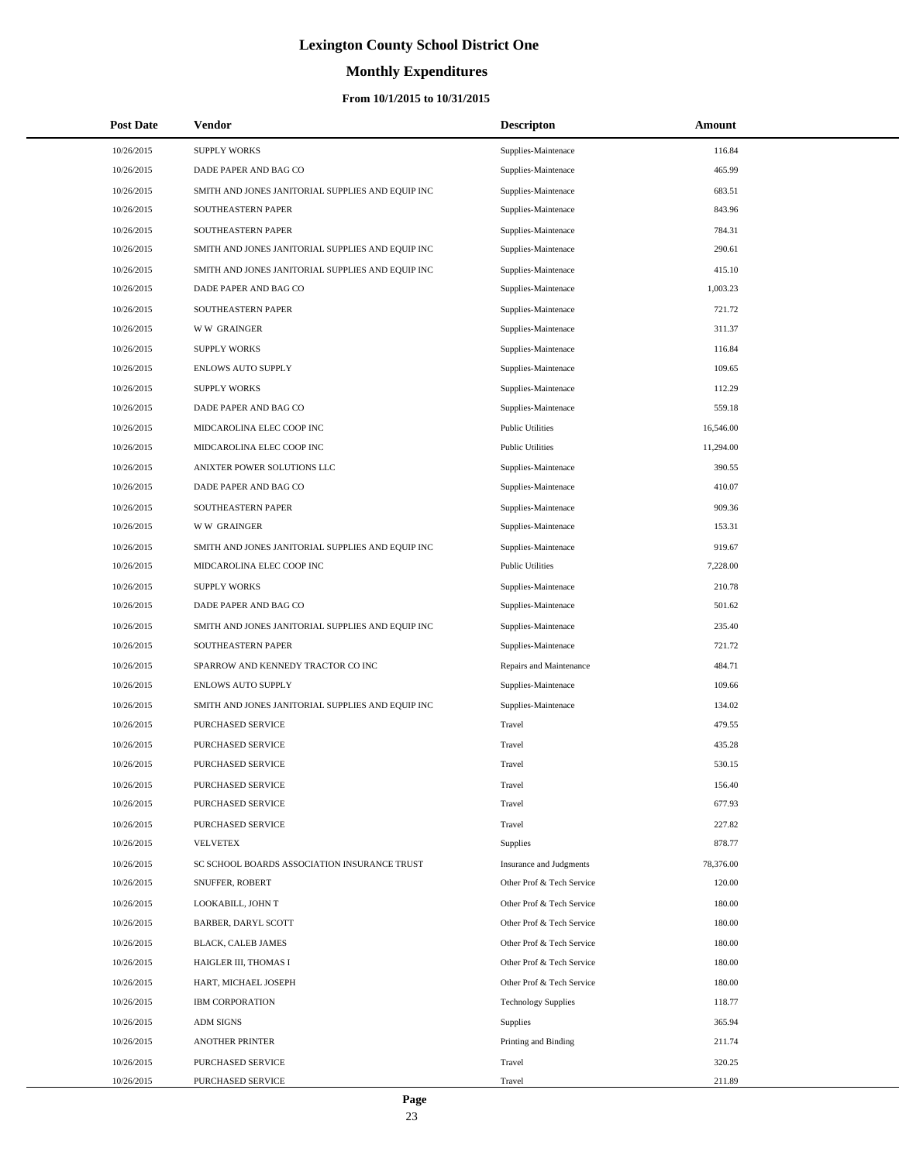# **Monthly Expenditures**

### **From 10/1/2015 to 10/31/2015**

| <b>Post Date</b> | Vendor                                            | <b>Descripton</b>          | Amount    |
|------------------|---------------------------------------------------|----------------------------|-----------|
| 10/26/2015       | <b>SUPPLY WORKS</b>                               | Supplies-Maintenace        | 116.84    |
| 10/26/2015       | DADE PAPER AND BAG CO                             | Supplies-Maintenace        | 465.99    |
| 10/26/2015       | SMITH AND JONES JANITORIAL SUPPLIES AND EQUIP INC | Supplies-Maintenace        | 683.51    |
| 10/26/2015       | SOUTHEASTERN PAPER                                | Supplies-Maintenace        | 843.96    |
| 10/26/2015       | SOUTHEASTERN PAPER                                | Supplies-Maintenace        | 784.31    |
| 10/26/2015       | SMITH AND JONES JANITORIAL SUPPLIES AND EQUIP INC | Supplies-Maintenace        | 290.61    |
| 10/26/2015       | SMITH AND JONES JANITORIAL SUPPLIES AND EQUIP INC | Supplies-Maintenace        | 415.10    |
| 10/26/2015       | DADE PAPER AND BAG CO                             | Supplies-Maintenace        | 1,003.23  |
| 10/26/2015       | SOUTHEASTERN PAPER                                | Supplies-Maintenace        | 721.72    |
| 10/26/2015       | <b>WW GRAINGER</b>                                | Supplies-Maintenace        | 311.37    |
| 10/26/2015       | <b>SUPPLY WORKS</b>                               | Supplies-Maintenace        | 116.84    |
| 10/26/2015       | ENLOWS AUTO SUPPLY                                | Supplies-Maintenace        | 109.65    |
| 10/26/2015       | <b>SUPPLY WORKS</b>                               | Supplies-Maintenace        | 112.29    |
| 10/26/2015       | DADE PAPER AND BAG CO                             | Supplies-Maintenace        | 559.18    |
| 10/26/2015       | MIDCAROLINA ELEC COOP INC                         | <b>Public Utilities</b>    | 16,546.00 |
| 10/26/2015       | MIDCAROLINA ELEC COOP INC                         | <b>Public Utilities</b>    | 11,294.00 |
| 10/26/2015       | ANIXTER POWER SOLUTIONS LLC                       | Supplies-Maintenace        | 390.55    |
| 10/26/2015       | DADE PAPER AND BAG CO                             | Supplies-Maintenace        | 410.07    |
| 10/26/2015       | SOUTHEASTERN PAPER                                | Supplies-Maintenace        | 909.36    |
| 10/26/2015       | <b>WW GRAINGER</b>                                | Supplies-Maintenace        | 153.31    |
| 10/26/2015       | SMITH AND JONES JANITORIAL SUPPLIES AND EQUIP INC | Supplies-Maintenace        | 919.67    |
| 10/26/2015       | MIDCAROLINA ELEC COOP INC                         | <b>Public Utilities</b>    | 7,228.00  |
| 10/26/2015       | <b>SUPPLY WORKS</b>                               | Supplies-Maintenace        | 210.78    |
| 10/26/2015       | DADE PAPER AND BAG CO                             | Supplies-Maintenace        | 501.62    |
| 10/26/2015       | SMITH AND JONES JANITORIAL SUPPLIES AND EQUIP INC | Supplies-Maintenace        | 235.40    |
| 10/26/2015       | SOUTHEASTERN PAPER                                | Supplies-Maintenace        | 721.72    |
| 10/26/2015       | SPARROW AND KENNEDY TRACTOR CO INC                | Repairs and Maintenance    | 484.71    |
| 10/26/2015       | <b>ENLOWS AUTO SUPPLY</b>                         | Supplies-Maintenace        | 109.66    |
| 10/26/2015       | SMITH AND JONES JANITORIAL SUPPLIES AND EQUIP INC | Supplies-Maintenace        | 134.02    |
| 10/26/2015       | PURCHASED SERVICE                                 | Travel                     | 479.55    |
| 10/26/2015       | PURCHASED SERVICE                                 | Travel                     | 435.28    |
| 10/26/2015       | PURCHASED SERVICE                                 | Travel                     | 530.15    |
| 10/26/2015       | PURCHASED SERVICE                                 | Travel                     | 156.40    |
| 10/26/2015       | PURCHASED SERVICE                                 | Travel                     | 677.93    |
| 10/26/2015       | PURCHASED SERVICE                                 | Travel                     | 227.82    |
| 10/26/2015       | <b>VELVETEX</b>                                   | <b>Supplies</b>            | 878.77    |
| 10/26/2015       | SC SCHOOL BOARDS ASSOCIATION INSURANCE TRUST      | Insurance and Judgments    | 78,376.00 |
| 10/26/2015       | SNUFFER, ROBERT                                   | Other Prof & Tech Service  | 120.00    |
| 10/26/2015       | LOOKABILL, JOHN T                                 | Other Prof & Tech Service  | 180.00    |
| 10/26/2015       | <b>BARBER, DARYL SCOTT</b>                        | Other Prof & Tech Service  | 180.00    |
| 10/26/2015       | BLACK, CALEB JAMES                                | Other Prof & Tech Service  | 180.00    |
| 10/26/2015       | HAIGLER III, THOMAS I                             | Other Prof & Tech Service  | 180.00    |
| 10/26/2015       | HART, MICHAEL JOSEPH                              | Other Prof & Tech Service  | 180.00    |
| 10/26/2015       | <b>IBM CORPORATION</b>                            | <b>Technology Supplies</b> | 118.77    |
| 10/26/2015       | <b>ADM SIGNS</b>                                  | Supplies                   | 365.94    |
| 10/26/2015       | <b>ANOTHER PRINTER</b>                            | Printing and Binding       | 211.74    |
| 10/26/2015       | PURCHASED SERVICE                                 | Travel                     | 320.25    |
| 10/26/2015       | PURCHASED SERVICE                                 | Travel                     | 211.89    |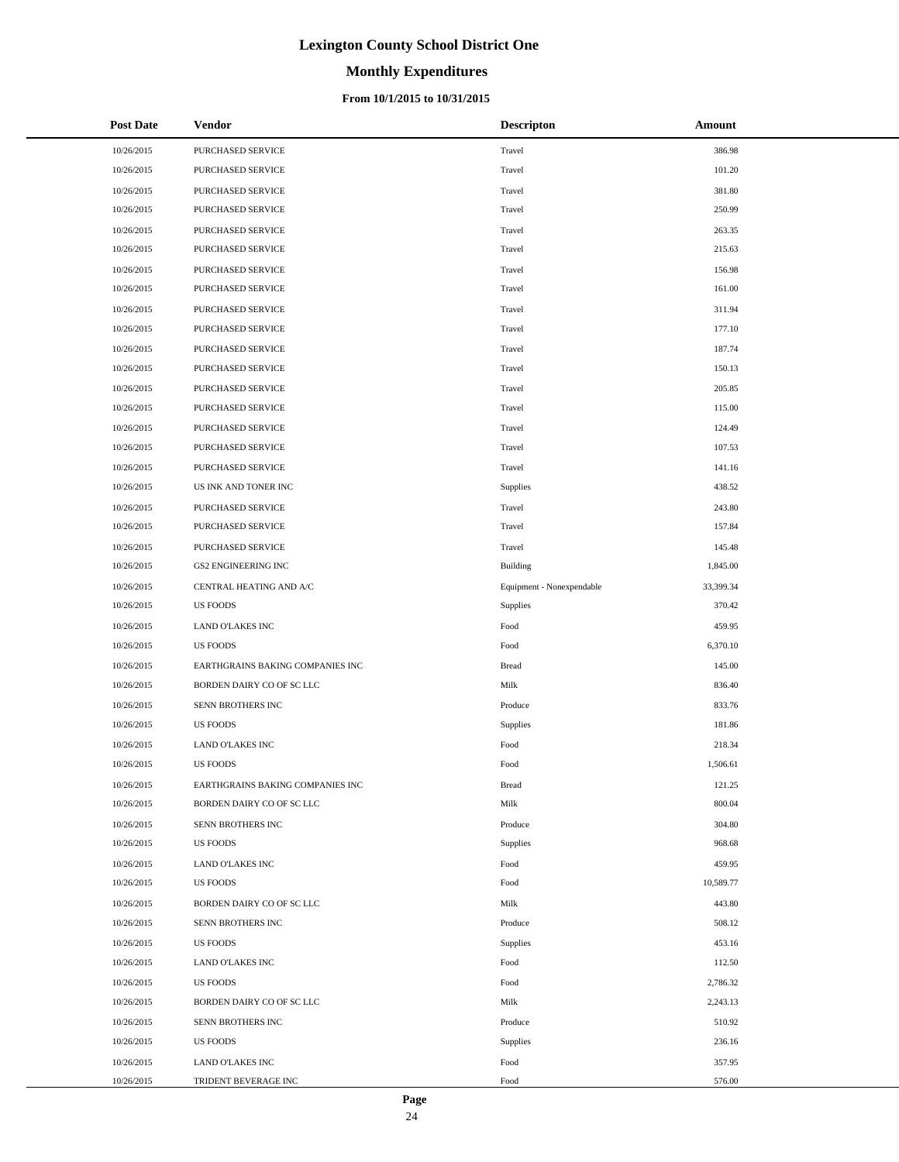# **Monthly Expenditures**

| <b>Post Date</b> | <b>Vendor</b>                    | <b>Descripton</b>         | Amount    |
|------------------|----------------------------------|---------------------------|-----------|
| 10/26/2015       | PURCHASED SERVICE                | Travel                    | 386.98    |
| 10/26/2015       | PURCHASED SERVICE                | Travel                    | 101.20    |
| 10/26/2015       | PURCHASED SERVICE                | Travel                    | 381.80    |
| 10/26/2015       | PURCHASED SERVICE                | Travel                    | 250.99    |
| 10/26/2015       | PURCHASED SERVICE                | Travel                    | 263.35    |
| 10/26/2015       | PURCHASED SERVICE                | Travel                    | 215.63    |
| 10/26/2015       | PURCHASED SERVICE                | Travel                    | 156.98    |
| 10/26/2015       | PURCHASED SERVICE                | Travel                    | 161.00    |
| 10/26/2015       | PURCHASED SERVICE                | Travel                    | 311.94    |
| 10/26/2015       | PURCHASED SERVICE                | Travel                    | 177.10    |
| 10/26/2015       | PURCHASED SERVICE                | Travel                    | 187.74    |
| 10/26/2015       | PURCHASED SERVICE                | Travel                    | 150.13    |
| 10/26/2015       | PURCHASED SERVICE                | Travel                    | 205.85    |
| 10/26/2015       | PURCHASED SERVICE                | Travel                    | 115.00    |
| 10/26/2015       | PURCHASED SERVICE                | Travel                    | 124.49    |
| 10/26/2015       | PURCHASED SERVICE                | Travel                    | 107.53    |
| 10/26/2015       | PURCHASED SERVICE                | Travel                    | 141.16    |
| 10/26/2015       | US INK AND TONER INC             | Supplies                  | 438.52    |
| 10/26/2015       | PURCHASED SERVICE                | Travel                    | 243.80    |
| 10/26/2015       | PURCHASED SERVICE                | Travel                    | 157.84    |
| 10/26/2015       | PURCHASED SERVICE                | Travel                    | 145.48    |
| 10/26/2015       | <b>GS2 ENGINEERING INC</b>       | <b>Building</b>           | 1,845.00  |
| 10/26/2015       | CENTRAL HEATING AND A/C          | Equipment - Nonexpendable | 33,399.34 |
| 10/26/2015       | <b>US FOODS</b>                  | Supplies                  | 370.42    |
| 10/26/2015       | <b>LAND O'LAKES INC</b>          | Food                      | 459.95    |
| 10/26/2015       | <b>US FOODS</b>                  | Food                      | 6,370.10  |
| 10/26/2015       | EARTHGRAINS BAKING COMPANIES INC | <b>Bread</b>              | 145.00    |
| 10/26/2015       | BORDEN DAIRY CO OF SC LLC        | Milk                      | 836.40    |
| 10/26/2015       | SENN BROTHERS INC                | Produce                   | 833.76    |
| 10/26/2015       | <b>US FOODS</b>                  | Supplies                  | 181.86    |
| 10/26/2015       | <b>LAND O'LAKES INC</b>          | Food                      | 218.34    |
| 10/26/2015       | <b>US FOODS</b>                  | Food                      | 1,506.61  |
| 10/26/2015       | EARTHGRAINS BAKING COMPANIES INC | <b>Bread</b>              | 121.25    |
| 10/26/2015       | BORDEN DAIRY CO OF SC LLC        | Milk                      | 800.04    |
| 10/26/2015       | SENN BROTHERS INC                | Produce                   | 304.80    |
| 10/26/2015       | <b>US FOODS</b>                  | Supplies                  | 968.68    |
| 10/26/2015       | LAND O'LAKES INC                 | Food                      | 459.95    |
| 10/26/2015       | US FOODS                         | Food                      | 10,589.77 |
| 10/26/2015       | BORDEN DAIRY CO OF SC LLC        | Milk                      | 443.80    |
| 10/26/2015       | SENN BROTHERS INC                | Produce                   | 508.12    |
| 10/26/2015       | <b>US FOODS</b>                  | Supplies                  | 453.16    |
| 10/26/2015       | LAND O'LAKES INC                 | Food                      | 112.50    |
| 10/26/2015       | <b>US FOODS</b>                  | Food                      | 2,786.32  |
| 10/26/2015       | BORDEN DAIRY CO OF SC LLC        | Milk                      | 2,243.13  |
| 10/26/2015       | SENN BROTHERS INC                | Produce                   | 510.92    |
| 10/26/2015       | US FOODS                         | Supplies                  | 236.16    |
| 10/26/2015       | LAND O'LAKES INC                 | Food                      | 357.95    |
| 10/26/2015       | TRIDENT BEVERAGE INC             | Food                      | 576.00    |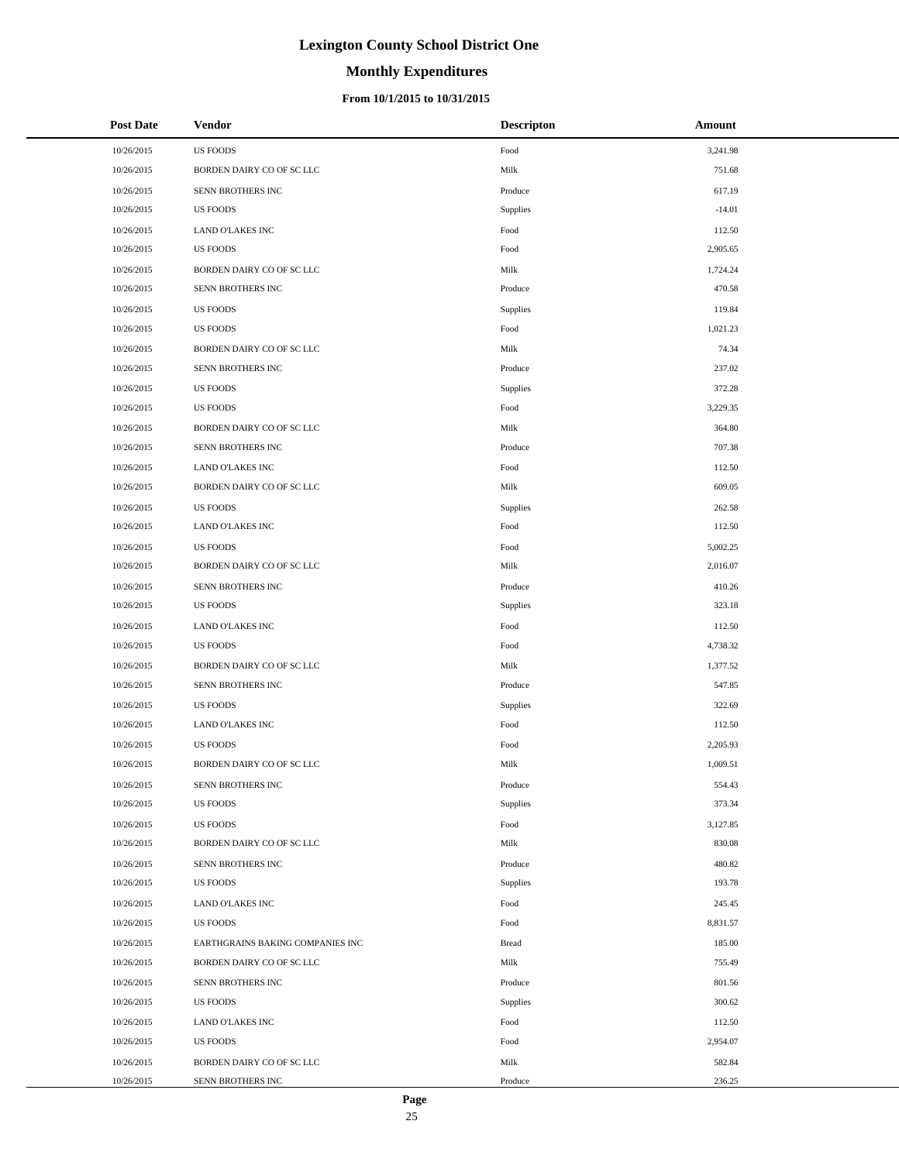# **Monthly Expenditures**

### **From 10/1/2015 to 10/31/2015**

| <b>Post Date</b> | <b>Vendor</b>                    | <b>Descripton</b> | Amount   |  |
|------------------|----------------------------------|-------------------|----------|--|
| 10/26/2015       | <b>US FOODS</b>                  | Food              | 3,241.98 |  |
| 10/26/2015       | BORDEN DAIRY CO OF SC LLC        | Milk              | 751.68   |  |
| 10/26/2015       | SENN BROTHERS INC                | Produce           | 617.19   |  |
| 10/26/2015       | <b>US FOODS</b>                  | Supplies          | $-14.01$ |  |
| 10/26/2015       | LAND O'LAKES INC                 | Food              | 112.50   |  |
| 10/26/2015       | <b>US FOODS</b>                  | Food              | 2,905.65 |  |
| 10/26/2015       | BORDEN DAIRY CO OF SC LLC        | Milk              | 1,724.24 |  |
| 10/26/2015       | SENN BROTHERS INC                | Produce           | 470.58   |  |
| 10/26/2015       | <b>US FOODS</b>                  | Supplies          | 119.84   |  |
| 10/26/2015       | <b>US FOODS</b>                  | Food              | 1,021.23 |  |
| 10/26/2015       | BORDEN DAIRY CO OF SC LLC        | Milk              | 74.34    |  |
| 10/26/2015       | SENN BROTHERS INC                | Produce           | 237.02   |  |
| 10/26/2015       | <b>US FOODS</b>                  | Supplies          | 372.28   |  |
| 10/26/2015       | <b>US FOODS</b>                  | Food              | 3,229.35 |  |
| 10/26/2015       | BORDEN DAIRY CO OF SC LLC        | Milk              | 364.80   |  |
| 10/26/2015       | SENN BROTHERS INC                | Produce           | 707.38   |  |
| 10/26/2015       | LAND O'LAKES INC                 | Food              | 112.50   |  |
| 10/26/2015       | BORDEN DAIRY CO OF SC LLC        | Milk              | 609.05   |  |
| 10/26/2015       | <b>US FOODS</b>                  | Supplies          | 262.58   |  |
| 10/26/2015       | <b>LAND O'LAKES INC</b>          | Food              | 112.50   |  |
| 10/26/2015       | <b>US FOODS</b>                  | Food              | 5,002.25 |  |
| 10/26/2015       | BORDEN DAIRY CO OF SC LLC        | Milk              | 2,016.07 |  |
| 10/26/2015       | SENN BROTHERS INC                | Produce           | 410.26   |  |
| 10/26/2015       | <b>US FOODS</b>                  | Supplies          | 323.18   |  |
| 10/26/2015       | LAND O'LAKES INC                 | Food              | 112.50   |  |
| 10/26/2015       | <b>US FOODS</b>                  | Food              | 4,738.32 |  |
| 10/26/2015       | BORDEN DAIRY CO OF SC LLC        | Milk              | 1,377.52 |  |
| 10/26/2015       | SENN BROTHERS INC                | Produce           | 547.85   |  |
| 10/26/2015       | <b>US FOODS</b>                  | Supplies          | 322.69   |  |
| 10/26/2015       | LAND O'LAKES INC                 | Food              | 112.50   |  |
| 10/26/2015       | <b>US FOODS</b>                  | Food              | 2,205.93 |  |
| 10/26/2015       | BORDEN DAIRY CO OF SC LLC        | Milk              | 1,009.51 |  |
| 10/26/2015       | SENN BROTHERS INC                | Produce           | 554.43   |  |
| 10/26/2015       | <b>US FOODS</b>                  | Supplies          | 373.34   |  |
| 10/26/2015       | <b>US FOODS</b>                  | Food              | 3,127.85 |  |
| 10/26/2015       | BORDEN DAIRY CO OF SC LLC        | Milk              | 830.08   |  |
| 10/26/2015       | SENN BROTHERS INC                | Produce           | 480.82   |  |
| 10/26/2015       | <b>US FOODS</b>                  | Supplies          | 193.78   |  |
| 10/26/2015       | LAND O'LAKES INC                 | Food              | 245.45   |  |
| 10/26/2015       | <b>US FOODS</b>                  | Food              | 8,831.57 |  |
| 10/26/2015       | EARTHGRAINS BAKING COMPANIES INC | <b>Bread</b>      | 185.00   |  |
| 10/26/2015       | BORDEN DAIRY CO OF SC LLC        | Milk              | 755.49   |  |
| 10/26/2015       | SENN BROTHERS INC                | Produce           | 801.56   |  |
| 10/26/2015       | <b>US FOODS</b>                  | Supplies          | 300.62   |  |
| 10/26/2015       | LAND O'LAKES INC                 | Food              | 112.50   |  |
| 10/26/2015       | <b>US FOODS</b>                  | Food              | 2,954.07 |  |
| 10/26/2015       | BORDEN DAIRY CO OF SC LLC        | Milk              | 582.84   |  |
| 10/26/2015       | SENN BROTHERS INC                | Produce           | 236.25   |  |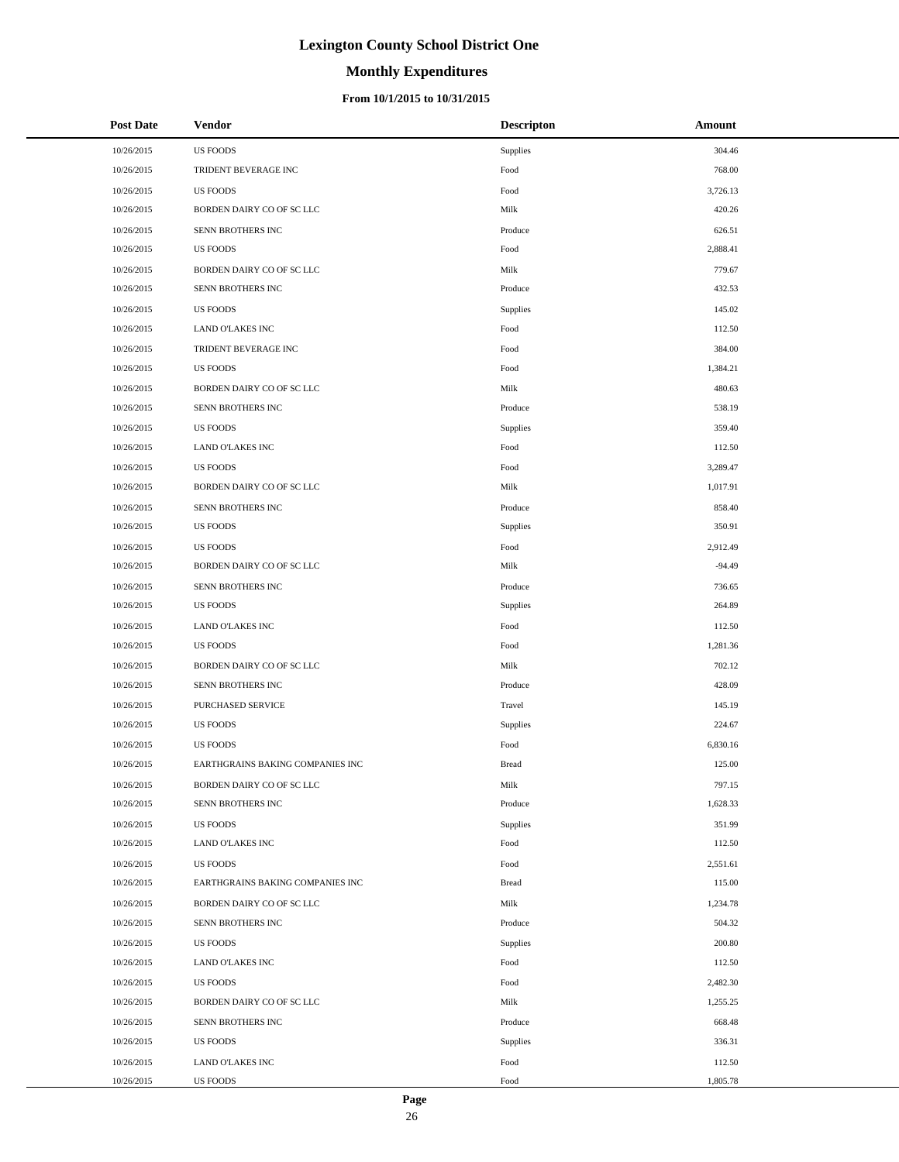# **Monthly Expenditures**

### **From 10/1/2015 to 10/31/2015**

| <b>Post Date</b> | Vendor                           | <b>Descripton</b> | Amount   |
|------------------|----------------------------------|-------------------|----------|
| 10/26/2015       | <b>US FOODS</b>                  | Supplies          | 304.46   |
| 10/26/2015       | TRIDENT BEVERAGE INC             | Food              | 768.00   |
| 10/26/2015       | <b>US FOODS</b>                  | Food              | 3,726.13 |
| 10/26/2015       | BORDEN DAIRY CO OF SC LLC        | Milk              | 420.26   |
| 10/26/2015       | SENN BROTHERS INC                | Produce           | 626.51   |
| 10/26/2015       | <b>US FOODS</b>                  | Food              | 2,888.41 |
| 10/26/2015       | BORDEN DAIRY CO OF SC LLC        | Milk              | 779.67   |
| 10/26/2015       | SENN BROTHERS INC                | Produce           | 432.53   |
| 10/26/2015       | <b>US FOODS</b>                  | Supplies          | 145.02   |
| 10/26/2015       | LAND O'LAKES INC                 | Food              | 112.50   |
| 10/26/2015       | TRIDENT BEVERAGE INC             | Food              | 384.00   |
| 10/26/2015       | <b>US FOODS</b>                  | Food              | 1,384.21 |
| 10/26/2015       | BORDEN DAIRY CO OF SC LLC        | Milk              | 480.63   |
| 10/26/2015       | SENN BROTHERS INC                | Produce           | 538.19   |
| 10/26/2015       | <b>US FOODS</b>                  | Supplies          | 359.40   |
| 10/26/2015       | LAND O'LAKES INC                 | Food              | 112.50   |
| 10/26/2015       | <b>US FOODS</b>                  | Food              | 3,289.47 |
| 10/26/2015       | BORDEN DAIRY CO OF SC LLC        | Milk              | 1,017.91 |
| 10/26/2015       | SENN BROTHERS INC                | Produce           | 858.40   |
| 10/26/2015       | <b>US FOODS</b>                  | Supplies          | 350.91   |
| 10/26/2015       | <b>US FOODS</b>                  | Food              | 2,912.49 |
| 10/26/2015       | BORDEN DAIRY CO OF SC LLC        | Milk              | $-94.49$ |
| 10/26/2015       | SENN BROTHERS INC                | Produce           | 736.65   |
| 10/26/2015       | <b>US FOODS</b>                  | Supplies          | 264.89   |
| 10/26/2015       | LAND O'LAKES INC                 | Food              | 112.50   |
| 10/26/2015       | <b>US FOODS</b>                  | Food              | 1,281.36 |
| 10/26/2015       | BORDEN DAIRY CO OF SC LLC        | Milk              | 702.12   |
| 10/26/2015       | SENN BROTHERS INC                | Produce           | 428.09   |
| 10/26/2015       | PURCHASED SERVICE                | Travel            | 145.19   |
| 10/26/2015       | <b>US FOODS</b>                  | Supplies          | 224.67   |
| 10/26/2015       | <b>US FOODS</b>                  | Food              | 6,830.16 |
| 10/26/2015       | EARTHGRAINS BAKING COMPANIES INC | <b>Bread</b>      | 125.00   |
| 10/26/2015       | BORDEN DAIRY CO OF SC LLC        | Milk              | 797.15   |
| 10/26/2015       | SENN BROTHERS INC                | Produce           | 1,628.33 |
| 10/26/2015       | <b>US FOODS</b>                  | Supplies          | 351.99   |
| 10/26/2015       | LAND O'LAKES INC                 | Food              | 112.50   |
| 10/26/2015       | <b>US FOODS</b>                  | Food              | 2,551.61 |
| 10/26/2015       | EARTHGRAINS BAKING COMPANIES INC | <b>Bread</b>      | 115.00   |
| 10/26/2015       | BORDEN DAIRY CO OF SC LLC        | Milk              | 1,234.78 |
| 10/26/2015       | SENN BROTHERS INC                | Produce           | 504.32   |
| 10/26/2015       | <b>US FOODS</b>                  | Supplies          | 200.80   |
| 10/26/2015       | LAND O'LAKES INC                 | Food              | 112.50   |
| 10/26/2015       | <b>US FOODS</b>                  | Food              | 2,482.30 |
| 10/26/2015       | BORDEN DAIRY CO OF SC LLC        | Milk              | 1,255.25 |
| 10/26/2015       | SENN BROTHERS INC                | Produce           | 668.48   |
| 10/26/2015       | <b>US FOODS</b>                  | Supplies          | 336.31   |
| 10/26/2015       | LAND O'LAKES INC                 | Food              | 112.50   |
| 10/26/2015       | US FOODS                         | Food              | 1,805.78 |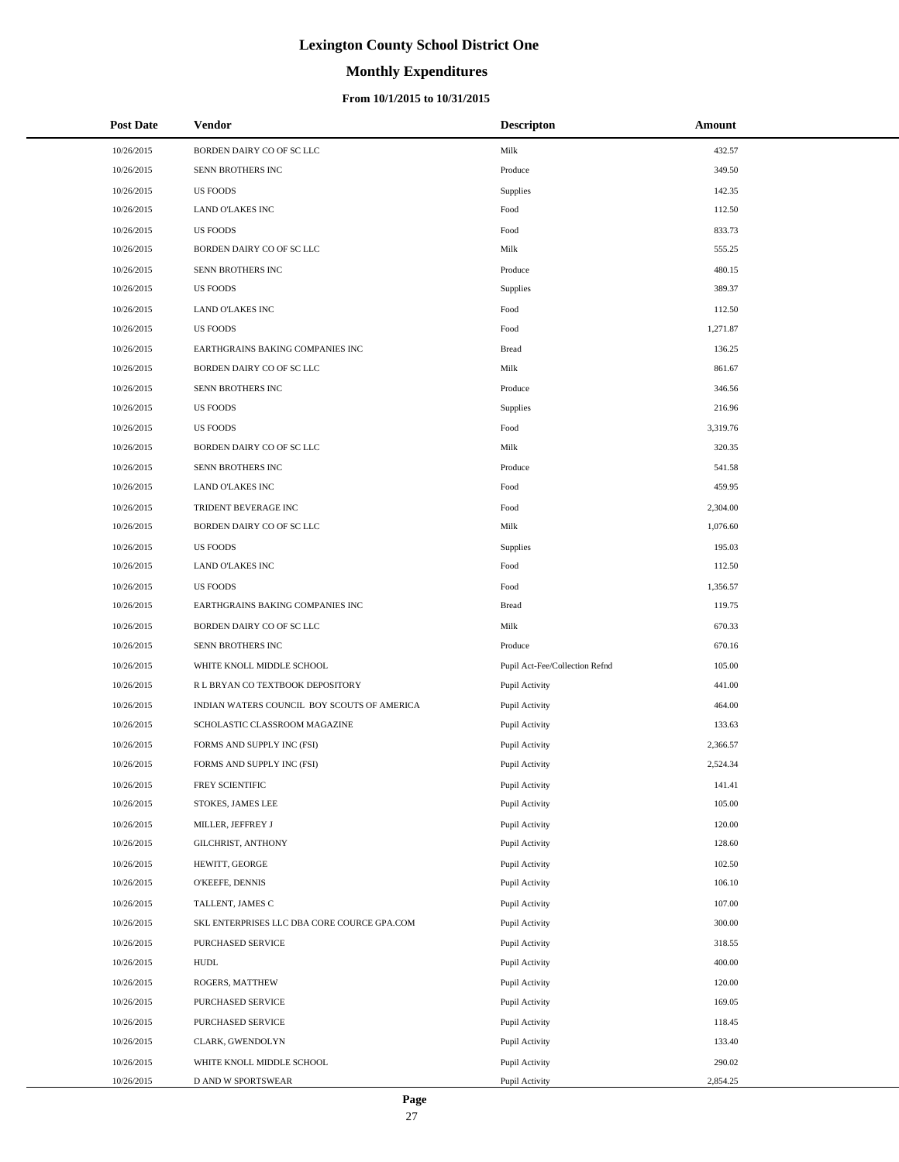# **Monthly Expenditures**

### **From 10/1/2015 to 10/31/2015**

| <b>Post Date</b> | Vendor                                      | <b>Descripton</b>              | Amount   |
|------------------|---------------------------------------------|--------------------------------|----------|
| 10/26/2015       | BORDEN DAIRY CO OF SC LLC                   | Milk                           | 432.57   |
| 10/26/2015       | SENN BROTHERS INC                           | Produce                        | 349.50   |
| 10/26/2015       | <b>US FOODS</b>                             | Supplies                       | 142.35   |
| 10/26/2015       | LAND O'LAKES INC                            | Food                           | 112.50   |
| 10/26/2015       | <b>US FOODS</b>                             | Food                           | 833.73   |
| 10/26/2015       | BORDEN DAIRY CO OF SC LLC                   | Milk                           | 555.25   |
| 10/26/2015       | SENN BROTHERS INC                           | Produce                        | 480.15   |
| 10/26/2015       | <b>US FOODS</b>                             | Supplies                       | 389.37   |
| 10/26/2015       | LAND O'LAKES INC                            | Food                           | 112.50   |
| 10/26/2015       | <b>US FOODS</b>                             | Food                           | 1,271.87 |
| 10/26/2015       | EARTHGRAINS BAKING COMPANIES INC            | <b>Bread</b>                   | 136.25   |
| 10/26/2015       | BORDEN DAIRY CO OF SC LLC                   | Milk                           | 861.67   |
| 10/26/2015       | SENN BROTHERS INC                           | Produce                        | 346.56   |
| 10/26/2015       | <b>US FOODS</b>                             | Supplies                       | 216.96   |
| 10/26/2015       | <b>US FOODS</b>                             | Food                           | 3,319.76 |
| 10/26/2015       | BORDEN DAIRY CO OF SC LLC                   | Milk                           | 320.35   |
| 10/26/2015       | SENN BROTHERS INC                           | Produce                        | 541.58   |
| 10/26/2015       | <b>LAND O'LAKES INC</b>                     | Food                           | 459.95   |
| 10/26/2015       | TRIDENT BEVERAGE INC                        | Food                           | 2,304.00 |
| 10/26/2015       | BORDEN DAIRY CO OF SC LLC                   | Milk                           | 1,076.60 |
| 10/26/2015       | <b>US FOODS</b>                             | Supplies                       | 195.03   |
| 10/26/2015       | LAND O'LAKES INC                            | Food                           | 112.50   |
| 10/26/2015       | <b>US FOODS</b>                             | Food                           | 1,356.57 |
| 10/26/2015       | EARTHGRAINS BAKING COMPANIES INC            | <b>Bread</b>                   | 119.75   |
| 10/26/2015       | BORDEN DAIRY CO OF SC LLC                   | Milk                           | 670.33   |
| 10/26/2015       | SENN BROTHERS INC                           | Produce                        | 670.16   |
| 10/26/2015       | WHITE KNOLL MIDDLE SCHOOL                   | Pupil Act-Fee/Collection Refnd | 105.00   |
| 10/26/2015       | R L BRYAN CO TEXTBOOK DEPOSITORY            | Pupil Activity                 | 441.00   |
| 10/26/2015       | INDIAN WATERS COUNCIL BOY SCOUTS OF AMERICA | Pupil Activity                 | 464.00   |
| 10/26/2015       | SCHOLASTIC CLASSROOM MAGAZINE               | Pupil Activity                 | 133.63   |
| 10/26/2015       | FORMS AND SUPPLY INC (FSI)                  | Pupil Activity                 | 2,366.57 |
| 10/26/2015       | FORMS AND SUPPLY INC (FSI)                  | Pupil Activity                 | 2,524.34 |
| 10/26/2015       | FREY SCIENTIFIC                             | Pupil Activity                 | 141.41   |
| 10/26/2015       | STOKES, JAMES LEE                           | Pupil Activity                 | 105.00   |
| 10/26/2015       | MILLER, JEFFREY J                           | Pupil Activity                 | 120.00   |
| 10/26/2015       | GILCHRIST, ANTHONY                          | Pupil Activity                 | 128.60   |
| 10/26/2015       | HEWITT, GEORGE                              | Pupil Activity                 | 102.50   |
| 10/26/2015       | O'KEEFE, DENNIS                             | Pupil Activity                 | 106.10   |
| 10/26/2015       | TALLENT, JAMES C                            | Pupil Activity                 | 107.00   |
| 10/26/2015       | SKL ENTERPRISES LLC DBA CORE COURCE GPA.COM | Pupil Activity                 | 300.00   |
| 10/26/2015       | PURCHASED SERVICE                           | Pupil Activity                 | 318.55   |
| 10/26/2015       | <b>HUDL</b>                                 | Pupil Activity                 | 400.00   |
| 10/26/2015       | ROGERS, MATTHEW                             | Pupil Activity                 | 120.00   |
| 10/26/2015       | PURCHASED SERVICE                           | Pupil Activity                 | 169.05   |
| 10/26/2015       | PURCHASED SERVICE                           | Pupil Activity                 | 118.45   |
| 10/26/2015       | CLARK, GWENDOLYN                            | Pupil Activity                 | 133.40   |
| 10/26/2015       | WHITE KNOLL MIDDLE SCHOOL                   | Pupil Activity                 | 290.02   |
| 10/26/2015       | D AND W SPORTSWEAR                          | Pupil Activity                 | 2,854.25 |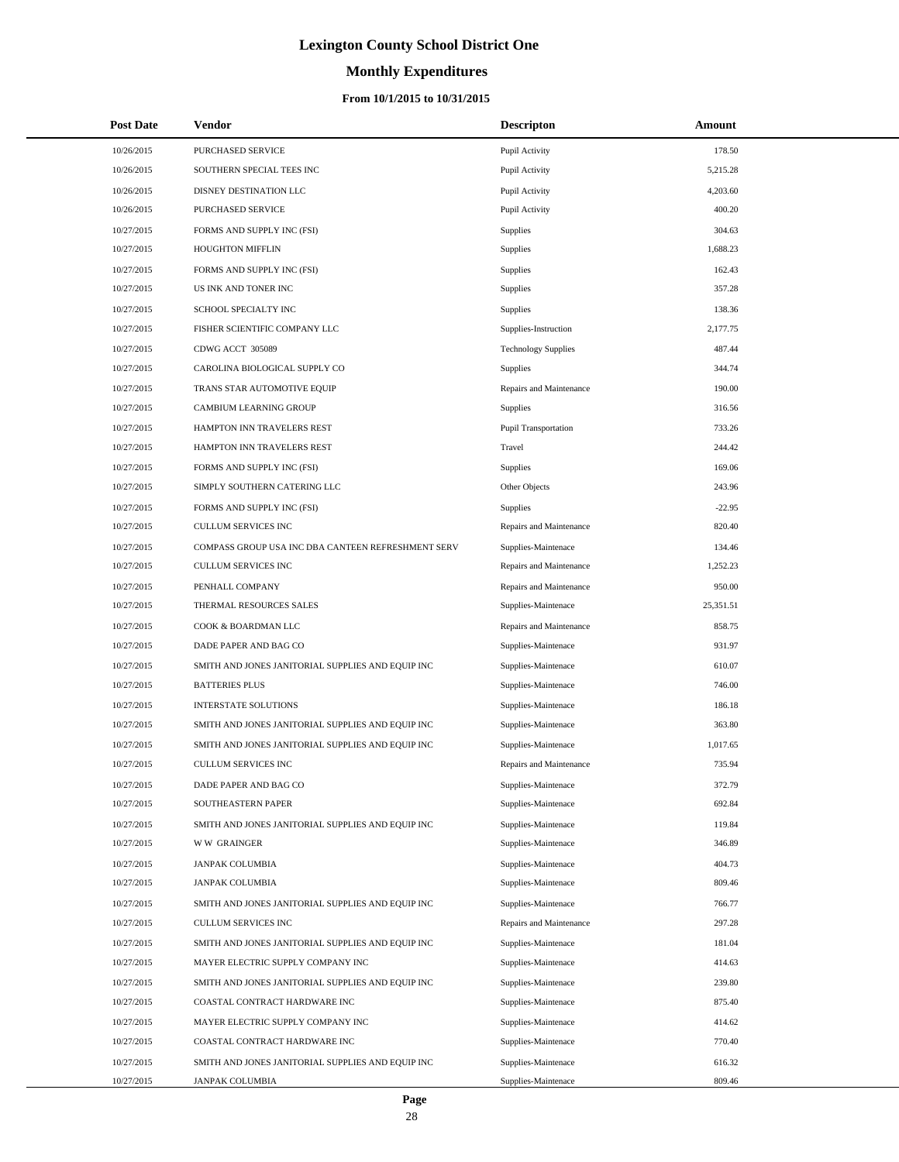# **Monthly Expenditures**

| <b>Post Date</b>         | <b>Vendor</b>                                                               | <b>Descripton</b>                          | <b>Amount</b>    |
|--------------------------|-----------------------------------------------------------------------------|--------------------------------------------|------------------|
| 10/26/2015               | <b>PURCHASED SERVICE</b>                                                    | Pupil Activity                             | 178.50           |
| 10/26/2015               | SOUTHERN SPECIAL TEES INC                                                   | Pupil Activity                             | 5,215.28         |
| 10/26/2015               | DISNEY DESTINATION LLC                                                      | Pupil Activity                             | 4,203.60         |
| 10/26/2015               | PURCHASED SERVICE                                                           | Pupil Activity                             | 400.20           |
| 10/27/2015               | FORMS AND SUPPLY INC (FSI)                                                  | Supplies                                   | 304.63           |
| 10/27/2015               | <b>HOUGHTON MIFFLIN</b>                                                     | Supplies                                   | 1,688.23         |
| 10/27/2015               | FORMS AND SUPPLY INC (FSI)                                                  | Supplies                                   | 162.43           |
| 10/27/2015               | US INK AND TONER INC                                                        | Supplies                                   | 357.28           |
| 10/27/2015               | SCHOOL SPECIALTY INC                                                        | Supplies                                   | 138.36           |
| 10/27/2015               | FISHER SCIENTIFIC COMPANY LLC                                               | Supplies-Instruction                       | 2,177.75         |
| 10/27/2015               | CDWG ACCT 305089                                                            | <b>Technology Supplies</b>                 | 487.44           |
| 10/27/2015               | CAROLINA BIOLOGICAL SUPPLY CO                                               | Supplies                                   | 344.74           |
| 10/27/2015               | TRANS STAR AUTOMOTIVE EQUIP                                                 | Repairs and Maintenance                    | 190.00           |
| 10/27/2015               | CAMBIUM LEARNING GROUP                                                      | Supplies                                   | 316.56           |
| 10/27/2015               | HAMPTON INN TRAVELERS REST                                                  | Pupil Transportation                       | 733.26           |
| 10/27/2015               | HAMPTON INN TRAVELERS REST                                                  | Travel                                     | 244.42           |
| 10/27/2015               | FORMS AND SUPPLY INC (FSI)                                                  | Supplies                                   | 169.06           |
| 10/27/2015               | SIMPLY SOUTHERN CATERING LLC                                                | Other Objects                              | 243.96           |
| 10/27/2015               | FORMS AND SUPPLY INC (FSI)                                                  | Supplies                                   | $-22.95$         |
| 10/27/2015               | <b>CULLUM SERVICES INC</b>                                                  | Repairs and Maintenance                    | 820.40           |
| 10/27/2015               | COMPASS GROUP USA INC DBA CANTEEN REFRESHMENT SERV                          | Supplies-Maintenace                        | 134.46           |
| 10/27/2015               | <b>CULLUM SERVICES INC</b>                                                  | Repairs and Maintenance                    | 1,252.23         |
| 10/27/2015               | PENHALL COMPANY                                                             | Repairs and Maintenance                    | 950.00           |
| 10/27/2015               | THERMAL RESOURCES SALES                                                     | Supplies-Maintenace                        | 25,351.51        |
| 10/27/2015               | COOK & BOARDMAN LLC                                                         | Repairs and Maintenance                    | 858.75           |
| 10/27/2015               | DADE PAPER AND BAG CO                                                       | Supplies-Maintenace                        | 931.97           |
| 10/27/2015               | SMITH AND JONES JANITORIAL SUPPLIES AND EQUIP INC                           | Supplies-Maintenace                        | 610.07           |
| 10/27/2015               | <b>BATTERIES PLUS</b>                                                       | Supplies-Maintenace                        | 746.00           |
| 10/27/2015               | <b>INTERSTATE SOLUTIONS</b>                                                 | Supplies-Maintenace                        | 186.18           |
| 10/27/2015               | SMITH AND JONES JANITORIAL SUPPLIES AND EQUIP INC                           | Supplies-Maintenace                        | 363.80           |
| 10/27/2015               | SMITH AND JONES JANITORIAL SUPPLIES AND EQUIP INC                           | Supplies-Maintenace                        | 1,017.65         |
| 10/27/2015               | <b>CULLUM SERVICES INC</b>                                                  | Repairs and Maintenance                    | 735.94           |
| 10/27/2015               | DADE PAPER AND BAG CO                                                       | Supplies-Maintenace                        | 372.79           |
| 10/27/2015               | SOUTHEASTERN PAPER                                                          | Supplies-Maintenace                        | 692.84           |
| 10/27/2015               | SMITH AND JONES JANITORIAL SUPPLIES AND EQUIP INC                           | Supplies-Maintenace                        | 119.84           |
| 10/27/2015               | <b>WW GRAINGER</b>                                                          | Supplies-Maintenace                        | 346.89           |
| 10/27/2015               | <b>JANPAK COLUMBIA</b>                                                      | Supplies-Maintenace                        | 404.73           |
| 10/27/2015               | JANPAK COLUMBIA                                                             | Supplies-Maintenace                        | 809.46           |
| 10/27/2015               | SMITH AND JONES JANITORIAL SUPPLIES AND EQUIP INC                           | Supplies-Maintenace                        | 766.77           |
| 10/27/2015               | <b>CULLUM SERVICES INC</b>                                                  | Repairs and Maintenance                    | 297.28           |
| 10/27/2015               | SMITH AND JONES JANITORIAL SUPPLIES AND EQUIP INC                           | Supplies-Maintenace                        | 181.04           |
| 10/27/2015               | MAYER ELECTRIC SUPPLY COMPANY INC                                           | Supplies-Maintenace                        | 414.63           |
| 10/27/2015               | SMITH AND JONES JANITORIAL SUPPLIES AND EQUIP INC                           | Supplies-Maintenace                        | 239.80           |
| 10/27/2015               | COASTAL CONTRACT HARDWARE INC                                               | Supplies-Maintenace                        | 875.40           |
| 10/27/2015               | MAYER ELECTRIC SUPPLY COMPANY INC                                           | Supplies-Maintenace                        | 414.62           |
| 10/27/2015               | COASTAL CONTRACT HARDWARE INC                                               | Supplies-Maintenace                        | 770.40           |
| 10/27/2015<br>10/27/2015 | SMITH AND JONES JANITORIAL SUPPLIES AND EQUIP INC<br><b>JANPAK COLUMBIA</b> | Supplies-Maintenace<br>Supplies-Maintenace | 616.32<br>809.46 |
|                          |                                                                             |                                            |                  |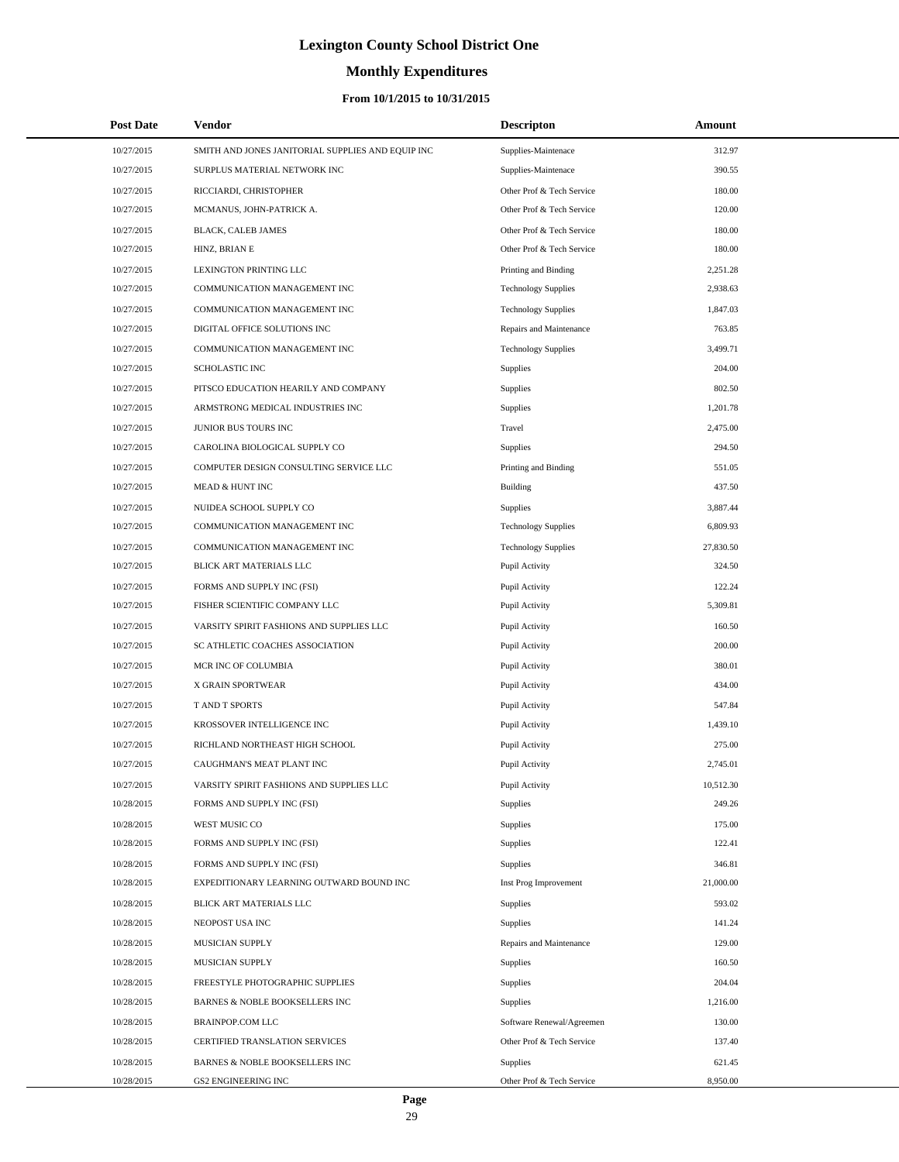# **Monthly Expenditures**

| <b>Post Date</b> | Vendor                                            | <b>Descripton</b>          | Amount    |  |
|------------------|---------------------------------------------------|----------------------------|-----------|--|
| 10/27/2015       | SMITH AND JONES JANITORIAL SUPPLIES AND EQUIP INC | Supplies-Maintenace        | 312.97    |  |
| 10/27/2015       | SURPLUS MATERIAL NETWORK INC                      | Supplies-Maintenace        | 390.55    |  |
| 10/27/2015       | RICCIARDI, CHRISTOPHER                            | Other Prof & Tech Service  | 180.00    |  |
| 10/27/2015       | MCMANUS, JOHN-PATRICK A.                          | Other Prof & Tech Service  | 120.00    |  |
| 10/27/2015       | BLACK, CALEB JAMES                                | Other Prof & Tech Service  | 180.00    |  |
| 10/27/2015       | HINZ, BRIAN E                                     | Other Prof & Tech Service  | 180.00    |  |
| 10/27/2015       | LEXINGTON PRINTING LLC                            | Printing and Binding       | 2,251.28  |  |
| 10/27/2015       | COMMUNICATION MANAGEMENT INC                      | <b>Technology Supplies</b> | 2,938.63  |  |
| 10/27/2015       | COMMUNICATION MANAGEMENT INC                      | <b>Technology Supplies</b> | 1,847.03  |  |
| 10/27/2015       | DIGITAL OFFICE SOLUTIONS INC                      | Repairs and Maintenance    | 763.85    |  |
| 10/27/2015       | COMMUNICATION MANAGEMENT INC                      | <b>Technology Supplies</b> | 3,499.71  |  |
| 10/27/2015       | SCHOLASTIC INC                                    | <b>Supplies</b>            | 204.00    |  |
| 10/27/2015       | PITSCO EDUCATION HEARILY AND COMPANY              | Supplies                   | 802.50    |  |
| 10/27/2015       | ARMSTRONG MEDICAL INDUSTRIES INC                  | Supplies                   | 1.201.78  |  |
| 10/27/2015       | JUNIOR BUS TOURS INC                              | Travel                     | 2,475.00  |  |
| 10/27/2015       | CAROLINA BIOLOGICAL SUPPLY CO                     | <b>Supplies</b>            | 294.50    |  |
| 10/27/2015       | COMPUTER DESIGN CONSULTING SERVICE LLC            | Printing and Binding       | 551.05    |  |
| 10/27/2015       | MEAD & HUNT INC                                   | Building                   | 437.50    |  |
| 10/27/2015       | NUIDEA SCHOOL SUPPLY CO                           | <b>Supplies</b>            | 3,887.44  |  |
| 10/27/2015       | COMMUNICATION MANAGEMENT INC                      | <b>Technology Supplies</b> | 6,809.93  |  |
| 10/27/2015       | COMMUNICATION MANAGEMENT INC                      | <b>Technology Supplies</b> | 27,830.50 |  |
| 10/27/2015       | BLICK ART MATERIALS LLC                           | Pupil Activity             | 324.50    |  |
| 10/27/2015       | FORMS AND SUPPLY INC (FSI)                        | Pupil Activity             | 122.24    |  |
| 10/27/2015       | FISHER SCIENTIFIC COMPANY LLC                     | Pupil Activity             | 5,309.81  |  |
| 10/27/2015       | VARSITY SPIRIT FASHIONS AND SUPPLIES LLC          | Pupil Activity             | 160.50    |  |
| 10/27/2015       | SC ATHLETIC COACHES ASSOCIATION                   | Pupil Activity             | 200.00    |  |
| 10/27/2015       | MCR INC OF COLUMBIA                               | Pupil Activity             | 380.01    |  |
| 10/27/2015       | X GRAIN SPORTWEAR                                 | Pupil Activity             | 434.00    |  |
| 10/27/2015       | T AND T SPORTS                                    | Pupil Activity             | 547.84    |  |
| 10/27/2015       | KROSSOVER INTELLIGENCE INC                        | Pupil Activity             | 1,439.10  |  |
| 10/27/2015       | RICHLAND NORTHEAST HIGH SCHOOL                    | Pupil Activity             | 275.00    |  |
| 10/27/2015       | CAUGHMAN'S MEAT PLANT INC                         | Pupil Activity             | 2,745.01  |  |
| 10/27/2015       | VARSITY SPIRIT FASHIONS AND SUPPLIES LLC          | Pupil Activity             | 10,512.30 |  |
| 10/28/2015       | FORMS AND SUPPLY INC (FSI)                        | <b>Supplies</b>            | 249.26    |  |
| 10/28/2015       | WEST MUSIC CO                                     | <b>Supplies</b>            | 175.00    |  |
| 10/28/2015       | FORMS AND SUPPLY INC (FSI)                        | Supplies                   | 122.41    |  |
| 10/28/2015       | FORMS AND SUPPLY INC (FSI)                        | <b>Supplies</b>            | 346.81    |  |
| 10/28/2015       | EXPEDITIONARY LEARNING OUTWARD BOUND INC          | Inst Prog Improvement      | 21,000.00 |  |
| 10/28/2015       | BLICK ART MATERIALS LLC                           | Supplies                   | 593.02    |  |
| 10/28/2015       | NEOPOST USA INC                                   | Supplies                   | 141.24    |  |
| 10/28/2015       | MUSICIAN SUPPLY                                   | Repairs and Maintenance    | 129.00    |  |
| 10/28/2015       | MUSICIAN SUPPLY                                   | Supplies                   | 160.50    |  |
| 10/28/2015       | FREESTYLE PHOTOGRAPHIC SUPPLIES                   | Supplies                   | 204.04    |  |
| 10/28/2015       | BARNES & NOBLE BOOKSELLERS INC                    | Supplies                   | 1,216.00  |  |
| 10/28/2015       | BRAINPOP.COM LLC                                  | Software Renewal/Agreemen  | 130.00    |  |
| 10/28/2015       | CERTIFIED TRANSLATION SERVICES                    | Other Prof & Tech Service  | 137.40    |  |
| 10/28/2015       | BARNES & NOBLE BOOKSELLERS INC                    | <b>Supplies</b>            | 621.45    |  |
| 10/28/2015       | GS2 ENGINEERING INC                               | Other Prof & Tech Service  | 8,950.00  |  |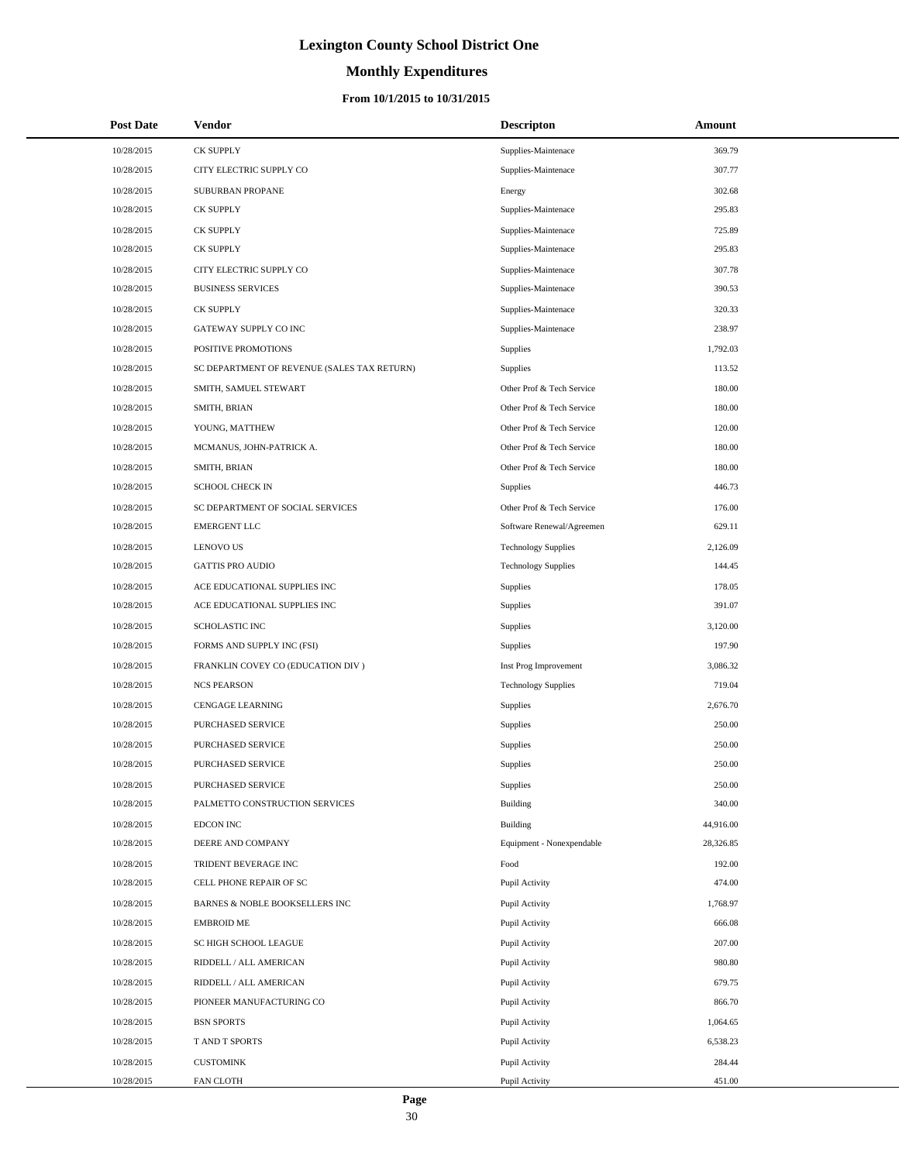# **Monthly Expenditures**

### **From 10/1/2015 to 10/31/2015**

| <b>Post Date</b> | Vendor                                      | <b>Descripton</b>          | Amount    |
|------------------|---------------------------------------------|----------------------------|-----------|
| 10/28/2015       | <b>CK SUPPLY</b>                            | Supplies-Maintenace        | 369.79    |
| 10/28/2015       | CITY ELECTRIC SUPPLY CO                     | Supplies-Maintenace        | 307.77    |
| 10/28/2015       | SUBURBAN PROPANE                            | Energy                     | 302.68    |
| 10/28/2015       | CK SUPPLY                                   | Supplies-Maintenace        | 295.83    |
| 10/28/2015       | <b>CK SUPPLY</b>                            | Supplies-Maintenace        | 725.89    |
| 10/28/2015       | <b>CK SUPPLY</b>                            | Supplies-Maintenace        | 295.83    |
| 10/28/2015       | CITY ELECTRIC SUPPLY CO                     | Supplies-Maintenace        | 307.78    |
| 10/28/2015       | <b>BUSINESS SERVICES</b>                    | Supplies-Maintenace        | 390.53    |
| 10/28/2015       | <b>CK SUPPLY</b>                            | Supplies-Maintenace        | 320.33    |
| 10/28/2015       | GATEWAY SUPPLY CO INC                       | Supplies-Maintenace        | 238.97    |
| 10/28/2015       | POSITIVE PROMOTIONS                         | Supplies                   | 1,792.03  |
| 10/28/2015       | SC DEPARTMENT OF REVENUE (SALES TAX RETURN) | Supplies                   | 113.52    |
| 10/28/2015       | SMITH, SAMUEL STEWART                       | Other Prof & Tech Service  | 180.00    |
| 10/28/2015       | SMITH, BRIAN                                | Other Prof & Tech Service  | 180.00    |
| 10/28/2015       | YOUNG, MATTHEW                              | Other Prof & Tech Service  | 120.00    |
| 10/28/2015       | MCMANUS, JOHN-PATRICK A.                    | Other Prof & Tech Service  | 180.00    |
| 10/28/2015       | SMITH, BRIAN                                | Other Prof & Tech Service  | 180.00    |
| 10/28/2015       | <b>SCHOOL CHECK IN</b>                      | Supplies                   | 446.73    |
| 10/28/2015       | SC DEPARTMENT OF SOCIAL SERVICES            | Other Prof & Tech Service  | 176.00    |
| 10/28/2015       | <b>EMERGENT LLC</b>                         | Software Renewal/Agreemen  | 629.11    |
| 10/28/2015       | <b>LENOVO US</b>                            | <b>Technology Supplies</b> | 2,126.09  |
| 10/28/2015       | <b>GATTIS PRO AUDIO</b>                     | <b>Technology Supplies</b> | 144.45    |
| 10/28/2015       | ACE EDUCATIONAL SUPPLIES INC                | Supplies                   | 178.05    |
| 10/28/2015       | ACE EDUCATIONAL SUPPLIES INC                | Supplies                   | 391.07    |
| 10/28/2015       | SCHOLASTIC INC                              | Supplies                   | 3,120.00  |
| 10/28/2015       | FORMS AND SUPPLY INC (FSI)                  | Supplies                   | 197.90    |
| 10/28/2015       | FRANKLIN COVEY CO (EDUCATION DIV)           | Inst Prog Improvement      | 3,086.32  |
| 10/28/2015       | <b>NCS PEARSON</b>                          | <b>Technology Supplies</b> | 719.04    |
| 10/28/2015       | CENGAGE LEARNING                            | Supplies                   | 2,676.70  |
| 10/28/2015       | PURCHASED SERVICE                           | Supplies                   | 250.00    |
| 10/28/2015       | <b>PURCHASED SERVICE</b>                    | Supplies                   | 250.00    |
| 10/28/2015       | PURCHASED SERVICE                           | Supplies                   | 250.00    |
| 10/28/2015       | PURCHASED SERVICE                           | Supplies                   | 250.00    |
| 10/28/2015       | PALMETTO CONSTRUCTION SERVICES              | Building                   | 340.00    |
| 10/28/2015       | EDCON INC                                   | Building                   | 44,916.00 |
| 10/28/2015       | DEERE AND COMPANY                           | Equipment - Nonexpendable  | 28,326.85 |
| 10/28/2015       | TRIDENT BEVERAGE INC                        | Food                       | 192.00    |
| 10/28/2015       | CELL PHONE REPAIR OF SC                     | Pupil Activity             | 474.00    |
| 10/28/2015       | BARNES & NOBLE BOOKSELLERS INC              | Pupil Activity             | 1,768.97  |
| 10/28/2015       | <b>EMBROID ME</b>                           | Pupil Activity             | 666.08    |
| 10/28/2015       | SC HIGH SCHOOL LEAGUE                       | Pupil Activity             | 207.00    |
| 10/28/2015       | RIDDELL / ALL AMERICAN                      | Pupil Activity             | 980.80    |
| 10/28/2015       | RIDDELL / ALL AMERICAN                      | Pupil Activity             | 679.75    |
| 10/28/2015       | PIONEER MANUFACTURING CO                    | Pupil Activity             | 866.70    |
| 10/28/2015       | <b>BSN SPORTS</b>                           | Pupil Activity             | 1,064.65  |
| 10/28/2015       | T AND T SPORTS                              | Pupil Activity             | 6,538.23  |
| 10/28/2015       | <b>CUSTOMINK</b>                            | Pupil Activity             | 284.44    |
| 10/28/2015       | FAN CLOTH                                   | Pupil Activity             | 451.00    |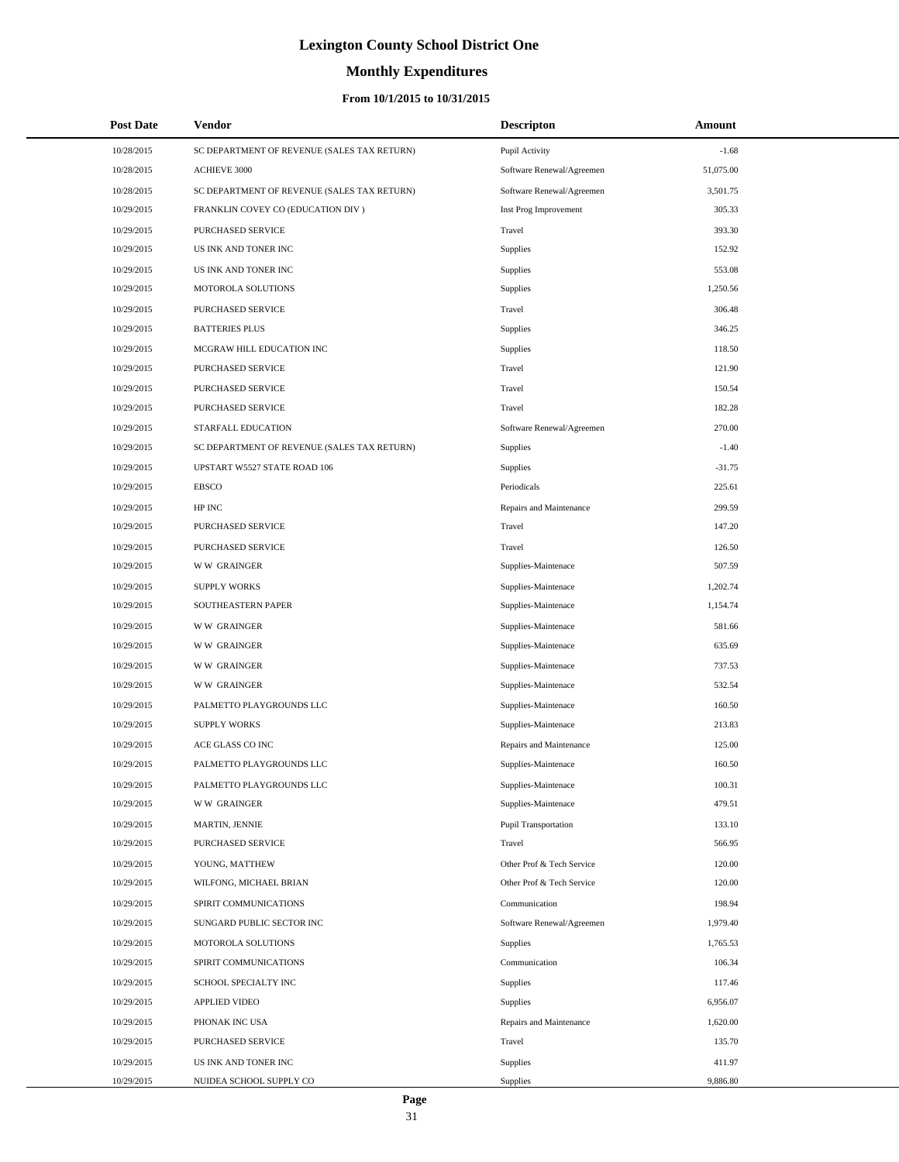# **Monthly Expenditures**

### **From 10/1/2015 to 10/31/2015**

| <b>Post Date</b> | Vendor                                      | <b>Descripton</b>           | Amount    |
|------------------|---------------------------------------------|-----------------------------|-----------|
| 10/28/2015       | SC DEPARTMENT OF REVENUE (SALES TAX RETURN) | Pupil Activity              | $-1.68$   |
| 10/28/2015       | <b>ACHIEVE 3000</b>                         | Software Renewal/Agreemen   | 51,075.00 |
| 10/28/2015       | SC DEPARTMENT OF REVENUE (SALES TAX RETURN) | Software Renewal/Agreemen   | 3,501.75  |
| 10/29/2015       | FRANKLIN COVEY CO (EDUCATION DIV)           | Inst Prog Improvement       | 305.33    |
| 10/29/2015       | PURCHASED SERVICE                           | Travel                      | 393.30    |
| 10/29/2015       | US INK AND TONER INC                        | <b>Supplies</b>             | 152.92    |
| 10/29/2015       | US INK AND TONER INC                        | Supplies                    | 553.08    |
| 10/29/2015       | MOTOROLA SOLUTIONS                          | Supplies                    | 1,250.56  |
| 10/29/2015       | PURCHASED SERVICE                           | Travel                      | 306.48    |
| 10/29/2015       | <b>BATTERIES PLUS</b>                       | <b>Supplies</b>             | 346.25    |
| 10/29/2015       | MCGRAW HILL EDUCATION INC                   | <b>Supplies</b>             | 118.50    |
| 10/29/2015       | PURCHASED SERVICE                           | Travel                      | 121.90    |
| 10/29/2015       | PURCHASED SERVICE                           | Travel                      | 150.54    |
| 10/29/2015       | PURCHASED SERVICE                           | Travel                      | 182.28    |
| 10/29/2015       | STARFALL EDUCATION                          | Software Renewal/Agreemen   | 270.00    |
| 10/29/2015       | SC DEPARTMENT OF REVENUE (SALES TAX RETURN) | Supplies                    | $-1.40$   |
| 10/29/2015       | UPSTART W5527 STATE ROAD 106                | Supplies                    | $-31.75$  |
| 10/29/2015       | <b>EBSCO</b>                                | Periodicals                 | 225.61    |
| 10/29/2015       | HP INC                                      | Repairs and Maintenance     | 299.59    |
| 10/29/2015       | PURCHASED SERVICE                           | Travel                      | 147.20    |
| 10/29/2015       | PURCHASED SERVICE                           | Travel                      | 126.50    |
| 10/29/2015       | <b>WW GRAINGER</b>                          | Supplies-Maintenace         | 507.59    |
| 10/29/2015       | <b>SUPPLY WORKS</b>                         | Supplies-Maintenace         | 1,202.74  |
| 10/29/2015       | SOUTHEASTERN PAPER                          | Supplies-Maintenace         | 1,154.74  |
| 10/29/2015       | <b>WW GRAINGER</b>                          | Supplies-Maintenace         | 581.66    |
| 10/29/2015       | <b>WW GRAINGER</b>                          | Supplies-Maintenace         | 635.69    |
| 10/29/2015       | <b>WW GRAINGER</b>                          | Supplies-Maintenace         | 737.53    |
| 10/29/2015       | <b>WW GRAINGER</b>                          | Supplies-Maintenace         | 532.54    |
| 10/29/2015       | PALMETTO PLAYGROUNDS LLC                    | Supplies-Maintenace         | 160.50    |
| 10/29/2015       | <b>SUPPLY WORKS</b>                         | Supplies-Maintenace         | 213.83    |
| 10/29/2015       | ACE GLASS CO INC                            | Repairs and Maintenance     | 125.00    |
| 10/29/2015       | PALMETTO PLAYGROUNDS LLC                    | Supplies-Maintenace         | 160.50    |
| 10/29/2015       | PALMETTO PLAYGROUNDS LLC                    | Supplies-Maintenace         | 100.31    |
| 10/29/2015       | <b>WW GRAINGER</b>                          | Supplies-Maintenace         | 479.51    |
| 10/29/2015       | MARTIN, JENNIE                              | <b>Pupil Transportation</b> | 133.10    |
| 10/29/2015       | PURCHASED SERVICE                           | Travel                      | 566.95    |
| 10/29/2015       | YOUNG, MATTHEW                              | Other Prof & Tech Service   | 120.00    |
| 10/29/2015       | WILFONG, MICHAEL BRIAN                      | Other Prof & Tech Service   | 120.00    |
| 10/29/2015       | SPIRIT COMMUNICATIONS                       | Communication               | 198.94    |
| 10/29/2015       | SUNGARD PUBLIC SECTOR INC                   | Software Renewal/Agreemen   | 1,979.40  |
| 10/29/2015       | MOTOROLA SOLUTIONS                          | Supplies                    | 1,765.53  |
| 10/29/2015       | SPIRIT COMMUNICATIONS                       | Communication               | 106.34    |
| 10/29/2015       | SCHOOL SPECIALTY INC                        | Supplies                    | 117.46    |
| 10/29/2015       | APPLIED VIDEO                               | Supplies                    | 6,956.07  |
| 10/29/2015       | PHONAK INC USA                              | Repairs and Maintenance     | 1,620.00  |
| 10/29/2015       | PURCHASED SERVICE                           | Travel                      | 135.70    |
| 10/29/2015       | US INK AND TONER INC                        | Supplies                    | 411.97    |
| 10/29/2015       | NUIDEA SCHOOL SUPPLY CO                     | Supplies                    | 9,886.80  |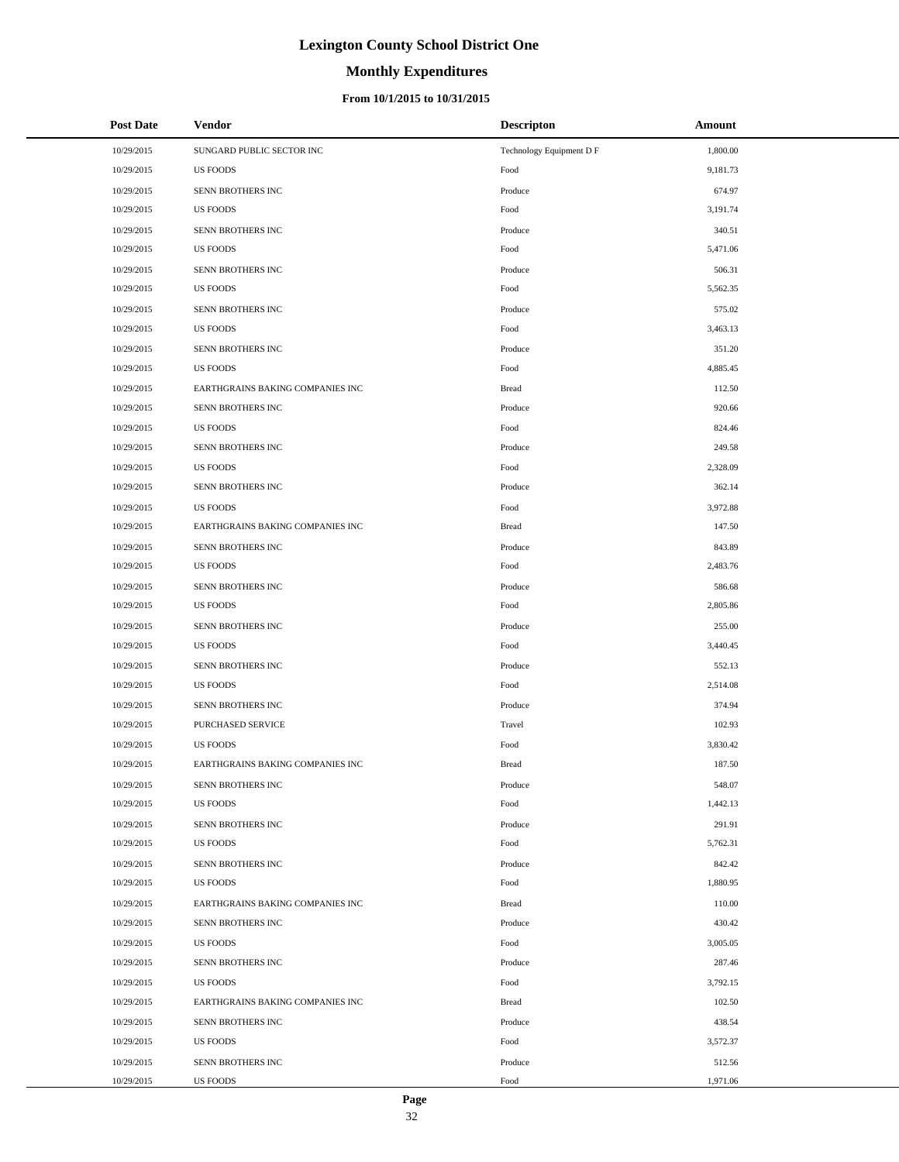# **Monthly Expenditures**

### **From 10/1/2015 to 10/31/2015**

| <b>Post Date</b> | <b>Vendor</b>                    | <b>Descripton</b>        | Amount   |
|------------------|----------------------------------|--------------------------|----------|
| 10/29/2015       | SUNGARD PUBLIC SECTOR INC        | Technology Equipment D F | 1,800.00 |
| 10/29/2015       | <b>US FOODS</b>                  | Food                     | 9,181.73 |
| 10/29/2015       | SENN BROTHERS INC                | Produce                  | 674.97   |
| 10/29/2015       | <b>US FOODS</b>                  | Food                     | 3,191.74 |
| 10/29/2015       | SENN BROTHERS INC                | Produce                  | 340.51   |
| 10/29/2015       | <b>US FOODS</b>                  | Food                     | 5,471.06 |
| 10/29/2015       | SENN BROTHERS INC                | Produce                  | 506.31   |
| 10/29/2015       | <b>US FOODS</b>                  | Food                     | 5,562.35 |
| 10/29/2015       | SENN BROTHERS INC                | Produce                  | 575.02   |
| 10/29/2015       | <b>US FOODS</b>                  | Food                     | 3,463.13 |
| 10/29/2015       | SENN BROTHERS INC                | Produce                  | 351.20   |
| 10/29/2015       | <b>US FOODS</b>                  | Food                     | 4,885.45 |
| 10/29/2015       | EARTHGRAINS BAKING COMPANIES INC | <b>Bread</b>             | 112.50   |
| 10/29/2015       | SENN BROTHERS INC                | Produce                  | 920.66   |
| 10/29/2015       | <b>US FOODS</b>                  | Food                     | 824.46   |
| 10/29/2015       | SENN BROTHERS INC                | Produce                  | 249.58   |
| 10/29/2015       | <b>US FOODS</b>                  | Food                     | 2,328.09 |
| 10/29/2015       | SENN BROTHERS INC                | Produce                  | 362.14   |
| 10/29/2015       | <b>US FOODS</b>                  | Food                     | 3,972.88 |
| 10/29/2015       | EARTHGRAINS BAKING COMPANIES INC | <b>Bread</b>             | 147.50   |
| 10/29/2015       | SENN BROTHERS INC                | Produce                  | 843.89   |
| 10/29/2015       | <b>US FOODS</b>                  | Food                     | 2,483.76 |
| 10/29/2015       | SENN BROTHERS INC                | Produce                  | 586.68   |
| 10/29/2015       | <b>US FOODS</b>                  | Food                     | 2,805.86 |
| 10/29/2015       | SENN BROTHERS INC                | Produce                  | 255.00   |
| 10/29/2015       | <b>US FOODS</b>                  | Food                     | 3,440.45 |
| 10/29/2015       | SENN BROTHERS INC                | Produce                  | 552.13   |
| 10/29/2015       | <b>US FOODS</b>                  | Food                     | 2,514.08 |
| 10/29/2015       | SENN BROTHERS INC                | Produce                  | 374.94   |
| 10/29/2015       | PURCHASED SERVICE                | Travel                   | 102.93   |
| 10/29/2015       | <b>US FOODS</b>                  | Food                     | 3,830.42 |
| 10/29/2015       | EARTHGRAINS BAKING COMPANIES INC | <b>Bread</b>             | 187.50   |
| 10/29/2015       | SENN BROTHERS INC                | Produce                  | 548.07   |
| 10/29/2015       | <b>US FOODS</b>                  | Food                     | 1,442.13 |
| 10/29/2015       | SENN BROTHERS INC                | Produce                  | 291.91   |
| 10/29/2015       | <b>US FOODS</b>                  | Food                     | 5,762.31 |
| 10/29/2015       | SENN BROTHERS INC                | Produce                  | 842.42   |
| 10/29/2015       | <b>US FOODS</b>                  | Food                     | 1,880.95 |
| 10/29/2015       | EARTHGRAINS BAKING COMPANIES INC | <b>Bread</b>             | 110.00   |
| 10/29/2015       | SENN BROTHERS INC                | Produce                  | 430.42   |
| 10/29/2015       | <b>US FOODS</b>                  | Food                     | 3,005.05 |
| 10/29/2015       | SENN BROTHERS INC                | Produce                  | 287.46   |
| 10/29/2015       | <b>US FOODS</b>                  | Food                     | 3,792.15 |
| 10/29/2015       | EARTHGRAINS BAKING COMPANIES INC | <b>Bread</b>             | 102.50   |
| 10/29/2015       | SENN BROTHERS INC                | Produce                  | 438.54   |
| 10/29/2015       | <b>US FOODS</b>                  | Food                     | 3,572.37 |
| 10/29/2015       | SENN BROTHERS INC                | Produce                  | 512.56   |
| 10/29/2015       | US FOODS                         | Food                     | 1,971.06 |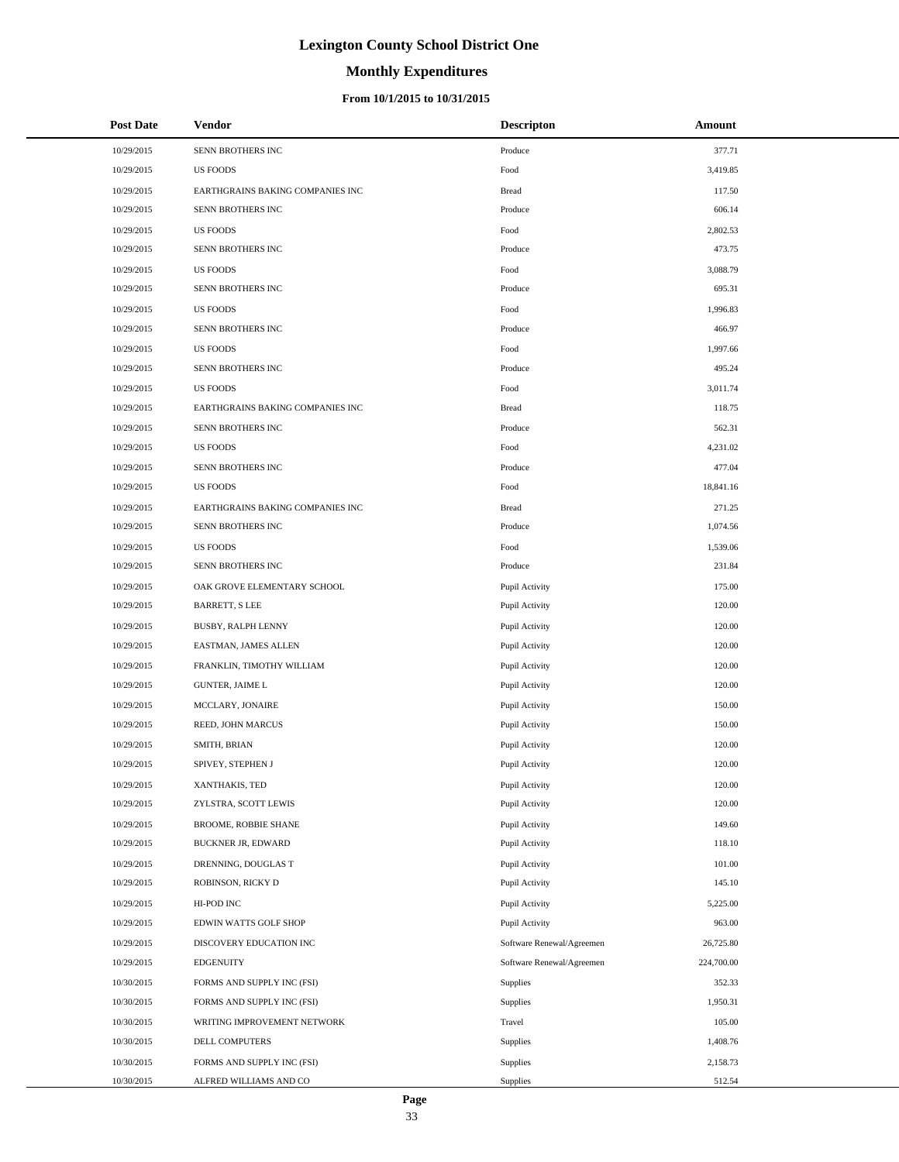# **Monthly Expenditures**

### **From 10/1/2015 to 10/31/2015**

| <b>Post Date</b> | Vendor                           | <b>Descripton</b>         | Amount     |
|------------------|----------------------------------|---------------------------|------------|
| 10/29/2015       | SENN BROTHERS INC                | Produce                   | 377.71     |
| 10/29/2015       | <b>US FOODS</b>                  | Food                      | 3,419.85   |
| 10/29/2015       | EARTHGRAINS BAKING COMPANIES INC | <b>Bread</b>              | 117.50     |
| 10/29/2015       | SENN BROTHERS INC                | Produce                   | 606.14     |
| 10/29/2015       | <b>US FOODS</b>                  | Food                      | 2,802.53   |
| 10/29/2015       | SENN BROTHERS INC                | Produce                   | 473.75     |
| 10/29/2015       | <b>US FOODS</b>                  | Food                      | 3,088.79   |
| 10/29/2015       | SENN BROTHERS INC                | Produce                   | 695.31     |
| 10/29/2015       | <b>US FOODS</b>                  | Food                      | 1,996.83   |
| 10/29/2015       | SENN BROTHERS INC                | Produce                   | 466.97     |
| 10/29/2015       | <b>US FOODS</b>                  | Food                      | 1,997.66   |
| 10/29/2015       | SENN BROTHERS INC                | Produce                   | 495.24     |
| 10/29/2015       | <b>US FOODS</b>                  | Food                      | 3,011.74   |
| 10/29/2015       | EARTHGRAINS BAKING COMPANIES INC | <b>Bread</b>              | 118.75     |
| 10/29/2015       | SENN BROTHERS INC                | Produce                   | 562.31     |
| 10/29/2015       | <b>US FOODS</b>                  | Food                      | 4,231.02   |
| 10/29/2015       | SENN BROTHERS INC                | Produce                   | 477.04     |
| 10/29/2015       | <b>US FOODS</b>                  | Food                      | 18,841.16  |
| 10/29/2015       | EARTHGRAINS BAKING COMPANIES INC | <b>Bread</b>              | 271.25     |
| 10/29/2015       | SENN BROTHERS INC                | Produce                   | 1,074.56   |
| 10/29/2015       | <b>US FOODS</b>                  | Food                      | 1,539.06   |
| 10/29/2015       | SENN BROTHERS INC                | Produce                   | 231.84     |
| 10/29/2015       | OAK GROVE ELEMENTARY SCHOOL      | Pupil Activity            | 175.00     |
| 10/29/2015       | <b>BARRETT, S LEE</b>            | Pupil Activity            | 120.00     |
| 10/29/2015       | <b>BUSBY, RALPH LENNY</b>        | Pupil Activity            | 120.00     |
| 10/29/2015       | EASTMAN, JAMES ALLEN             | Pupil Activity            | 120.00     |
| 10/29/2015       | FRANKLIN, TIMOTHY WILLIAM        | Pupil Activity            | 120.00     |
| 10/29/2015       | <b>GUNTER, JAIME L</b>           | Pupil Activity            | 120.00     |
| 10/29/2015       | MCCLARY, JONAIRE                 | Pupil Activity            | 150.00     |
| 10/29/2015       | REED, JOHN MARCUS                | Pupil Activity            | 150.00     |
| 10/29/2015       | SMITH, BRIAN                     | Pupil Activity            | 120.00     |
| 10/29/2015       | SPIVEY, STEPHEN J                | Pupil Activity            | 120.00     |
| 10/29/2015       | XANTHAKIS, TED                   | Pupil Activity            | 120.00     |
| 10/29/2015       | ZYLSTRA, SCOTT LEWIS             | Pupil Activity            | 120.00     |
| 10/29/2015       | BROOME, ROBBIE SHANE             | Pupil Activity            | 149.60     |
| 10/29/2015       | <b>BUCKNER JR, EDWARD</b>        | Pupil Activity            | 118.10     |
| 10/29/2015       | DRENNING, DOUGLAS T              | Pupil Activity            | 101.00     |
| 10/29/2015       | ROBINSON, RICKY D                | Pupil Activity            | 145.10     |
| 10/29/2015       | HI-POD INC                       | Pupil Activity            | 5,225.00   |
| 10/29/2015       | EDWIN WATTS GOLF SHOP            | Pupil Activity            | 963.00     |
| 10/29/2015       | DISCOVERY EDUCATION INC          | Software Renewal/Agreemen | 26,725.80  |
| 10/29/2015       | <b>EDGENUITY</b>                 | Software Renewal/Agreemen | 224,700.00 |
| 10/30/2015       | FORMS AND SUPPLY INC (FSI)       | Supplies                  | 352.33     |
| 10/30/2015       | FORMS AND SUPPLY INC (FSI)       | Supplies                  | 1,950.31   |
| 10/30/2015       | WRITING IMPROVEMENT NETWORK      | Travel                    | 105.00     |
| 10/30/2015       | DELL COMPUTERS                   | Supplies                  | 1,408.76   |
| 10/30/2015       | FORMS AND SUPPLY INC (FSI)       | Supplies                  | 2,158.73   |
| 10/30/2015       | ALFRED WILLIAMS AND CO           | Supplies                  | 512.54     |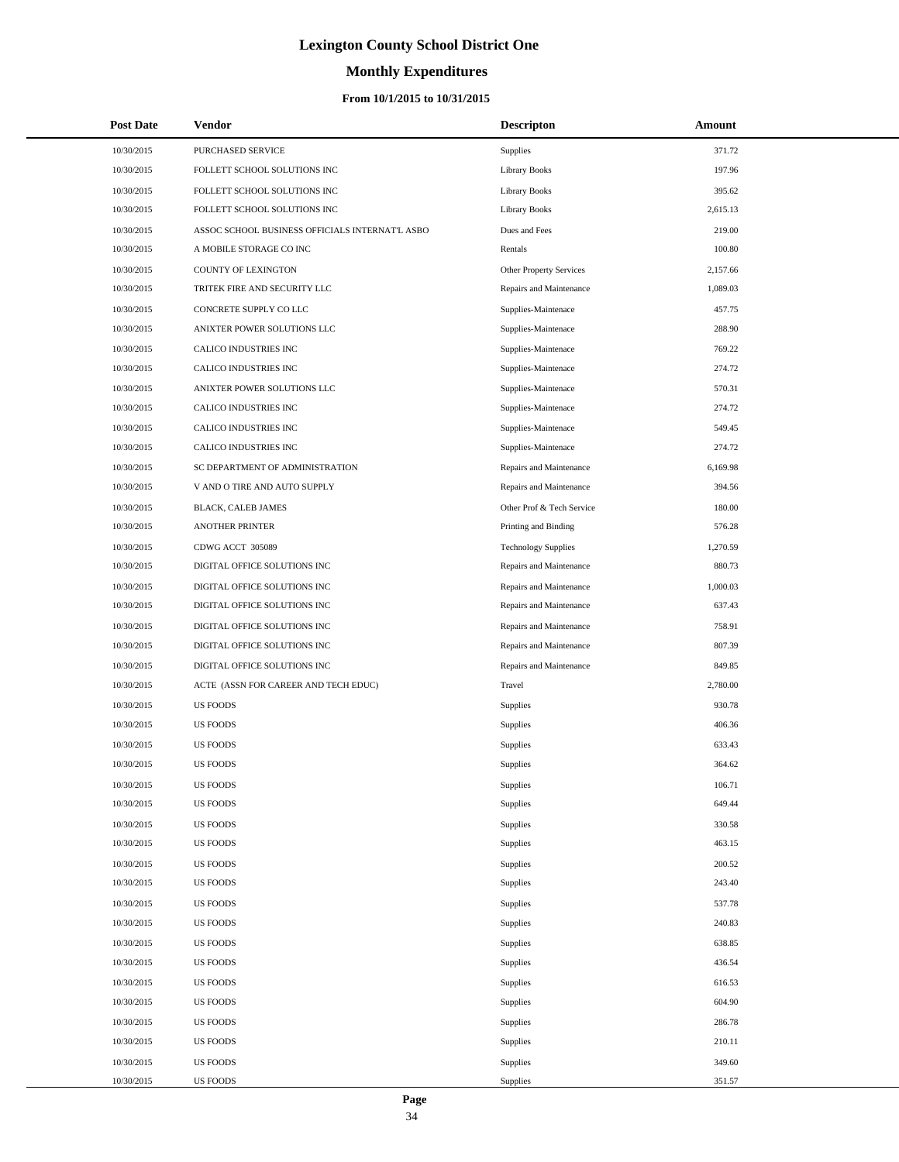# **Monthly Expenditures**

### **From 10/1/2015 to 10/31/2015**

| <b>Post Date</b> | Vendor                                          | <b>Descripton</b>              | Amount   |
|------------------|-------------------------------------------------|--------------------------------|----------|
| 10/30/2015       | PURCHASED SERVICE                               | Supplies                       | 371.72   |
| 10/30/2015       | FOLLETT SCHOOL SOLUTIONS INC                    | <b>Library Books</b>           | 197.96   |
| 10/30/2015       | FOLLETT SCHOOL SOLUTIONS INC                    | <b>Library Books</b>           | 395.62   |
| 10/30/2015       | FOLLETT SCHOOL SOLUTIONS INC                    | <b>Library Books</b>           | 2,615.13 |
| 10/30/2015       | ASSOC SCHOOL BUSINESS OFFICIALS INTERNAT'L ASBO | Dues and Fees                  | 219.00   |
| 10/30/2015       | A MOBILE STORAGE CO INC                         | Rentals                        | 100.80   |
| 10/30/2015       | <b>COUNTY OF LEXINGTON</b>                      | <b>Other Property Services</b> | 2,157.66 |
| 10/30/2015       | TRITEK FIRE AND SECURITY LLC                    | Repairs and Maintenance        | 1,089.03 |
| 10/30/2015       | CONCRETE SUPPLY CO LLC                          | Supplies-Maintenace            | 457.75   |
| 10/30/2015       | ANIXTER POWER SOLUTIONS LLC                     | Supplies-Maintenace            | 288.90   |
| 10/30/2015       | CALICO INDUSTRIES INC                           | Supplies-Maintenace            | 769.22   |
| 10/30/2015       | CALICO INDUSTRIES INC                           | Supplies-Maintenace            | 274.72   |
| 10/30/2015       | ANIXTER POWER SOLUTIONS LLC                     | Supplies-Maintenace            | 570.31   |
| 10/30/2015       | CALICO INDUSTRIES INC                           | Supplies-Maintenace            | 274.72   |
| 10/30/2015       | CALICO INDUSTRIES INC                           | Supplies-Maintenace            | 549.45   |
| 10/30/2015       | CALICO INDUSTRIES INC                           | Supplies-Maintenace            | 274.72   |
| 10/30/2015       | SC DEPARTMENT OF ADMINISTRATION                 | Repairs and Maintenance        | 6,169.98 |
| 10/30/2015       | V AND O TIRE AND AUTO SUPPLY                    | Repairs and Maintenance        | 394.56   |
| 10/30/2015       | <b>BLACK, CALEB JAMES</b>                       | Other Prof & Tech Service      | 180.00   |
| 10/30/2015       | <b>ANOTHER PRINTER</b>                          | Printing and Binding           | 576.28   |
| 10/30/2015       | CDWG ACCT 305089                                | <b>Technology Supplies</b>     | 1,270.59 |
| 10/30/2015       | DIGITAL OFFICE SOLUTIONS INC                    | Repairs and Maintenance        | 880.73   |
| 10/30/2015       | DIGITAL OFFICE SOLUTIONS INC                    | Repairs and Maintenance        | 1,000.03 |
| 10/30/2015       | DIGITAL OFFICE SOLUTIONS INC                    | Repairs and Maintenance        | 637.43   |
| 10/30/2015       | DIGITAL OFFICE SOLUTIONS INC                    | Repairs and Maintenance        | 758.91   |
| 10/30/2015       | DIGITAL OFFICE SOLUTIONS INC                    | Repairs and Maintenance        | 807.39   |
| 10/30/2015       | DIGITAL OFFICE SOLUTIONS INC                    | Repairs and Maintenance        | 849.85   |
| 10/30/2015       | ACTE (ASSN FOR CAREER AND TECH EDUC)            | Travel                         | 2,780.00 |
| 10/30/2015       | <b>US FOODS</b>                                 | Supplies                       | 930.78   |
| 10/30/2015       | <b>US FOODS</b>                                 | Supplies                       | 406.36   |
| 10/30/2015       | <b>US FOODS</b>                                 | Supplies                       | 633.43   |
| 10/30/2015       | <b>US FOODS</b>                                 | Supplies                       | 364.62   |
| 10/30/2015       | <b>US FOODS</b>                                 | Supplies                       | 106.71   |
| 10/30/2015       | <b>US FOODS</b>                                 | <b>Supplies</b>                | 649.44   |
| 10/30/2015       | <b>US FOODS</b>                                 | <b>Supplies</b>                | 330.58   |
| 10/30/2015       | <b>US FOODS</b>                                 | Supplies                       | 463.15   |
| 10/30/2015       | <b>US FOODS</b>                                 | <b>Supplies</b>                | 200.52   |
| 10/30/2015       | <b>US FOODS</b>                                 | <b>Supplies</b>                | 243.40   |
| 10/30/2015       | <b>US FOODS</b>                                 | Supplies                       | 537.78   |
| 10/30/2015       | <b>US FOODS</b>                                 | <b>Supplies</b>                | 240.83   |
| 10/30/2015       | <b>US FOODS</b>                                 | Supplies                       | 638.85   |
| 10/30/2015       | <b>US FOODS</b>                                 | <b>Supplies</b>                | 436.54   |
| 10/30/2015       | <b>US FOODS</b>                                 | <b>Supplies</b>                | 616.53   |
| 10/30/2015       | <b>US FOODS</b>                                 | <b>Supplies</b>                | 604.90   |
| 10/30/2015       | <b>US FOODS</b>                                 | Supplies                       | 286.78   |
| 10/30/2015       | <b>US FOODS</b>                                 | <b>Supplies</b>                | 210.11   |
| 10/30/2015       | <b>US FOODS</b>                                 | <b>Supplies</b>                | 349.60   |
| 10/30/2015       | US FOODS                                        | Supplies                       | 351.57   |